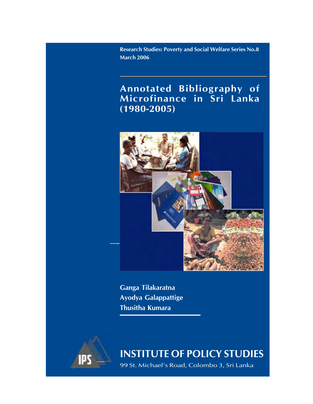**Research Studies: Poverty and Social Welfare Series No.8 March 2006**

# **Annotated Bibliography of Microfinance in Sri Lanka (1980-2005)**



**Ganga Tilakaratna Ayodya Galappattige Thusitha Kumara**



**INSTITUTE OF POLICY STUDIES**

99 St. Michael's Road, Colombo 3, Sri Lanka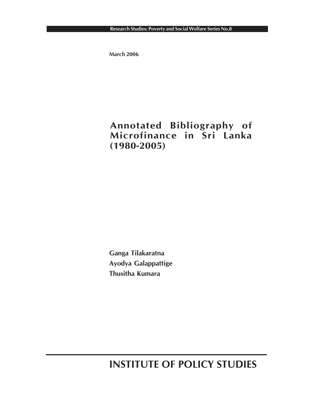**March 2006**

# **Annotated Bibliography of Microfinance in Sri Lanka (1980-2005)**

**Ganga Tilakaratna Ayodya Galappattige Thusitha Kumara**

**INSTITUTE OF POLICY STUDIES**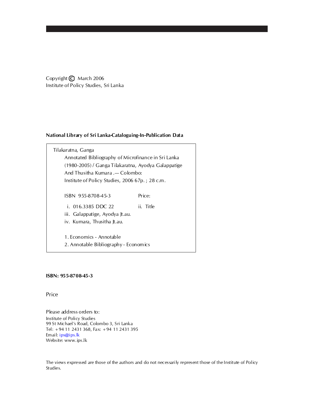Copyright **C** March 2006 Institute of Policy Studies, Sri Lanka

#### **National Library of Sri Lanka-Cataloguing-In-Publication Data**

| Tilakaratna, Ganga                                  |           |
|-----------------------------------------------------|-----------|
| Annotated Bibliography of Microfinance in Sri Lanka |           |
| (1980-2005) / Ganga Tilakaratna, Ayodya Galappatige |           |
| And Thusitha Kumara .- Colombo:                     |           |
| Institute of Policy Studies, 2006 67p.; 28 c.m.     |           |
|                                                     |           |
| ISBN 955-8708-45-3                                  | Price:    |
| i. 016.3385 DDC 22                                  | ii. Title |
| iii. Galappatige, Ayodya Jt.au.                     |           |
| iv. Kumara, Thusitha Jt.au.                         |           |
|                                                     |           |
| 1. Economics - Annotable                            |           |
| 2. Annotable Bibliography - Economics               |           |
|                                                     |           |

#### **ISBN: 955-8708-45-3**

Price

Please address orders to: Institute of Policy Studies 99 St Michael's Road, Colombo 3, Sri Lanka Tel: +94 11 2431 368, Fax: +94 11 2431 395 Email: ips@ips.lk Website: www.ips.lk

The views expressed are those of the authors and do not necessarily represent those of the Institute of Policy Studies.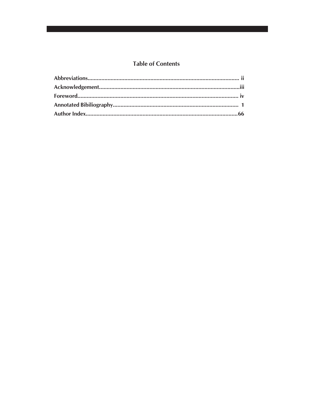# **Table of Contents**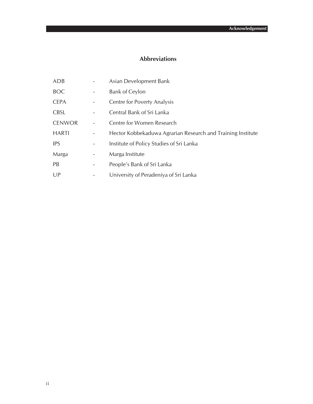## **Abbreviations**

| ADB           |   | Asian Development Bank                                      |
|---------------|---|-------------------------------------------------------------|
| <b>BOC</b>    |   | <b>Bank of Ceylon</b>                                       |
| <b>CEPA</b>   |   | Centre for Poverty Analysis                                 |
| <b>CBSL</b>   |   | Central Bank of Sri Lanka                                   |
| <b>CENWOR</b> |   | Centre for Women Research                                   |
| <b>HARTI</b>  |   | Hector Kobbekaduwa Agrarian Research and Training Institute |
| <b>IPS</b>    |   | Institute of Policy Studies of Sri Lanka                    |
| Marga         | - | Marga Institute                                             |
| <b>PB</b>     |   | People's Bank of Sri Lanka                                  |
| UP            |   | University of Peradeniya of Sri Lanka                       |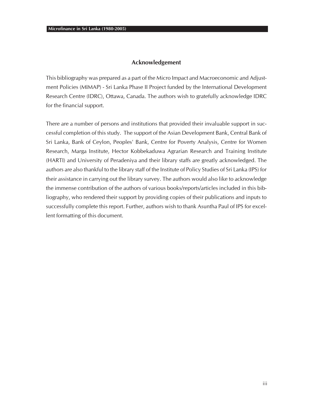#### **Acknowledgement**

This bibliography was prepared as a part of the Micro Impact and Macroeconomic and Adjustment Policies (MIMAP) - Sri Lanka Phase II Project funded by the International Development Research Centre (IDRC), Ottawa, Canada. The authors wish to gratefully acknowledge IDRC for the financial support.

There are a number of persons and institutions that provided their invaluable support in successful completion of this study. The support of the Asian Development Bank, Central Bank of Sri Lanka, Bank of Ceylon, Peoples' Bank, Centre for Poverty Analysis, Centre for Women Research, Marga Institute, Hector Kobbekaduwa Agrarian Research and Training Institute (HARTI) and University of Peradeniya and their library staffs are greatly acknowledged. The authors are also thankful to the library staff of the Institute of Policy Studies of Sri Lanka (IPS) for their assistance in carrying out the library survey. The authors would also like to acknowledge the immense contribution of the authors of various books/reports/articles included in this bibliography, who rendered their support by providing copies of their publications and inputs to successfully complete this report. Further, authors wish to thank Asuntha Paul of IPS for excellent formatting of this document.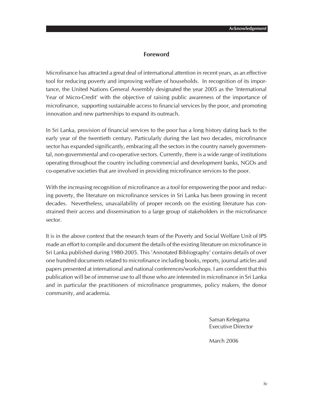#### **Foreword**

Microfinance has attracted a great deal of international attention in recent years, as an effective tool for reducing poverty and improving welfare of households. In recognition of its importance, the United Nations General Assembly designated the year 2005 as the 'International Year of Micro-Credit' with the objective of raising public awareness of the importance of microfinance, supporting sustainable access to financial services by the poor, and promoting innovation and new partnerships to expand its outreach.

In Sri Lanka, provision of financial services to the poor has a long history dating back to the early year of the twentieth century. Particularly during the last two decades, microfinance sector has expanded significantly, embracing all the sectors in the country namely governmental, non-governmental and co-operative sectors. Currently, there is a wide range of institutions operating throughout the country including commercial and development banks, NGOs and co-operative societies that are involved in providing microfinance services to the poor.

With the increasing recognition of microfinance as a tool for empowering the poor and reducing poverty, the literature on microfinance services in Sri Lanka has been growing in recent decades. Nevertheless, unavailability of proper records on the existing literature has constrained their access and dissemination to a large group of stakeholders in the microfinance sector.

It is in the above context that the research team of the Poverty and Social Welfare Unit of IPS made an effort to compile and document the details of the existing literature on microfinance in Sri Lanka published during 1980-2005. This 'Annotated Bibliography' contains details of over one hundred documents related to microfinance including books, reports, journal articles and papers presented at international and national conferences/workshops. I am confident that this publication will be of immense use to all those who are interested in microfinance in Sri Lanka and in particular the practitioners of microfinance programmes, policy makers, the donor community, and academia.

> Saman Kelegama Executive Director

March 2006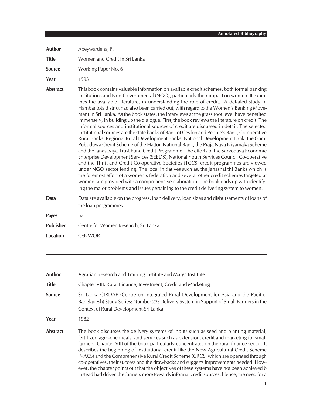| <b>Author</b>    | Abeywardena, P.                                                                                                                                                                                                                                                                                                                                                                                                                                                                                                                                                                                                                                                                                                                                                                                                                                                                                                                                                                                                                                                                                                                                                                                                                                                                                                                                                                                                                                                                                                                                                                                       |
|------------------|-------------------------------------------------------------------------------------------------------------------------------------------------------------------------------------------------------------------------------------------------------------------------------------------------------------------------------------------------------------------------------------------------------------------------------------------------------------------------------------------------------------------------------------------------------------------------------------------------------------------------------------------------------------------------------------------------------------------------------------------------------------------------------------------------------------------------------------------------------------------------------------------------------------------------------------------------------------------------------------------------------------------------------------------------------------------------------------------------------------------------------------------------------------------------------------------------------------------------------------------------------------------------------------------------------------------------------------------------------------------------------------------------------------------------------------------------------------------------------------------------------------------------------------------------------------------------------------------------------|
| <b>Title</b>     | Women and Credit in Sri Lanka                                                                                                                                                                                                                                                                                                                                                                                                                                                                                                                                                                                                                                                                                                                                                                                                                                                                                                                                                                                                                                                                                                                                                                                                                                                                                                                                                                                                                                                                                                                                                                         |
| <b>Source</b>    | Working Paper No. 6                                                                                                                                                                                                                                                                                                                                                                                                                                                                                                                                                                                                                                                                                                                                                                                                                                                                                                                                                                                                                                                                                                                                                                                                                                                                                                                                                                                                                                                                                                                                                                                   |
| Year             | 1993                                                                                                                                                                                                                                                                                                                                                                                                                                                                                                                                                                                                                                                                                                                                                                                                                                                                                                                                                                                                                                                                                                                                                                                                                                                                                                                                                                                                                                                                                                                                                                                                  |
| <b>Abstract</b>  | This book contains valuable information on available credit schemes, both formal banking<br>institutions and Non-Governmental (NGO), particularly their impact on women. It exam-<br>ines the available literature, in understanding the role of credit. A detailed study in<br>Hambantota district had also been carried out, with regard to the Women's Banking Move-<br>ment in Sri Lanka. As the book states, the interviews at the grass root level have benefited<br>immensely, in building up the dialogue. First, the book reviews the literature on credit. The<br>informal sources and institutional sources of credit are discussed in detail. The selected<br>institutional sources are the state banks of Bank of Ceylon and People's Bank, Co-operative<br>Rural Banks, Regional Rural Development Banks, National Development Bank, the Gami<br>Pubuduwa Credit Scheme of the Hatton National Bank, the Praja Naya Niyamaka Scheme<br>and the Janasaviya Trust Fund Credit Programme. The efforts of the Sarvodaya Economic<br>Enterprise Development Services (SEEDS), National Youth Services Council Co-operative<br>and the Thrift and Credit Co-operative Societies (TCCS) credit programmes are viewed<br>under NGO sector lending. The local initiatives such as, the Janashakthi Banks which is<br>the foremost effort of a women's federation and several other credit schemes targeted at<br>women, are provided with a comprehensive elaboration. The book ends up with identify-<br>ing the major problems and issues pertaining to the credit delivering system to women. |
| Data             | Data are available on the progress, loan delivery, loan sizes and disbursements of loans of<br>the loan programmes.                                                                                                                                                                                                                                                                                                                                                                                                                                                                                                                                                                                                                                                                                                                                                                                                                                                                                                                                                                                                                                                                                                                                                                                                                                                                                                                                                                                                                                                                                   |
| <b>Pages</b>     | 57                                                                                                                                                                                                                                                                                                                                                                                                                                                                                                                                                                                                                                                                                                                                                                                                                                                                                                                                                                                                                                                                                                                                                                                                                                                                                                                                                                                                                                                                                                                                                                                                    |
| <b>Publisher</b> | Centre for Women Research, Sri Lanka                                                                                                                                                                                                                                                                                                                                                                                                                                                                                                                                                                                                                                                                                                                                                                                                                                                                                                                                                                                                                                                                                                                                                                                                                                                                                                                                                                                                                                                                                                                                                                  |
| <b>Location</b>  | <b>CENWOR</b>                                                                                                                                                                                                                                                                                                                                                                                                                                                                                                                                                                                                                                                                                                                                                                                                                                                                                                                                                                                                                                                                                                                                                                                                                                                                                                                                                                                                                                                                                                                                                                                         |

| <b>Author</b>   | Agrarian Research and Training Institute and Marga Institute                                                                                                                                                                                                                                                                                                                                                                                                                                                                                                                                                                                                                                                                                             |
|-----------------|----------------------------------------------------------------------------------------------------------------------------------------------------------------------------------------------------------------------------------------------------------------------------------------------------------------------------------------------------------------------------------------------------------------------------------------------------------------------------------------------------------------------------------------------------------------------------------------------------------------------------------------------------------------------------------------------------------------------------------------------------------|
| <b>Title</b>    | Chapter VIII: Rural Finance, Investment, Credit and Marketing                                                                                                                                                                                                                                                                                                                                                                                                                                                                                                                                                                                                                                                                                            |
| <b>Source</b>   | Sri Lanka CIRDAP (Centre on Integrated Rural Development for Asia and the Pacific,<br>Bangladesh) Study Series: Number 23: Delivery System in Support of Small Farmers in the<br>Context of Rural Development-Sri Lanka                                                                                                                                                                                                                                                                                                                                                                                                                                                                                                                                  |
| Year            | 1982                                                                                                                                                                                                                                                                                                                                                                                                                                                                                                                                                                                                                                                                                                                                                     |
| <b>Abstract</b> | The book discusses the delivery systems of inputs such as seed and planting material,<br>fertilizer, agro-chemicals, and services such as extension, credit and marketing for small<br>farmers. Chapter VIII of the book particularly concentrates on the rural finance sector. It<br>describes the beginning of institutional credit like the New Agricultural Credit Scheme<br>(NACS) and the Comprehensive Rural Credit Scheme (CRCS) which are operated through<br>co-operatives, their success and the drawbacks and suggests improvements needed. How-<br>ever, the chapter points out that the objectives of these systems have not been achieved b<br>instead had driven the farmers more towards informal credit sources. Hence, the need for a |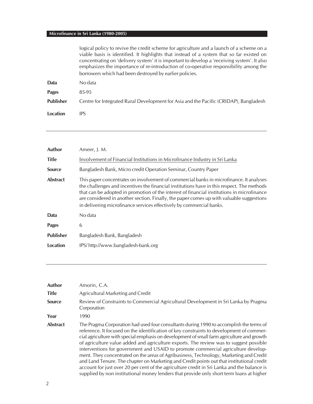| logical policy to revive the credit scheme for agriculture and a launch of a scheme on a    |  |
|---------------------------------------------------------------------------------------------|--|
| viable basis is identified. It highlights that instead of a system that so far existed on   |  |
| concentrating on 'delivery system' it is important to develop a 'receiving system'. It also |  |
| emphasizes the importance of re-introduction of co-operative responsibility among the       |  |
| borrowers which had been destroyed by earlier policies.                                     |  |
|                                                                                             |  |

| Data             | No data                                                                               |
|------------------|---------------------------------------------------------------------------------------|
| Pages            | 85-95                                                                                 |
| <b>Publisher</b> | Centre for Integrated Rural Development for Asia and the Pacific (CRIDAP), Bangladesh |
| Location         | IPS                                                                                   |

| Author           | Ameer, J. M.                                                                                                                                                                                                                                                                                                                                                                                                                                            |
|------------------|---------------------------------------------------------------------------------------------------------------------------------------------------------------------------------------------------------------------------------------------------------------------------------------------------------------------------------------------------------------------------------------------------------------------------------------------------------|
| <b>Title</b>     | Involvement of Financial Institutions in Microfinance Industry in Sri Lanka                                                                                                                                                                                                                                                                                                                                                                             |
| <b>Source</b>    | Bangladesh Bank, Micro credit Operation Seminar, Country Paper                                                                                                                                                                                                                                                                                                                                                                                          |
| <b>Abstract</b>  | This paper concentrates on involvement of commercial banks in microfinance. It analyses<br>the challenges and incentives the financial institutions have in this respect. The methods<br>that can be adopted in promotion of the interest of financial institutions in microfinance<br>are considered in another section. Finally, the paper comes up with valuable suggestions<br>in delivering microfinance services effectively by commercial banks. |
| Data             | No data                                                                                                                                                                                                                                                                                                                                                                                                                                                 |
| <b>Pages</b>     | 6                                                                                                                                                                                                                                                                                                                                                                                                                                                       |
| <b>Publisher</b> | Bangladesh Bank, Bangladesh                                                                                                                                                                                                                                                                                                                                                                                                                             |
| Location         | IPS/http://www.bangladesh-bank.org                                                                                                                                                                                                                                                                                                                                                                                                                      |

| Author          | Amorin, C.A.                                                                                                                                                                                                                                                                                                                                                                                                                                                                                                                                                                                                                                                                                                                                                                                                                                       |
|-----------------|----------------------------------------------------------------------------------------------------------------------------------------------------------------------------------------------------------------------------------------------------------------------------------------------------------------------------------------------------------------------------------------------------------------------------------------------------------------------------------------------------------------------------------------------------------------------------------------------------------------------------------------------------------------------------------------------------------------------------------------------------------------------------------------------------------------------------------------------------|
| <b>Title</b>    | Agricultural Marketing and Credit                                                                                                                                                                                                                                                                                                                                                                                                                                                                                                                                                                                                                                                                                                                                                                                                                  |
| <b>Source</b>   | Review of Constraints to Commercial Agricultural Development in Sri Lanka by Pragma<br>Corporation                                                                                                                                                                                                                                                                                                                                                                                                                                                                                                                                                                                                                                                                                                                                                 |
| Year            | 1990                                                                                                                                                                                                                                                                                                                                                                                                                                                                                                                                                                                                                                                                                                                                                                                                                                               |
| <b>Abstract</b> | The Pragma Corporation had used four consultants during 1990 to accomplish the terms of<br>reference. It focused on the identification of key constraints to development of commer-<br>cial agriculture with special emphasis on development of small farm agriculture and growth<br>of agriculture value added and agriculture exports. The review was to suggest possible<br>interventions for government and USAID to promote commercial agriculture develop-<br>ment. They concentrated on the areas of Agribusiness, Technology, Marketing and Credit<br>and Land Tenure. The chapter on Marketing and Credit points out that institutional credit<br>account for just over 20 per cent of the agriculture credit in Sri Lanka and the balance is<br>supplied by non institutional money lenders that provide only short term loans at higher |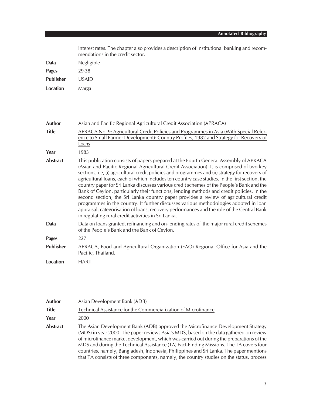| interest rates. The chapter also provides a description of institutional banking and recom-<br>mendations in the credit sector. |
|---------------------------------------------------------------------------------------------------------------------------------|
| Negligible                                                                                                                      |
| 29-38                                                                                                                           |
| <b>USAID</b>                                                                                                                    |
| Marga                                                                                                                           |
|                                                                                                                                 |

| Author           | Asian and Pacific Regional Agricultural Credit Association (APRACA)                                                                                                                                                                                                                                                                                                                                                                                                                                                                                                                                                                                                                                                                                                                                                                                                                                                     |
|------------------|-------------------------------------------------------------------------------------------------------------------------------------------------------------------------------------------------------------------------------------------------------------------------------------------------------------------------------------------------------------------------------------------------------------------------------------------------------------------------------------------------------------------------------------------------------------------------------------------------------------------------------------------------------------------------------------------------------------------------------------------------------------------------------------------------------------------------------------------------------------------------------------------------------------------------|
| <b>Title</b>     | APRACA No. 9: Agricultural Credit Policies and Programmes in Asia (With Special Refer-<br>ence to Small Farmer Development): Country Profiles, 1982 and Strategy for Recovery of<br>Loans                                                                                                                                                                                                                                                                                                                                                                                                                                                                                                                                                                                                                                                                                                                               |
| Year             | 1983                                                                                                                                                                                                                                                                                                                                                                                                                                                                                                                                                                                                                                                                                                                                                                                                                                                                                                                    |
| <b>Abstract</b>  | This publication consists of papers prepared at the Fourth General Assembly of APRACA<br>(Asian and Pacific Regional Agricultural Credit Association). It is comprised of two key<br>sections, i.e. (i) agricultural credit policies and programmes and (ii) strategy for recovery of<br>agricultural loans, each of which includes ten country case studies. In the first section, the<br>country paper for Sri Lanka discusses various credit schemes of the People's Bank and the<br>Bank of Ceylon, particularly their functions, lending methods and credit policies. In the<br>second section, the Sri Lanka country paper provides a review of agricultural credit<br>programmes in the country. It further discusses various methodologies adopted in loan<br>appraisal, categorisation of loans, recovery performances and the role of the Central Bank<br>in regulating rural credit activities in Sri Lanka. |
| Data             | Data on loans granted, refinancing and on-lending rates of the major rural credit schemes<br>of the People's Bank and the Bank of Ceylon.                                                                                                                                                                                                                                                                                                                                                                                                                                                                                                                                                                                                                                                                                                                                                                               |
| <b>Pages</b>     | 227                                                                                                                                                                                                                                                                                                                                                                                                                                                                                                                                                                                                                                                                                                                                                                                                                                                                                                                     |
| <b>Publisher</b> | APRACA, Food and Agricultural Organization (FAO) Regional Office for Asia and the<br>Pacific, Thailand.                                                                                                                                                                                                                                                                                                                                                                                                                                                                                                                                                                                                                                                                                                                                                                                                                 |
| <b>Location</b>  | <b>HARTI</b>                                                                                                                                                                                                                                                                                                                                                                                                                                                                                                                                                                                                                                                                                                                                                                                                                                                                                                            |
|                  |                                                                                                                                                                                                                                                                                                                                                                                                                                                                                                                                                                                                                                                                                                                                                                                                                                                                                                                         |

| Author   | Asian Development Bank (ADB)                                                                                                                                                                                                                                                                                                                                                                                                                                                                                                                           |
|----------|--------------------------------------------------------------------------------------------------------------------------------------------------------------------------------------------------------------------------------------------------------------------------------------------------------------------------------------------------------------------------------------------------------------------------------------------------------------------------------------------------------------------------------------------------------|
| Title    | Technical Assistance for the Commercialization of Microfinance                                                                                                                                                                                                                                                                                                                                                                                                                                                                                         |
| Year     | 2000                                                                                                                                                                                                                                                                                                                                                                                                                                                                                                                                                   |
| Abstract | The Asian Development Bank (ADB) approved the Microfinance Development Strategy<br>(MDS) in year 2000. The paper reviews Asia's MDS, based on the data gathered on review<br>of microfinance market development, which was carried out during the preparations of the<br>MDS and during the Technical Assistance (TA) Fact-Finding Missions. The TA covers four<br>countries, namely, Bangladesh, Indonesia, Philippines and Sri Lanka. The paper mentions<br>that TA consists of three components, namely, the country studies on the status, process |

<u> 1989 - Andrea Station Barbara, actor a contrador de la contrador de la contrador de la contrador de la contra</u>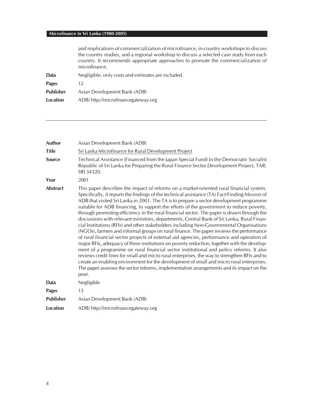|                  | and implications of commercialization of microfinance, in-country workshops to discuss<br>the country studies, and a regional workshop to discuss a selected case study from each<br>country. It recommends appropriate approaches to promote the commercialization of<br>microfinance. |
|------------------|-----------------------------------------------------------------------------------------------------------------------------------------------------------------------------------------------------------------------------------------------------------------------------------------|
| Data             | Negligible, only costs and estimates are included.                                                                                                                                                                                                                                      |
| Pages            | 12.                                                                                                                                                                                                                                                                                     |
| <b>Publisher</b> | Asian Development Bank (ADB)                                                                                                                                                                                                                                                            |
| Location         | ADB/http://microfinancegateway.org                                                                                                                                                                                                                                                      |
|                  |                                                                                                                                                                                                                                                                                         |

| Author           | Asian Development Bank (ADB)                                                                                                                                                                                                                                                                                                                                                                                                                                                                                                                                                                                                                                                                                                                                                                                                                                                                                                                                                                                                                                                                                                                                                                                                                                                                                                                                |
|------------------|-------------------------------------------------------------------------------------------------------------------------------------------------------------------------------------------------------------------------------------------------------------------------------------------------------------------------------------------------------------------------------------------------------------------------------------------------------------------------------------------------------------------------------------------------------------------------------------------------------------------------------------------------------------------------------------------------------------------------------------------------------------------------------------------------------------------------------------------------------------------------------------------------------------------------------------------------------------------------------------------------------------------------------------------------------------------------------------------------------------------------------------------------------------------------------------------------------------------------------------------------------------------------------------------------------------------------------------------------------------|
| <b>Title</b>     | Sri Lanka Microfinance for Rural Development Project                                                                                                                                                                                                                                                                                                                                                                                                                                                                                                                                                                                                                                                                                                                                                                                                                                                                                                                                                                                                                                                                                                                                                                                                                                                                                                        |
| <b>Source</b>    | Technical Assistance (Financed from the Japan Special Fund) to the Democratic Socialist<br>Republic of Sri Lanka for Preparing the Rural Finance Sector Development Project, TAR:<br>SRI 34320.                                                                                                                                                                                                                                                                                                                                                                                                                                                                                                                                                                                                                                                                                                                                                                                                                                                                                                                                                                                                                                                                                                                                                             |
| Year             | 2001                                                                                                                                                                                                                                                                                                                                                                                                                                                                                                                                                                                                                                                                                                                                                                                                                                                                                                                                                                                                                                                                                                                                                                                                                                                                                                                                                        |
| <b>Abstract</b>  | This paper describes the impact of reforms on a market-oriented rural financial system.<br>Specifically, it reports the findings of the technical assistance (TA) Fact-Finding Mission of<br>ADB that visited Sri Lanka in 2001. The TA is to prepare a sector development programme<br>suitable for ADB financing, to support the efforts of the government to reduce poverty,<br>through promoting efficiency in the rural financial sector. The paper is drawn through the<br>discussions with relevant ministries, departments, Central Bank of Sri Lanka, Rural Finan-<br>cial Institutions (RFIs) and other stakeholders including Non-Governmental Organisations<br>(NGOs), farmers and informal groups on rural finance. The paper reviews the performance<br>of rural financial sector projects of external aid agencies, performance and operation of<br>major RFIs, adequacy of these institutions on poverty reduction, together with the develop-<br>ment of a programme on rural financial sector institutional and policy reforms. It also<br>reviews credit lines for small and micro rural enterprises, the way to strengthen RFIs and to<br>create an enabling environment for the development of small and micro rural enterprises.<br>The paper assesses the sector reforms, implementation arrangements and its impact on the<br>poor. |
| Data             | Negligible                                                                                                                                                                                                                                                                                                                                                                                                                                                                                                                                                                                                                                                                                                                                                                                                                                                                                                                                                                                                                                                                                                                                                                                                                                                                                                                                                  |
| <b>Pages</b>     | 13                                                                                                                                                                                                                                                                                                                                                                                                                                                                                                                                                                                                                                                                                                                                                                                                                                                                                                                                                                                                                                                                                                                                                                                                                                                                                                                                                          |
| <b>Publisher</b> | Asian Development Bank (ADB)                                                                                                                                                                                                                                                                                                                                                                                                                                                                                                                                                                                                                                                                                                                                                                                                                                                                                                                                                                                                                                                                                                                                                                                                                                                                                                                                |
| Location         | ADB/http://microfinancegateway.org                                                                                                                                                                                                                                                                                                                                                                                                                                                                                                                                                                                                                                                                                                                                                                                                                                                                                                                                                                                                                                                                                                                                                                                                                                                                                                                          |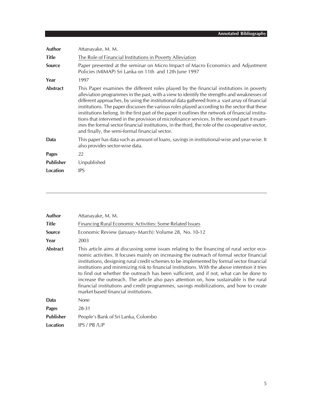| Author           | Attanayake, M. M.                                                                                                                                                                                                                                                                                                                                                                                                                                                                                                                                                                                                                                                                                                                                    |
|------------------|------------------------------------------------------------------------------------------------------------------------------------------------------------------------------------------------------------------------------------------------------------------------------------------------------------------------------------------------------------------------------------------------------------------------------------------------------------------------------------------------------------------------------------------------------------------------------------------------------------------------------------------------------------------------------------------------------------------------------------------------------|
| <b>Title</b>     | The Role of Financial Institutions in Poverty Alleviation                                                                                                                                                                                                                                                                                                                                                                                                                                                                                                                                                                                                                                                                                            |
| <b>Source</b>    | Paper presented at the seminar on Micro Impact of Macro Economics and Adjustment<br>Policies (MIMAP) Sri Lanka on 11th and 12th June 1997                                                                                                                                                                                                                                                                                                                                                                                                                                                                                                                                                                                                            |
| Year             | 1997                                                                                                                                                                                                                                                                                                                                                                                                                                                                                                                                                                                                                                                                                                                                                 |
| Abstract         | This Paper examines the different roles played by the financial institutions in poverty<br>alleviation programmes in the past, with a view to identify the strengths and weaknesses of<br>different approaches, by using the institutional data gathered from a vast array of financial<br>institutions. The paper discusses the various roles played according to the sector that these<br>institutions belong. In the first part of the paper it outlines the network of financial institu-<br>tions that intervened in the provision of microfinance services. In the second part it exam-<br>ines the formal sector financial institutions, in the third, the role of the co-operative sector,<br>and finally, the semi-formal financial sector. |
| Data             | This paper has data such as amount of loans, savings in institutional-wise and year-wise. It<br>also provides sector-wise data.                                                                                                                                                                                                                                                                                                                                                                                                                                                                                                                                                                                                                      |
| <b>Pages</b>     | 22                                                                                                                                                                                                                                                                                                                                                                                                                                                                                                                                                                                                                                                                                                                                                   |
| <b>Publisher</b> | Unpublished                                                                                                                                                                                                                                                                                                                                                                                                                                                                                                                                                                                                                                                                                                                                          |
| Location         | <b>IPS</b>                                                                                                                                                                                                                                                                                                                                                                                                                                                                                                                                                                                                                                                                                                                                           |

| <b>Author</b>    | Attanayake, M. M.                                                                                                                                                                                                                                                                                                                                                                                                                                                                                                                                                                                                                                                                                           |
|------------------|-------------------------------------------------------------------------------------------------------------------------------------------------------------------------------------------------------------------------------------------------------------------------------------------------------------------------------------------------------------------------------------------------------------------------------------------------------------------------------------------------------------------------------------------------------------------------------------------------------------------------------------------------------------------------------------------------------------|
| <b>Title</b>     | Financing Rural Economic Activities: Some Related Issues                                                                                                                                                                                                                                                                                                                                                                                                                                                                                                                                                                                                                                                    |
| <b>Source</b>    | Economic Review (January-March): Volume 28, No. 10-12                                                                                                                                                                                                                                                                                                                                                                                                                                                                                                                                                                                                                                                       |
| Year             | 2003                                                                                                                                                                                                                                                                                                                                                                                                                                                                                                                                                                                                                                                                                                        |
| <b>Abstract</b>  | This article aims at discussing some issues relating to the financing of rural sector eco-<br>nomic activities. It focuses mainly on increasing the outreach of formal sector financial<br>institutions, designing rural credit schemes to be implemented by formal sector financial<br>institutions and minimizing risk to financial institutions. With the above intention it tries<br>to find out whether the outreach has been sufficient, and if not, what can be done to<br>increase the outreach. The article also pays attention on, how sustainable is the rural<br>financial institutions and credit programmes, savings mobilizations, and how to create<br>market based financial institutions. |
| Data             | <b>None</b>                                                                                                                                                                                                                                                                                                                                                                                                                                                                                                                                                                                                                                                                                                 |
| <b>Pages</b>     | 28-31                                                                                                                                                                                                                                                                                                                                                                                                                                                                                                                                                                                                                                                                                                       |
| <b>Publisher</b> | People's Bank of Sri Lanka, Colombo                                                                                                                                                                                                                                                                                                                                                                                                                                                                                                                                                                                                                                                                         |
| Location         | IPS / PB /UP                                                                                                                                                                                                                                                                                                                                                                                                                                                                                                                                                                                                                                                                                                |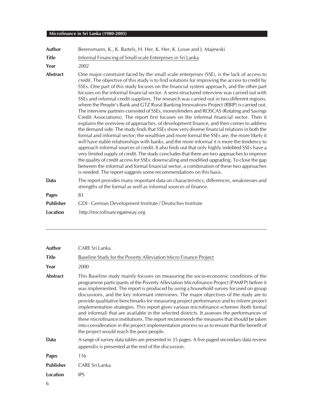| <b>Author</b>    | Berensmann, K., K. Bartels, H. Her, K. Her, K. Losse and J. Majewski                                                                                                                                                                                                                                                                                                                                                                                                                                                                                                                                                                                                                                                                                                                                                                                                                                                                                                                                                                                                                                                                                                                                                                                                                                                                                                                                                                                                                                                                                                                                                          |
|------------------|-------------------------------------------------------------------------------------------------------------------------------------------------------------------------------------------------------------------------------------------------------------------------------------------------------------------------------------------------------------------------------------------------------------------------------------------------------------------------------------------------------------------------------------------------------------------------------------------------------------------------------------------------------------------------------------------------------------------------------------------------------------------------------------------------------------------------------------------------------------------------------------------------------------------------------------------------------------------------------------------------------------------------------------------------------------------------------------------------------------------------------------------------------------------------------------------------------------------------------------------------------------------------------------------------------------------------------------------------------------------------------------------------------------------------------------------------------------------------------------------------------------------------------------------------------------------------------------------------------------------------------|
| <b>Title</b>     | Informal Financing of Small-scale Enterprises in Sri Lanka                                                                                                                                                                                                                                                                                                                                                                                                                                                                                                                                                                                                                                                                                                                                                                                                                                                                                                                                                                                                                                                                                                                                                                                                                                                                                                                                                                                                                                                                                                                                                                    |
| Year             | 2002                                                                                                                                                                                                                                                                                                                                                                                                                                                                                                                                                                                                                                                                                                                                                                                                                                                                                                                                                                                                                                                                                                                                                                                                                                                                                                                                                                                                                                                                                                                                                                                                                          |
| <b>Abstract</b>  | One major constraint faced by the small scale enterprises (SSE), is the lack of access to<br>credit. The objective of this study is to find solutions for improving the access to credit by<br>SSEs. One part of this study focuses on the financial system approach, and the other part<br>focuses on the informal financial sector. A semi-structured interview was carried out with<br>SSEs and informal credit suppliers. The research was carried out in two different regions,<br>where the People's Bank and GTZ Rural Banking Innovations Project (RBIP) is carried out.<br>The interview partners consisted of SSEs, moneylenders and ROSCAS (Rotating and Savings<br>Credit Associations). The report first focuses on the informal financial sector. Then it<br>explains the overview of approaches, of development finance, and then comes to address<br>the demand side. The study finds that SSEs show very diverse financial relations in both the<br>formal and informal sector; the wealthier and more formal the SSEs are, the more likely it<br>will have stable relationships with banks, and the more informal it is more the tendency to<br>approach informal sources of credit. It also finds out that only highly indebted SSEs have a<br>very limited supply of credit. The study concludes that there are two approaches to improve<br>the quality of credit access for SSEs: downscaling and modified upgrading. To close the gap<br>between the informal and formal financial sector, a combination of these two approaches<br>is needed. The report suggests some recommendations on this basis. |
| Data             | The report provides many important data on characteristics, differences, weaknesses and<br>strengths of the formal as well as informal sources of finance.                                                                                                                                                                                                                                                                                                                                                                                                                                                                                                                                                                                                                                                                                                                                                                                                                                                                                                                                                                                                                                                                                                                                                                                                                                                                                                                                                                                                                                                                    |
| <b>Pages</b>     | 83                                                                                                                                                                                                                                                                                                                                                                                                                                                                                                                                                                                                                                                                                                                                                                                                                                                                                                                                                                                                                                                                                                                                                                                                                                                                                                                                                                                                                                                                                                                                                                                                                            |
| <b>Publisher</b> | GDI - German Development Institute / Deutsches Institute                                                                                                                                                                                                                                                                                                                                                                                                                                                                                                                                                                                                                                                                                                                                                                                                                                                                                                                                                                                                                                                                                                                                                                                                                                                                                                                                                                                                                                                                                                                                                                      |
| Location         | http://microfinancegateway.org                                                                                                                                                                                                                                                                                                                                                                                                                                                                                                                                                                                                                                                                                                                                                                                                                                                                                                                                                                                                                                                                                                                                                                                                                                                                                                                                                                                                                                                                                                                                                                                                |

| <b>Author</b>    | CARE Sri Lanka                                                                                                                                                                                                                                                                                                                                                                                                                                                                                                                                                                                                                                                                                                                                                                                                                                                                                 |
|------------------|------------------------------------------------------------------------------------------------------------------------------------------------------------------------------------------------------------------------------------------------------------------------------------------------------------------------------------------------------------------------------------------------------------------------------------------------------------------------------------------------------------------------------------------------------------------------------------------------------------------------------------------------------------------------------------------------------------------------------------------------------------------------------------------------------------------------------------------------------------------------------------------------|
| <b>Title</b>     | Baseline Study for the Poverty Alleviation Micro Finance Project                                                                                                                                                                                                                                                                                                                                                                                                                                                                                                                                                                                                                                                                                                                                                                                                                               |
| Year             | 2000                                                                                                                                                                                                                                                                                                                                                                                                                                                                                                                                                                                                                                                                                                                                                                                                                                                                                           |
| <b>Abstract</b>  | This Baseline study mainly focuses on measuring the socio-economic conditions of the<br>programme participants of the Poverty Alleviation Microfinance Project (PAMFP) before it<br>was implemented. The report is produced by using a household survey focused on group<br>discussions, and the key informant interviews. The major objectives of the study are to<br>provide qualitative benchmarks for measuring project performance and to inform project<br>implementation strategies. This report gives various microfinance schemes (both formal<br>and informal) that are available in the selected districts. It assesses the performances of<br>these microfinance institutions. The report recommends the measures that should be taken<br>into consideration in the project implementation process so as to ensure that the benefit of<br>the project would reach the poor people. |
| Data             | A range of survey data tables are presented in 35 pages. A five paged secondary data review<br>appendix is presented at the end of the discussion.                                                                                                                                                                                                                                                                                                                                                                                                                                                                                                                                                                                                                                                                                                                                             |
| <b>Pages</b>     | 116                                                                                                                                                                                                                                                                                                                                                                                                                                                                                                                                                                                                                                                                                                                                                                                                                                                                                            |
| <b>Publisher</b> | CARE Sri Lanka                                                                                                                                                                                                                                                                                                                                                                                                                                                                                                                                                                                                                                                                                                                                                                                                                                                                                 |
| <b>Location</b>  | <b>IPS</b>                                                                                                                                                                                                                                                                                                                                                                                                                                                                                                                                                                                                                                                                                                                                                                                                                                                                                     |
|                  |                                                                                                                                                                                                                                                                                                                                                                                                                                                                                                                                                                                                                                                                                                                                                                                                                                                                                                |

6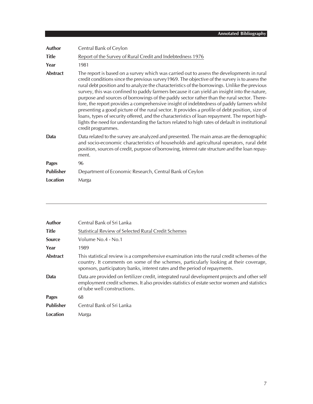| <b>Author</b>    | Central Bank of Ceylon                                                                                                                                                                                                                                                                                                                                                                                                                                                                                                                                                                                                                                                                                                                                                                                                                                                                                             |
|------------------|--------------------------------------------------------------------------------------------------------------------------------------------------------------------------------------------------------------------------------------------------------------------------------------------------------------------------------------------------------------------------------------------------------------------------------------------------------------------------------------------------------------------------------------------------------------------------------------------------------------------------------------------------------------------------------------------------------------------------------------------------------------------------------------------------------------------------------------------------------------------------------------------------------------------|
| <b>Title</b>     | Report of the Survey of Rural Credit and Indebtedness 1976                                                                                                                                                                                                                                                                                                                                                                                                                                                                                                                                                                                                                                                                                                                                                                                                                                                         |
| Year             | 1981                                                                                                                                                                                                                                                                                                                                                                                                                                                                                                                                                                                                                                                                                                                                                                                                                                                                                                               |
| <b>Abstract</b>  | The report is based on a survey which was carried out to assess the developments in rural<br>credit conditions since the previous survey 1969. The objective of the survey is to assess the<br>rural debt position and to analyze the characteristics of the borrowings. Unlike the previous<br>survey, this was confined to paddy farmers because it can yield an insight into the nature,<br>purpose and sources of borrowings of the paddy sector rather than the rural sector. There-<br>fore, the report provides a comprehensive insight of indebtedness of paddy farmers whilst<br>presenting a good picture of the rural sector. It provides a profile of debt position, size of<br>loans, types of security offered, and the characteristics of loan repayment. The report high-<br>lights the need for understanding the factors related to high rates of default in institutional<br>credit programmes. |
| Data             | Data related to the survey are analyzed and presented. The main areas are the demographic<br>and socio-economic characteristics of households and agricultural operators, rural debt<br>position, sources of credit, purpose of borrowing, interest rate structure and the loan repay-<br>ment.                                                                                                                                                                                                                                                                                                                                                                                                                                                                                                                                                                                                                    |
| <b>Pages</b>     | 96                                                                                                                                                                                                                                                                                                                                                                                                                                                                                                                                                                                                                                                                                                                                                                                                                                                                                                                 |
| <b>Publisher</b> | Department of Economic Research, Central Bank of Ceylon                                                                                                                                                                                                                                                                                                                                                                                                                                                                                                                                                                                                                                                                                                                                                                                                                                                            |
| Location         | Marga                                                                                                                                                                                                                                                                                                                                                                                                                                                                                                                                                                                                                                                                                                                                                                                                                                                                                                              |

| <b>Author</b>    | Central Bank of Sri Lanka                                                                                                                                                                                                                                          |
|------------------|--------------------------------------------------------------------------------------------------------------------------------------------------------------------------------------------------------------------------------------------------------------------|
| <b>Title</b>     | <b>Statistical Review of Selected Rural Credit Schemes</b>                                                                                                                                                                                                         |
| <b>Source</b>    | Volume No.4 - No.1                                                                                                                                                                                                                                                 |
| Year             | 1989                                                                                                                                                                                                                                                               |
| Abstract         | This statistical review is a comprehensive examination into the rural credit schemes of the<br>country. It comments on some of the schemes, particularly looking at their coverage,<br>sponsors, participatory banks, interest rates and the period of repayments. |
| Data             | Data are provided on fertilizer credit, integrated rural development projects and other self<br>employment credit schemes. It also provides statistics of estate sector women and statistics<br>of tube well constructions.                                        |
| <b>Pages</b>     | 68                                                                                                                                                                                                                                                                 |
| <b>Publisher</b> | Central Bank of Sri Lanka                                                                                                                                                                                                                                          |
| Location         | Marga                                                                                                                                                                                                                                                              |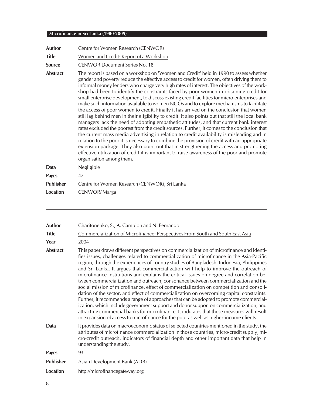| Author           | Centre for Women Research (CENWOR)                                                                                                                                                                                                                                                                                                                                                                                                                                                                                                                                                                                                                                                                                                                                                                                                                                                                                                                                                                                                                                                                                                                                                                                                                                                                                                                                              |
|------------------|---------------------------------------------------------------------------------------------------------------------------------------------------------------------------------------------------------------------------------------------------------------------------------------------------------------------------------------------------------------------------------------------------------------------------------------------------------------------------------------------------------------------------------------------------------------------------------------------------------------------------------------------------------------------------------------------------------------------------------------------------------------------------------------------------------------------------------------------------------------------------------------------------------------------------------------------------------------------------------------------------------------------------------------------------------------------------------------------------------------------------------------------------------------------------------------------------------------------------------------------------------------------------------------------------------------------------------------------------------------------------------|
| <b>Title</b>     | Women and Credit: Report of a Workshop                                                                                                                                                                                                                                                                                                                                                                                                                                                                                                                                                                                                                                                                                                                                                                                                                                                                                                                                                                                                                                                                                                                                                                                                                                                                                                                                          |
| <b>Source</b>    | <b>CENWOR Document Series No. 18</b>                                                                                                                                                                                                                                                                                                                                                                                                                                                                                                                                                                                                                                                                                                                                                                                                                                                                                                                                                                                                                                                                                                                                                                                                                                                                                                                                            |
| <b>Abstract</b>  | The report is based on a workshop on 'Women and Credit' held in 1990 to assess whether<br>gender and poverty reduce the effective access to credit for women, often driving them to<br>informal money lenders who charge very high rates of interest. The objectives of the work-<br>shop had been to identify the constraints faced by poor women in obtaining credit for<br>small enterprise development, to discuss existing credit facilities for micro-enterprises and<br>make such information available to women NGOs and to explore mechanisms to facilitate<br>the access of poor women to credit. Finally it has arrived on the conclusion that women<br>still lag behind men in their eligibility to credit. It also points out that still the local bank<br>managers lack the need of adopting empathetic attitudes, and that current bank interest<br>rates excluded the poorest from the credit sources. Further, it comes to the conclusion that<br>the current mass media advertising in relation to credit availability is misleading and in<br>relation to the poor it is necessary to combine the provision of credit with an appropriate<br>extension package. They also point out that in strengthening the access and promoting<br>effective utilization of credit it is important to raise awareness of the poor and promote<br>organisation among them. |
| Data             | Negligible                                                                                                                                                                                                                                                                                                                                                                                                                                                                                                                                                                                                                                                                                                                                                                                                                                                                                                                                                                                                                                                                                                                                                                                                                                                                                                                                                                      |
| <b>Pages</b>     | 47                                                                                                                                                                                                                                                                                                                                                                                                                                                                                                                                                                                                                                                                                                                                                                                                                                                                                                                                                                                                                                                                                                                                                                                                                                                                                                                                                                              |
| <b>Publisher</b> | Centre for Women Research (CENWOR), Sri Lanka                                                                                                                                                                                                                                                                                                                                                                                                                                                                                                                                                                                                                                                                                                                                                                                                                                                                                                                                                                                                                                                                                                                                                                                                                                                                                                                                   |
| Location         | CENWOR/Marga                                                                                                                                                                                                                                                                                                                                                                                                                                                                                                                                                                                                                                                                                                                                                                                                                                                                                                                                                                                                                                                                                                                                                                                                                                                                                                                                                                    |

| <b>Author</b>    | Charitonenko, S., A. Campion and N. Fernando                                                                                                                                                                                                                                                                                                                                                                                                                                                                                                                                                                                                                                                                                                                                                                                                                                                                                                                                                                                                                                                                                 |
|------------------|------------------------------------------------------------------------------------------------------------------------------------------------------------------------------------------------------------------------------------------------------------------------------------------------------------------------------------------------------------------------------------------------------------------------------------------------------------------------------------------------------------------------------------------------------------------------------------------------------------------------------------------------------------------------------------------------------------------------------------------------------------------------------------------------------------------------------------------------------------------------------------------------------------------------------------------------------------------------------------------------------------------------------------------------------------------------------------------------------------------------------|
| <b>Title</b>     | Commercialization of Microfinance: Perspectives From South and South East Asia                                                                                                                                                                                                                                                                                                                                                                                                                                                                                                                                                                                                                                                                                                                                                                                                                                                                                                                                                                                                                                               |
| Year             | 2004                                                                                                                                                                                                                                                                                                                                                                                                                                                                                                                                                                                                                                                                                                                                                                                                                                                                                                                                                                                                                                                                                                                         |
| <b>Abstract</b>  | This paper draws different perspectives on commercialization of microfinance and identi-<br>fies issues, challenges related to commercialization of microfinance in the Asia-Pacific<br>region, through the experiences of country studies of Bangladesh, Indonesia, Philippines<br>and Sri Lanka. It argues that commercialization will help to improve the outreach of<br>microfinance institutions and explains the critical issues on degree and correlation be-<br>tween commercialization and outreach, consonance between commercialization and the<br>social mission of microfinance, effect of commercialization on competition and consoli-<br>dation of the sector, and effect of commercialization on overcoming capital constraints.<br>Further, it recommends a range of approaches that can be adopted to promote commercial-<br>ization, which include government support and donor support on commercialization, and<br>attracting commercial banks for microfinance. It indicates that these measures will result<br>in expansion of access to microfinance for the poor as well as higher-income clients. |
| Data             | It provides data on macroeconomic status of selected countries mentioned in the study, the<br>attributes of microfinance commercialization in those countries, micro-credit supply, mi-<br>cro-credit outreach, indicators of financial depth and other important data that help in<br>understanding the study.                                                                                                                                                                                                                                                                                                                                                                                                                                                                                                                                                                                                                                                                                                                                                                                                              |
| <b>Pages</b>     | 93                                                                                                                                                                                                                                                                                                                                                                                                                                                                                                                                                                                                                                                                                                                                                                                                                                                                                                                                                                                                                                                                                                                           |
| <b>Publisher</b> | Asian Development Bank (ADB)                                                                                                                                                                                                                                                                                                                                                                                                                                                                                                                                                                                                                                                                                                                                                                                                                                                                                                                                                                                                                                                                                                 |
| <b>Location</b>  | http://microfinancegateway.org                                                                                                                                                                                                                                                                                                                                                                                                                                                                                                                                                                                                                                                                                                                                                                                                                                                                                                                                                                                                                                                                                               |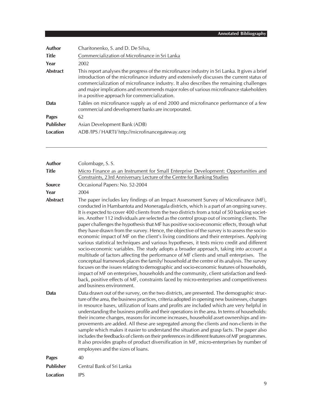| Author           | Charitonenko, S. and D. De Silva,                                                                                                                                                                                                                                                                                                                                                                                               |
|------------------|---------------------------------------------------------------------------------------------------------------------------------------------------------------------------------------------------------------------------------------------------------------------------------------------------------------------------------------------------------------------------------------------------------------------------------|
| <b>Title</b>     | Commercialization of Microfinance in Sri Lanka                                                                                                                                                                                                                                                                                                                                                                                  |
| Year             | 2002                                                                                                                                                                                                                                                                                                                                                                                                                            |
| <b>Abstract</b>  | This report analyses the progress of the microfinance industry in Sri Lanka. It gives a brief<br>introduction of the microfinance industry and extensively discusses the current status of<br>commercialization of microfinance industry. It also describes the remaining challenges<br>and major implications and recommends major roles of various microfinance stakeholders<br>in a positive approach for commercialization. |
| Data             | Tables on microfinance supply as of end 2000 and microfinance performance of a few<br>commercial and development banks are incorporated.                                                                                                                                                                                                                                                                                        |
| <b>Pages</b>     | 62                                                                                                                                                                                                                                                                                                                                                                                                                              |
| <b>Publisher</b> | Asian Development Bank (ADB)                                                                                                                                                                                                                                                                                                                                                                                                    |
| Location         | ADB/IPS/HARTI/http://microfinancegateway.org                                                                                                                                                                                                                                                                                                                                                                                    |

| <b>Author</b>    | Colombage, S.S.                                                                                                                                                                                                                                                                                                                                                                                                                                                                                                                                                                                                                                                                                                                                                                                                                                                                                                                                                                                                                                                                                                                                                                                                                                                                                                                                                        |
|------------------|------------------------------------------------------------------------------------------------------------------------------------------------------------------------------------------------------------------------------------------------------------------------------------------------------------------------------------------------------------------------------------------------------------------------------------------------------------------------------------------------------------------------------------------------------------------------------------------------------------------------------------------------------------------------------------------------------------------------------------------------------------------------------------------------------------------------------------------------------------------------------------------------------------------------------------------------------------------------------------------------------------------------------------------------------------------------------------------------------------------------------------------------------------------------------------------------------------------------------------------------------------------------------------------------------------------------------------------------------------------------|
| <b>Title</b>     | Micro Finance as an Instrument for Small Enterprise Development: Opportunities and<br>Constraints, 23rd Anniversary Lecture of the Centre for Banking Studies                                                                                                                                                                                                                                                                                                                                                                                                                                                                                                                                                                                                                                                                                                                                                                                                                                                                                                                                                                                                                                                                                                                                                                                                          |
| <b>Source</b>    | Occasional Papers: No. 52-2004                                                                                                                                                                                                                                                                                                                                                                                                                                                                                                                                                                                                                                                                                                                                                                                                                                                                                                                                                                                                                                                                                                                                                                                                                                                                                                                                         |
| Year             | 2004                                                                                                                                                                                                                                                                                                                                                                                                                                                                                                                                                                                                                                                                                                                                                                                                                                                                                                                                                                                                                                                                                                                                                                                                                                                                                                                                                                   |
| <b>Abstract</b>  | The paper includes key findings of an Impact Assessment Survey of Microfinance (MF),<br>conducted in Hambantota and Moneragala districts, which is a part of an ongoing survey.<br>It is expected to cover 400 clients from the two districts from a total of 50 banking societ-<br>ies. Another 112 individuals are selected as the control group out of incoming clients. The<br>paper challenges the hypothesis that MF has positive socio-economic effects, through what<br>they have drawn from the survey. Hence, the objective of the survey is to assess the socio-<br>economic impact of MF on the client's living conditions and their enterprises. Applying<br>various statistical techniques and various hypotheses, it tests micro credit and different<br>socio-economic variables. The study adopts a broader approach, taking into account a<br>multitude of factors affecting the performance of MF clients and small enterprises. The<br>conceptual framework places the family/household at the centre of its analysis. The survey<br>focuses on the issues relating to demographic and socio-economic features of households,<br>impact of MF on enterprises, households and the community, client satisfaction and feed-<br>back, positive effects of MF, constraints faced by micro-enterprises and competitiveness<br>and business environment. |
| Data             | Data drawn out of the survey, on the two districts, are presented. The demographic struc-<br>ture of the area, the business practices, criteria adopted in opening new businesses, changes<br>in resource bases, utilization of loans and profits are included which are very helpful in<br>understanding the business profile and their operations in the area. In terms of households:<br>their income changes, reasons for income increases, household asset ownerships and im-<br>provements are added. All these are segregated among the clients and non-clients in the<br>sample which makes it easier to understand the situation and grasp facts. The paper also<br>includes the feedbacks of clients on their preferences in different features of MF programmes.<br>It also provides graphs of product diversification in MF, micro-enterprises by number of<br>employees and the sizes of loans.                                                                                                                                                                                                                                                                                                                                                                                                                                                           |
| <b>Pages</b>     | 40                                                                                                                                                                                                                                                                                                                                                                                                                                                                                                                                                                                                                                                                                                                                                                                                                                                                                                                                                                                                                                                                                                                                                                                                                                                                                                                                                                     |
| <b>Publisher</b> | Central Bank of Sri Lanka                                                                                                                                                                                                                                                                                                                                                                                                                                                                                                                                                                                                                                                                                                                                                                                                                                                                                                                                                                                                                                                                                                                                                                                                                                                                                                                                              |
| <b>Location</b>  | <b>IPS</b>                                                                                                                                                                                                                                                                                                                                                                                                                                                                                                                                                                                                                                                                                                                                                                                                                                                                                                                                                                                                                                                                                                                                                                                                                                                                                                                                                             |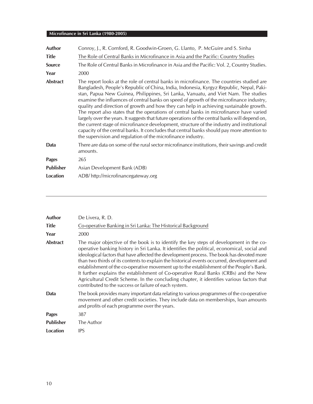| <b>Author</b>    | Conroy, J., R. Cornford, R. Goodwin-Groen, G. Llanto, P. McGuire and S. Sinha                                                                                                                                                                                                                                                                                                                                                                                                                                                                                                                                                                                                                                                                                                                                                                                                                                              |
|------------------|----------------------------------------------------------------------------------------------------------------------------------------------------------------------------------------------------------------------------------------------------------------------------------------------------------------------------------------------------------------------------------------------------------------------------------------------------------------------------------------------------------------------------------------------------------------------------------------------------------------------------------------------------------------------------------------------------------------------------------------------------------------------------------------------------------------------------------------------------------------------------------------------------------------------------|
| <b>Title</b>     | The Role of Central Banks in Microfinance in Asia and the Pacific: Country Studies                                                                                                                                                                                                                                                                                                                                                                                                                                                                                                                                                                                                                                                                                                                                                                                                                                         |
| <b>Source</b>    | The Role of Central Banks in Microfinance in Asia and the Pacific: Vol. 2, Country Studies.                                                                                                                                                                                                                                                                                                                                                                                                                                                                                                                                                                                                                                                                                                                                                                                                                                |
| Year             | 2000                                                                                                                                                                                                                                                                                                                                                                                                                                                                                                                                                                                                                                                                                                                                                                                                                                                                                                                       |
| Abstract         | The report looks at the role of central banks in microfinance. The countries studied are<br>Bangladesh, People's Republic of China, India, Indonesia, Kyrgyz Republic, Nepal, Paki-<br>stan, Papua New Guinea, Philippines, Sri Lanka, Vanuatu, and Viet Nam. The studies<br>examine the influences of central banks on speed of growth of the microfinance industry,<br>quality and direction of growth and how they can help in achieving sustainable growth.<br>The report also states that the operations of central banks in microfinance have varied<br>largely over the years. It suggests that future operations of the central banks will depend on,<br>the current stage of microfinance development, structure of the industry and institutional<br>capacity of the central banks. It concludes that central banks should pay more attention to<br>the supervision and regulation of the microfinance industry. |
| Data             | There are data on some of the rural sector microfinance institutions, their savings and credit<br>amounts.                                                                                                                                                                                                                                                                                                                                                                                                                                                                                                                                                                                                                                                                                                                                                                                                                 |
| <b>Pages</b>     | 265                                                                                                                                                                                                                                                                                                                                                                                                                                                                                                                                                                                                                                                                                                                                                                                                                                                                                                                        |
| <b>Publisher</b> | Asian Development Bank (ADB)                                                                                                                                                                                                                                                                                                                                                                                                                                                                                                                                                                                                                                                                                                                                                                                                                                                                                               |
| Location         | ADB/http://microfinancegateway.org                                                                                                                                                                                                                                                                                                                                                                                                                                                                                                                                                                                                                                                                                                                                                                                                                                                                                         |
|                  |                                                                                                                                                                                                                                                                                                                                                                                                                                                                                                                                                                                                                                                                                                                                                                                                                                                                                                                            |

| Author           | De Livera, R. D.                                                                                                                                                                                                                                                                                                                                                                                                                                                                                                                                                                                                                                                                                                           |
|------------------|----------------------------------------------------------------------------------------------------------------------------------------------------------------------------------------------------------------------------------------------------------------------------------------------------------------------------------------------------------------------------------------------------------------------------------------------------------------------------------------------------------------------------------------------------------------------------------------------------------------------------------------------------------------------------------------------------------------------------|
| Title            | Co-operative Banking in Sri Lanka: The Historical Background                                                                                                                                                                                                                                                                                                                                                                                                                                                                                                                                                                                                                                                               |
| Year             | 2000                                                                                                                                                                                                                                                                                                                                                                                                                                                                                                                                                                                                                                                                                                                       |
| Abstract         | The major objective of the book is to identify the key steps of development in the co-<br>operative banking history in Sri Lanka. It identifies the political, economical, social and<br>ideological factors that have affected the development process. The book has devoted more<br>than two thirds of its contents to explain the historical events occurred, development and<br>establishment of the co-operative movement up to the establishment of the People's Bank.<br>It further explains the establishment of Co-operative Rural Banks (CRBs) and the New<br>Agricultural Credit Scheme. In the concluding chapter, it identifies various factors that<br>contributed to the success or failure of each system. |
| Data             | The book provides many important data relating to various programmes of the co-operative<br>movement and other credit societies. They include data on memberships, loan amounts<br>and profits of each programme over the years.                                                                                                                                                                                                                                                                                                                                                                                                                                                                                           |
| <b>Pages</b>     | 387                                                                                                                                                                                                                                                                                                                                                                                                                                                                                                                                                                                                                                                                                                                        |
| <b>Publisher</b> | The Author                                                                                                                                                                                                                                                                                                                                                                                                                                                                                                                                                                                                                                                                                                                 |
| Location         | <b>IPS</b>                                                                                                                                                                                                                                                                                                                                                                                                                                                                                                                                                                                                                                                                                                                 |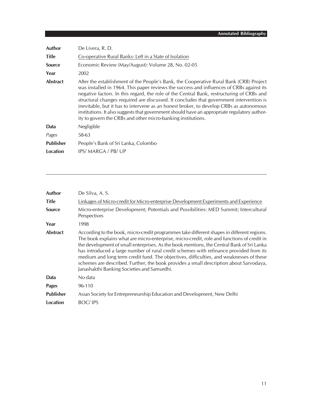| Author           | De Livera, R. D.                                                                                                                                                                                                                                                                                                                                                                                                                                                                                                                                                                                                                     |
|------------------|--------------------------------------------------------------------------------------------------------------------------------------------------------------------------------------------------------------------------------------------------------------------------------------------------------------------------------------------------------------------------------------------------------------------------------------------------------------------------------------------------------------------------------------------------------------------------------------------------------------------------------------|
| <b>Title</b>     | Co-operative Rural Banks: Left in a State of Isolation                                                                                                                                                                                                                                                                                                                                                                                                                                                                                                                                                                               |
| <b>Source</b>    | Economic Review (May/August): Volume 28, No. 02-05                                                                                                                                                                                                                                                                                                                                                                                                                                                                                                                                                                                   |
| Year             | 2002                                                                                                                                                                                                                                                                                                                                                                                                                                                                                                                                                                                                                                 |
| <b>Abstract</b>  | After the establishment of the People's Bank, the Cooperative Rural Bank (CRB) Project<br>was installed in 1964. This paper reviews the success and influences of CRBs against its<br>negative factors. In this regard, the role of the Central Bank, restructuring of CRBs and<br>structural changes required are discussed. It concludes that government intervention is<br>inevitable, but it has to intervene as an honest broker, to develop CRBs as autonomous<br>institutions. It also suggests that government should have an appropriate regulatory author-<br>ity to govern the CRBs and other micro-banking institutions. |
| Data             | Negligible                                                                                                                                                                                                                                                                                                                                                                                                                                                                                                                                                                                                                           |
| Pages            | 58-63                                                                                                                                                                                                                                                                                                                                                                                                                                                                                                                                                                                                                                |
| <b>Publisher</b> | People's Bank of Sri Lanka, Colombo                                                                                                                                                                                                                                                                                                                                                                                                                                                                                                                                                                                                  |
| <b>Location</b>  | IPS/MARGA/PB/UP                                                                                                                                                                                                                                                                                                                                                                                                                                                                                                                                                                                                                      |

| Author           | De Silva, A. S.                                                                                                                                                                                                                                                                                                                                                                                                                                                                                                                                                                                                     |
|------------------|---------------------------------------------------------------------------------------------------------------------------------------------------------------------------------------------------------------------------------------------------------------------------------------------------------------------------------------------------------------------------------------------------------------------------------------------------------------------------------------------------------------------------------------------------------------------------------------------------------------------|
| <b>Title</b>     | Linkages of Micro-credit for Micro-enterprise Development Experiments and Experience                                                                                                                                                                                                                                                                                                                                                                                                                                                                                                                                |
| <b>Source</b>    | Micro-enterprise Development; Potentials and Possibilities: MED Summit; Intercultural<br>Perspectives                                                                                                                                                                                                                                                                                                                                                                                                                                                                                                               |
| Year             | 1998                                                                                                                                                                                                                                                                                                                                                                                                                                                                                                                                                                                                                |
| <b>Abstract</b>  | According to the book, micro-credit programmes take different shapes in different regions.<br>The book explains what are micro-enterprise, micro-credit, role and functions of credit in<br>the development of small enterprises. As the book mentions, the Central Bank of Sri Lanka<br>has introduced a large number of rural credit schemes with refinance provided from its<br>medium and long term credit fund. The objectives, difficulties, and weaknesses of these<br>schemes are described. Further, the book provides a small description about Sarvodaya,<br>Janashakthi Banking Societies and Samurdhi. |
| Data             | No data                                                                                                                                                                                                                                                                                                                                                                                                                                                                                                                                                                                                             |
| <b>Pages</b>     | 96-110                                                                                                                                                                                                                                                                                                                                                                                                                                                                                                                                                                                                              |
| <b>Publisher</b> | Asian Society for Entrepreneurship Education and Development, New Delhi                                                                                                                                                                                                                                                                                                                                                                                                                                                                                                                                             |
| Location         | <b>BOC/IPS</b>                                                                                                                                                                                                                                                                                                                                                                                                                                                                                                                                                                                                      |
|                  |                                                                                                                                                                                                                                                                                                                                                                                                                                                                                                                                                                                                                     |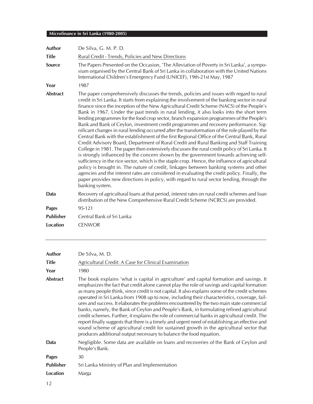| Author          | De Silva, G. M. P. D.                                                                                                                                                                                                                                                                                                                                                                                                                                                                                                                                                                                                                                                                                                                                                                                                                                                                                                                                                                                                                                                                                                                                                                                                                                                                                                                                                                                                                                                 |
|-----------------|-----------------------------------------------------------------------------------------------------------------------------------------------------------------------------------------------------------------------------------------------------------------------------------------------------------------------------------------------------------------------------------------------------------------------------------------------------------------------------------------------------------------------------------------------------------------------------------------------------------------------------------------------------------------------------------------------------------------------------------------------------------------------------------------------------------------------------------------------------------------------------------------------------------------------------------------------------------------------------------------------------------------------------------------------------------------------------------------------------------------------------------------------------------------------------------------------------------------------------------------------------------------------------------------------------------------------------------------------------------------------------------------------------------------------------------------------------------------------|
| <b>Title</b>    | Rural Credit - Trends, Policies and New Directions                                                                                                                                                                                                                                                                                                                                                                                                                                                                                                                                                                                                                                                                                                                                                                                                                                                                                                                                                                                                                                                                                                                                                                                                                                                                                                                                                                                                                    |
| <b>Source</b>   | The Papers Presented on the Occasion, 'The Alleviation of Poverty in Sri Lanka', a sympo-<br>sium organised by the Central Bank of Sri Lanka in collaboration with the United Nations<br>International Children's Emergency Fund (UNICEF), 19th-21st May, 1987                                                                                                                                                                                                                                                                                                                                                                                                                                                                                                                                                                                                                                                                                                                                                                                                                                                                                                                                                                                                                                                                                                                                                                                                        |
| Year            | 1987                                                                                                                                                                                                                                                                                                                                                                                                                                                                                                                                                                                                                                                                                                                                                                                                                                                                                                                                                                                                                                                                                                                                                                                                                                                                                                                                                                                                                                                                  |
| <b>Abstract</b> | The paper comprehensively discusses the trends, policies and issues with regard to rural<br>credit in Sri Lanka. It starts from explaining the involvement of the banking sector in rural<br>finance since the inception of the New Agricultural Credit Scheme (NACS) of the People's<br>Bank in 1967. Under the past trends in rural lending, it also looks into the short term<br>lending programmes for the food crop sector, branch expansion programmes of the People's<br>Bank and Bank of Ceylon, investment credit programmes and recovery performance. Sig-<br>nificant changes in rural lending occurred after the transformation of the role played by the<br>Central Bank with the establishment of the first Regional Office of the Central Bank, Rural<br>Credit Advisory Board, Department of Rural Credit and Rural Banking and Staff Training<br>College in 1981. The paper then extensively discusses the rural credit policy of Sri Lanka. It<br>is strongly influenced by the concern shown by the government towards achieving self-<br>sufficiency in the rice sector, which is the staple crop. Hence, the influence of agricultural<br>policy is brought in. The nature of credit, linkages between banking systems and other<br>agencies and the interest rates are considered in evaluating the credit policy. Finally, the<br>paper provides new directions in policy, with regard to rural sector lending, through the<br>banking system. |
| Data            | Recovery of agricultural loans at that period, interest rates on rural credit schemes and loan<br>distribution of the New Comprehensive Rural Credit Scheme (NCRCS) are provided.                                                                                                                                                                                                                                                                                                                                                                                                                                                                                                                                                                                                                                                                                                                                                                                                                                                                                                                                                                                                                                                                                                                                                                                                                                                                                     |
| Pages           | 95-121                                                                                                                                                                                                                                                                                                                                                                                                                                                                                                                                                                                                                                                                                                                                                                                                                                                                                                                                                                                                                                                                                                                                                                                                                                                                                                                                                                                                                                                                |
| Publisher       | Central Bank of Sri Lanka                                                                                                                                                                                                                                                                                                                                                                                                                                                                                                                                                                                                                                                                                                                                                                                                                                                                                                                                                                                                                                                                                                                                                                                                                                                                                                                                                                                                                                             |
| <b>Location</b> | <b>CENWOR</b>                                                                                                                                                                                                                                                                                                                                                                                                                                                                                                                                                                                                                                                                                                                                                                                                                                                                                                                                                                                                                                                                                                                                                                                                                                                                                                                                                                                                                                                         |

| <b>Author</b>    | De Silva, M. D.                                                                                                                                                                                                                                                                                                                                                                                                                                                                                                                                                                                                                                                                                                                                                                                                                                                                                                                                         |
|------------------|---------------------------------------------------------------------------------------------------------------------------------------------------------------------------------------------------------------------------------------------------------------------------------------------------------------------------------------------------------------------------------------------------------------------------------------------------------------------------------------------------------------------------------------------------------------------------------------------------------------------------------------------------------------------------------------------------------------------------------------------------------------------------------------------------------------------------------------------------------------------------------------------------------------------------------------------------------|
| <b>Title</b>     | Agricultural Credit: A Case for Clinical Examination                                                                                                                                                                                                                                                                                                                                                                                                                                                                                                                                                                                                                                                                                                                                                                                                                                                                                                    |
| Year             | 1980                                                                                                                                                                                                                                                                                                                                                                                                                                                                                                                                                                                                                                                                                                                                                                                                                                                                                                                                                    |
| <b>Abstract</b>  | The book explains 'what is capital in agriculture' and capital formation and savings. It<br>emphasizes the fact that credit alone cannot play the role of savings and capital formation<br>as many people think, since credit is not capital. It also explains some of the credit schemes<br>operated in Sri Lanka from 1908 up to now, including their characteristics, coverage, fail-<br>ures and success. It elaborates the problems encountered by the two main state commercial<br>banks, namely, the Bank of Ceylon and People's Bank, in formulating refined agricultural<br>credit schemes. Further, it explains the role of commercial banks in agricultural credit. The<br>report finally suggests that there is a timely and urgent need of establishing an effective and<br>sound scheme of agricultural credit for sustained growth in the agricultural sector that<br>produces additional output necessary to balance the food equation. |
| Data             | Negligible. Some data are available on loans and recoveries of the Bank of Ceylon and<br>People's Bank.                                                                                                                                                                                                                                                                                                                                                                                                                                                                                                                                                                                                                                                                                                                                                                                                                                                 |
| <b>Pages</b>     | 30                                                                                                                                                                                                                                                                                                                                                                                                                                                                                                                                                                                                                                                                                                                                                                                                                                                                                                                                                      |
| <b>Publisher</b> | Sri Lanka Ministry of Plan and Implementation                                                                                                                                                                                                                                                                                                                                                                                                                                                                                                                                                                                                                                                                                                                                                                                                                                                                                                           |
| Location         | Marga                                                                                                                                                                                                                                                                                                                                                                                                                                                                                                                                                                                                                                                                                                                                                                                                                                                                                                                                                   |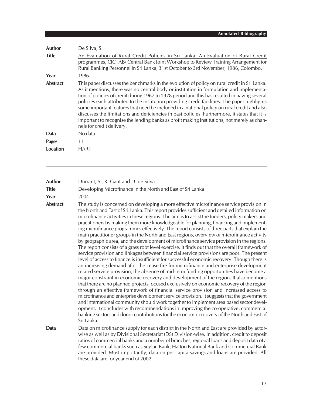| Author          | De Silva, S.                                                                                                                                                                                                                                                                                                                                                                                                                                                                                                                                                                                                                                                                                                           |
|-----------------|------------------------------------------------------------------------------------------------------------------------------------------------------------------------------------------------------------------------------------------------------------------------------------------------------------------------------------------------------------------------------------------------------------------------------------------------------------------------------------------------------------------------------------------------------------------------------------------------------------------------------------------------------------------------------------------------------------------------|
| <b>Title</b>    | An Evaluation of Rural Credit Policies in Sri Lanka: An Evaluation of Rural Credit<br>programmes, CICTAB/Central Bank Joint Workshop to Review Training Arrangement for<br>Rural Banking Personnel in Sri Lanka, 31st October to 3rd November, 1986, Colombo.                                                                                                                                                                                                                                                                                                                                                                                                                                                          |
| Year            | 1986                                                                                                                                                                                                                                                                                                                                                                                                                                                                                                                                                                                                                                                                                                                   |
| <b>Abstract</b> | This paper discusses the benchmarks in the evolution of policy on rural credit in Sri Lanka.<br>As it mentions, there was no central body or institution in formulation and implementa-<br>tion of policies of credit during 1967 to 1978 period and this has resulted in having several<br>policies each attributed to the institution providing credit facilities. The paper highlights<br>some important features that need be included in a national policy on rural credit and also<br>discusses the limitations and deficiencies in past policies. Furthermore, it states that it is<br>important to recognise the lending banks as profit making institutions, not merely as chan-<br>nels for credit delivery. |
| Data            | No data                                                                                                                                                                                                                                                                                                                                                                                                                                                                                                                                                                                                                                                                                                                |
| <b>Pages</b>    | 11                                                                                                                                                                                                                                                                                                                                                                                                                                                                                                                                                                                                                                                                                                                     |
| Location        | HARTI                                                                                                                                                                                                                                                                                                                                                                                                                                                                                                                                                                                                                                                                                                                  |

| <b>Author</b> | Durrant, S., R. Gant and D. de Silva                        |
|---------------|-------------------------------------------------------------|
| <b>Title</b>  | Developing Microfinance in the North and East of Sri Lanka  |
| Year          | 2004                                                        |
| Abetract      | The study is concerned on developing a more effective micro |

**Abstract** The study is concerned on developing a more effective microfinance service provision in the North and East of Sri Lanka. This report provides sufficient and detailed information on microfinance activities in these regions. The aim is to assist the funders, policy makers and practitioners by making them more knowledgeable for planning, financing and implementing microfinance programmes effectively. The report consists of three parts that explain the main practitioner groups in the North and East regions, overview of microfinance activity by geographic area, and the development of microfinance service provision in the regions. The report consists of a grass root level exercise. It finds out that the overall framework of service provision and linkages between financial service provisions are poor. The present level of access to finance is insufficient for successful economic recovery. Though there is an increasing demand after the cease-fire for microfinance and enterprise development related service provision, the absence of mid-term funding opportunities have become a major constraint in economic recovery and development of the region. It also mentions that there are no planned projects focused exclusively on economic recovery of the region through an effective framework of financial service provision and increased access to microfinance and enterprise development service provision. It suggests that the government and international community should work together to implement area based sector development. It concludes with recommendations in improving the co-operative, commercial banking sectors and donor contributions for the economic recovery of the North and East of Sri Lanka.

**Data** Data on microfinance supply for each district in the North and East are provided by actorwise as well as by Divisional Secretariat (DS) Division-wise. In addition, credit to deposit ratios of commercial banks and a number of branches, regional loans and deposit data of a few commercial banks such as Seylan Bank, Hatton National Bank and Commercial Bank are provided. Most importantly, data on per capita savings and loans are provided. All these data are for year end of 2002.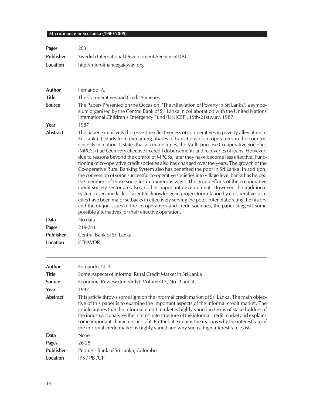| <b>Pages</b>     | 203                                             |
|------------------|-------------------------------------------------|
| <b>Publisher</b> | Swedish International Development Agency (SIDA) |
| Location         | http://microfinancegateway.org                  |

| <b>Author</b>    | Fernando, A.                                                                                                                                                                                                                                                                                                                                                                                                                                                                                                                                                                                                                                                                                                                                                                                                                                                                                                                                                                                                                                                                                                                                                                                                                                                                                                            |
|------------------|-------------------------------------------------------------------------------------------------------------------------------------------------------------------------------------------------------------------------------------------------------------------------------------------------------------------------------------------------------------------------------------------------------------------------------------------------------------------------------------------------------------------------------------------------------------------------------------------------------------------------------------------------------------------------------------------------------------------------------------------------------------------------------------------------------------------------------------------------------------------------------------------------------------------------------------------------------------------------------------------------------------------------------------------------------------------------------------------------------------------------------------------------------------------------------------------------------------------------------------------------------------------------------------------------------------------------|
| <b>Title</b>     | The Co-operatives and Credit Societies                                                                                                                                                                                                                                                                                                                                                                                                                                                                                                                                                                                                                                                                                                                                                                                                                                                                                                                                                                                                                                                                                                                                                                                                                                                                                  |
| Source           | The Papers Presented on the Occasion, 'The Alleviation of Poverty in Sri Lanka', a sympo-<br>sium organised by the Central Bank of Sri Lanka in collaboration with the United Nations<br>International Children's Emergency Fund (UNICEF), 19th-21st May, 1987                                                                                                                                                                                                                                                                                                                                                                                                                                                                                                                                                                                                                                                                                                                                                                                                                                                                                                                                                                                                                                                          |
| Year             | 1987                                                                                                                                                                                                                                                                                                                                                                                                                                                                                                                                                                                                                                                                                                                                                                                                                                                                                                                                                                                                                                                                                                                                                                                                                                                                                                                    |
| <b>Abstract</b>  | The paper extensively discusses the effectiveness of co-operatives in poverty alleviation in<br>Sri Lanka. It starts from explaining phases of transitions of co-operatives in the country,<br>since its inception. It states that at certain times, the Multi-purpose Co-operative Societies<br>(MPCSs) had been very effective in credit disbursements and recoveries of loans. However,<br>due to reasons beyond the control of MPCSs, later they have become less effective. Func-<br>tioning of co-operative credit societies also has changed over the years. The growth of the<br>Co-operative Rural Banking System also has benefited the poor in Sri Lanka. In addition,<br>the conversion of some successful co-operative societies into village level banks has helped<br>the members of those societies in numerous ways. The group efforts of the co-operative<br>credit society sector are also another important development. However, the traditional<br>systems used and lack of scientific knowledge in project formulation by co-operative soci-<br>eties have been major setbacks in effectively serving the poor. After elaborating the history<br>and the major issues of the co-operatives and credit societies, the paper suggests some<br>possible alternatives for their effective operation. |
| Data             | No data                                                                                                                                                                                                                                                                                                                                                                                                                                                                                                                                                                                                                                                                                                                                                                                                                                                                                                                                                                                                                                                                                                                                                                                                                                                                                                                 |
| <b>Pages</b>     | 219-241                                                                                                                                                                                                                                                                                                                                                                                                                                                                                                                                                                                                                                                                                                                                                                                                                                                                                                                                                                                                                                                                                                                                                                                                                                                                                                                 |
| <b>Publisher</b> | Central Bank of Sri Lanka                                                                                                                                                                                                                                                                                                                                                                                                                                                                                                                                                                                                                                                                                                                                                                                                                                                                                                                                                                                                                                                                                                                                                                                                                                                                                               |

| <b>Author</b><br><b>Title</b><br><b>Source</b><br>Year | Fernando, N.A.<br>Some Aspects of Informal Rural Credit Market in Sri Lanka<br>Economic Review (June/July): Volume 13, No. 3 and 4<br>1987                                                                                                                                                                                                                                                                                                                                                                                                                                              |
|--------------------------------------------------------|-----------------------------------------------------------------------------------------------------------------------------------------------------------------------------------------------------------------------------------------------------------------------------------------------------------------------------------------------------------------------------------------------------------------------------------------------------------------------------------------------------------------------------------------------------------------------------------------|
| <b>Abstract</b>                                        | This article throws some light on the informal credit market of Sri Lanka. The main objec-<br>tive of this paper is to examine the important aspects of the informal credit market. The<br>article argues that the informal credit market is highly varied in terms of stake-holders of<br>the industry. It analyses the interest rate structure of the informal credit market and explains<br>some important characteristics of it. Further, it explains the reasons why the interest rate of<br>the informal credit market is highly varied and why such a high interest rate exists. |
| Data                                                   | <b>None</b>                                                                                                                                                                                                                                                                                                                                                                                                                                                                                                                                                                             |
| <b>Pages</b>                                           | $26 - 28$                                                                                                                                                                                                                                                                                                                                                                                                                                                                                                                                                                               |
| <b>Publisher</b>                                       | People's Bank of Sri Lanka, Colombo                                                                                                                                                                                                                                                                                                                                                                                                                                                                                                                                                     |
| Location                                               | IPS / PB /UP                                                                                                                                                                                                                                                                                                                                                                                                                                                                                                                                                                            |

**Location** CENWOR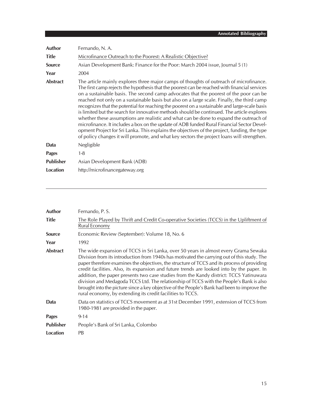| Author           | Fernando, N.A.                                                                                                                                                                                                                                                                                                                                                                                                                                                                                                                                                                                                                                                                                                                                                                                                                                                                                                                                                     |
|------------------|--------------------------------------------------------------------------------------------------------------------------------------------------------------------------------------------------------------------------------------------------------------------------------------------------------------------------------------------------------------------------------------------------------------------------------------------------------------------------------------------------------------------------------------------------------------------------------------------------------------------------------------------------------------------------------------------------------------------------------------------------------------------------------------------------------------------------------------------------------------------------------------------------------------------------------------------------------------------|
| <b>Title</b>     | Microfinance Outreach to the Poorest: A Realistic Objective?                                                                                                                                                                                                                                                                                                                                                                                                                                                                                                                                                                                                                                                                                                                                                                                                                                                                                                       |
| <b>Source</b>    | Asian Development Bank: Finance for the Poor: March 2004 issue, Journal 5 (1)                                                                                                                                                                                                                                                                                                                                                                                                                                                                                                                                                                                                                                                                                                                                                                                                                                                                                      |
| Year             | 2004                                                                                                                                                                                                                                                                                                                                                                                                                                                                                                                                                                                                                                                                                                                                                                                                                                                                                                                                                               |
| <b>Abstract</b>  | The article mainly explores three major camps of thoughts of outreach of microfinance.<br>The first camp rejects the hypothesis that the poorest can be reached with financial services<br>on a sustainable basis. The second camp advocates that the poorest of the poor can be<br>reached not only on a sustainable basis but also on a large scale. Finally, the third camp<br>recognizes that the potential for reaching the poorest on a sustainable and large-scale basis<br>is limited but the search for innovative methods should be continued. The article explores<br>whether these assumptions are realistic and what can be done to expand the outreach of<br>microfinance. It includes a box on the update of ADB funded Rural Financial Sector Devel-<br>opment Project for Sri Lanka. This explains the objectives of the project, funding, the type<br>of policy changes it will promote, and what key sectors the project loans will strengthen. |
| Data             | Negligible                                                                                                                                                                                                                                                                                                                                                                                                                                                                                                                                                                                                                                                                                                                                                                                                                                                                                                                                                         |
| <b>Pages</b>     | $1 - 8$                                                                                                                                                                                                                                                                                                                                                                                                                                                                                                                                                                                                                                                                                                                                                                                                                                                                                                                                                            |
| <b>Publisher</b> | Asian Development Bank (ADB)                                                                                                                                                                                                                                                                                                                                                                                                                                                                                                                                                                                                                                                                                                                                                                                                                                                                                                                                       |
| <b>Location</b>  | http://microfinancegateway.org                                                                                                                                                                                                                                                                                                                                                                                                                                                                                                                                                                                                                                                                                                                                                                                                                                                                                                                                     |

| <b>Author</b>    | Fernando, P.S.                                                                                                                                                                                                                                                                                                                                                                                                                                                                                                                                                                                                                                                                                                                   |
|------------------|----------------------------------------------------------------------------------------------------------------------------------------------------------------------------------------------------------------------------------------------------------------------------------------------------------------------------------------------------------------------------------------------------------------------------------------------------------------------------------------------------------------------------------------------------------------------------------------------------------------------------------------------------------------------------------------------------------------------------------|
| <b>Title</b>     | The Role Played by Thrift and Credit Co-operative Societies (TCCS) in the Upliftment of<br>Rural Economy                                                                                                                                                                                                                                                                                                                                                                                                                                                                                                                                                                                                                         |
| Source           | Economic Review (September): Volume 18, No. 6                                                                                                                                                                                                                                                                                                                                                                                                                                                                                                                                                                                                                                                                                    |
| Year             | 1992                                                                                                                                                                                                                                                                                                                                                                                                                                                                                                                                                                                                                                                                                                                             |
| <b>Abstract</b>  | The wide expansion of TCCS in Sri Lanka, over 50 years in almost every Grama Sewaka<br>Division from its introduction from 1940s has motivated the carrying out of this study. The<br>paper therefore examines the objectives, the structure of TCCS and its process of providing<br>credit facilities. Also, its expansion and future trends are looked into by the paper. In<br>addition, the paper presents two case studies from the Kandy district: TCCS Yatinuwara<br>division and Medagoda TCCS Ltd. The relationship of TCCS with the People's Bank is also<br>brought into the picture since a key objective of the People's Bank had been to improve the<br>rural economy, by extending its credit facilities to TCCS. |
| Data             | Data on statistics of TCCS movement as at 31st December 1991, extension of TCCS from<br>1980-1981 are provided in the paper.                                                                                                                                                                                                                                                                                                                                                                                                                                                                                                                                                                                                     |
| <b>Pages</b>     | $9 - 14$                                                                                                                                                                                                                                                                                                                                                                                                                                                                                                                                                                                                                                                                                                                         |
| <b>Publisher</b> | People's Bank of Sri Lanka, Colombo                                                                                                                                                                                                                                                                                                                                                                                                                                                                                                                                                                                                                                                                                              |
| <b>Location</b>  | <b>PB</b>                                                                                                                                                                                                                                                                                                                                                                                                                                                                                                                                                                                                                                                                                                                        |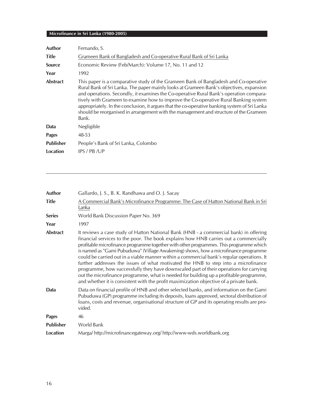| Author           | Fernando, S.                                                                                                                                                                                                                                                                                                                                                                                                                                                                                                                                                        |
|------------------|---------------------------------------------------------------------------------------------------------------------------------------------------------------------------------------------------------------------------------------------------------------------------------------------------------------------------------------------------------------------------------------------------------------------------------------------------------------------------------------------------------------------------------------------------------------------|
| <b>Title</b>     | Grameen Bank of Bangladesh and Co-operative Rural Bank of Sri Lanka                                                                                                                                                                                                                                                                                                                                                                                                                                                                                                 |
| <b>Source</b>    | Economic Review (Feb/March): Volume 17, No. 11 and 12                                                                                                                                                                                                                                                                                                                                                                                                                                                                                                               |
| Year             | 1992                                                                                                                                                                                                                                                                                                                                                                                                                                                                                                                                                                |
| <b>Abstract</b>  | This paper is a comparative study of the Grameen Bank of Bangladesh and Co-operative<br>Rural Bank of Sri Lanka. The paper mainly looks at Grameen Bank's objectives, expansion<br>and operations. Secondly, it examines the Co-operative Rural Bank's operation compara-<br>tively with Grameen to examine how to improve the Co-operative Rural Banking system<br>appropriately. In the conclusion, it argues that the co-operative banking system of Sri Lanka<br>should be reorganised in arrangement with the management and structure of the Grameen<br>Bank. |
| Data             | Negligible                                                                                                                                                                                                                                                                                                                                                                                                                                                                                                                                                          |
| <b>Pages</b>     | 48-53                                                                                                                                                                                                                                                                                                                                                                                                                                                                                                                                                               |
| <b>Publisher</b> | People's Bank of Sri Lanka, Colombo                                                                                                                                                                                                                                                                                                                                                                                                                                                                                                                                 |
| Location         | IPS / PB / UP                                                                                                                                                                                                                                                                                                                                                                                                                                                                                                                                                       |
|                  |                                                                                                                                                                                                                                                                                                                                                                                                                                                                                                                                                                     |

| <b>Author</b>    | Gallardo, J. S., B. K. Randhawa and O. J. Sacay                                                                                                                                                                                                                                                                                                                                                                                                                                                                                                                                                                                                                                                                                                                                                                                 |
|------------------|---------------------------------------------------------------------------------------------------------------------------------------------------------------------------------------------------------------------------------------------------------------------------------------------------------------------------------------------------------------------------------------------------------------------------------------------------------------------------------------------------------------------------------------------------------------------------------------------------------------------------------------------------------------------------------------------------------------------------------------------------------------------------------------------------------------------------------|
| <b>Title</b>     | A Commercial Bank's Microfinance Programme: The Case of Hatton National Bank in Sri<br>Lanka                                                                                                                                                                                                                                                                                                                                                                                                                                                                                                                                                                                                                                                                                                                                    |
| <b>Series</b>    | World Bank Discussion Paper No. 369                                                                                                                                                                                                                                                                                                                                                                                                                                                                                                                                                                                                                                                                                                                                                                                             |
| Year             | 1997                                                                                                                                                                                                                                                                                                                                                                                                                                                                                                                                                                                                                                                                                                                                                                                                                            |
| <b>Abstract</b>  | It reviews a case study of Hatton National Bank (HNB - a commercial bank) in offering<br>financial services to the poor. The book explains how HNB carries out a commercially<br>profitable microfinance programme together with other programmes. This programme which<br>is named as "Gami Pubuduwa" (Village Awakening) shows, how a microfinance programme<br>could be carried out in a viable manner within a commercial bank's regular operations. It<br>further addresses the issues of what motivated the HNB to step into a microfinance<br>programme, how successfully they have downscaled part of their operations for carrying<br>out the microfinance programme, what is needed for building up a profitable programme,<br>and whether it is consistent with the profit maximization objective of a private bank. |
| <b>Data</b>      | Data on financial profile of HNB and other selected banks, and information on the Gami<br>Pubuduwa (GP) programme including its deposits, loans approved, sectoral distribution of<br>loans, costs and revenue, organisational structure of GP and its operating results are pro-<br>vided.                                                                                                                                                                                                                                                                                                                                                                                                                                                                                                                                     |
| <b>Pages</b>     | 46                                                                                                                                                                                                                                                                                                                                                                                                                                                                                                                                                                                                                                                                                                                                                                                                                              |
| <b>Publisher</b> | World Bank                                                                                                                                                                                                                                                                                                                                                                                                                                                                                                                                                                                                                                                                                                                                                                                                                      |
| Location         | Marga/http://microfinancegateway.org/http://www-wds.worldbank.org                                                                                                                                                                                                                                                                                                                                                                                                                                                                                                                                                                                                                                                                                                                                                               |
|                  |                                                                                                                                                                                                                                                                                                                                                                                                                                                                                                                                                                                                                                                                                                                                                                                                                                 |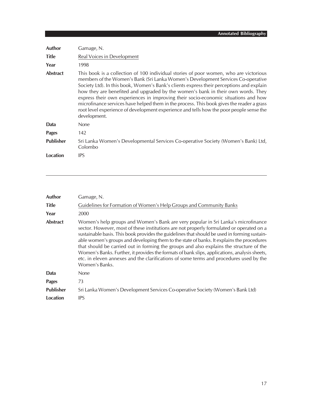| Author           | Gamage, N.                                                                                                                                                                                                                                                                                                                                                                                                                                                                                                                                                                                                                                              |
|------------------|---------------------------------------------------------------------------------------------------------------------------------------------------------------------------------------------------------------------------------------------------------------------------------------------------------------------------------------------------------------------------------------------------------------------------------------------------------------------------------------------------------------------------------------------------------------------------------------------------------------------------------------------------------|
| <b>Title</b>     | Real Voices in Development                                                                                                                                                                                                                                                                                                                                                                                                                                                                                                                                                                                                                              |
| Year             | 1998                                                                                                                                                                                                                                                                                                                                                                                                                                                                                                                                                                                                                                                    |
| <b>Abstract</b>  | This book is a collection of 100 individual stories of poor women, who are victorious<br>members of the Women's Bank (Sri Lanka Women's Development Services Co-operative<br>Society Ltd). In this book, Women's Bank's clients express their perceptions and explain<br>how they are benefited and upgraded by the women's bank in their own words. They<br>express their own experiences in improving their socio-economic situations and how<br>microfinance services have helped them in the process. This book gives the reader a grass<br>root level experience of development experience and tells how the poor people sense the<br>development. |
| Data             | <b>None</b>                                                                                                                                                                                                                                                                                                                                                                                                                                                                                                                                                                                                                                             |
| Pages            | 142                                                                                                                                                                                                                                                                                                                                                                                                                                                                                                                                                                                                                                                     |
| <b>Publisher</b> | Sri Lanka Women's Developmental Services Co-operative Society (Women's Bank) Ltd,<br>Colombo                                                                                                                                                                                                                                                                                                                                                                                                                                                                                                                                                            |
| <b>Location</b>  | <b>IPS</b>                                                                                                                                                                                                                                                                                                                                                                                                                                                                                                                                                                                                                                              |

| <b>Author</b>    | Gamage, N.                                                                                                                                                                                                                                                                                                                                                                                                                                                                                                                                                                                                                                                                         |
|------------------|------------------------------------------------------------------------------------------------------------------------------------------------------------------------------------------------------------------------------------------------------------------------------------------------------------------------------------------------------------------------------------------------------------------------------------------------------------------------------------------------------------------------------------------------------------------------------------------------------------------------------------------------------------------------------------|
| <b>Title</b>     | Guidelines for Formation of Women's Help Groups and Community Banks                                                                                                                                                                                                                                                                                                                                                                                                                                                                                                                                                                                                                |
| Year             | 2000                                                                                                                                                                                                                                                                                                                                                                                                                                                                                                                                                                                                                                                                               |
| <b>Abstract</b>  | Women's help groups and Women's Bank are very popular in Sri Lanka's microfinance<br>sector. However, most of these institutions are not properly formulated or operated on a<br>sustainable basis. This book provides the guidelines that should be used in forming sustain-<br>able women's groups and developing them to the state of banks. It explains the procedures<br>that should be carried out in forming the groups and also explains the structure of the<br>Women's Banks. Further, it provides the formats of bank slips, applications, analysis sheets,<br>etc. in eleven annexes and the clarifications of some terms and procedures used by the<br>Women's Banks. |
| Data             | <b>None</b>                                                                                                                                                                                                                                                                                                                                                                                                                                                                                                                                                                                                                                                                        |
| <b>Pages</b>     | 73                                                                                                                                                                                                                                                                                                                                                                                                                                                                                                                                                                                                                                                                                 |
| <b>Publisher</b> | Sri Lanka Women's Development Services Co-operative Society (Women's Bank Ltd)                                                                                                                                                                                                                                                                                                                                                                                                                                                                                                                                                                                                     |
| Location         | <b>IPS</b>                                                                                                                                                                                                                                                                                                                                                                                                                                                                                                                                                                                                                                                                         |
|                  |                                                                                                                                                                                                                                                                                                                                                                                                                                                                                                                                                                                                                                                                                    |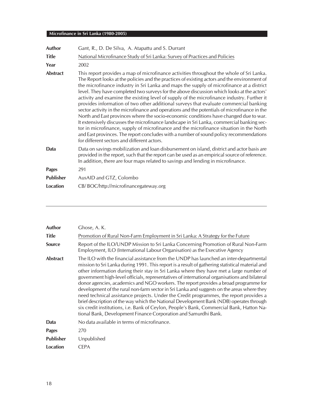| Author          | Gant, R., D. De Silva, A. Atapattu and S. Durrant                                                                                                                                                                                                                                                                                                                                                                                                                                                                                                                                                                                                                                                                                                                                                                                                                                                                                                                                                                                                                                                   |
|-----------------|-----------------------------------------------------------------------------------------------------------------------------------------------------------------------------------------------------------------------------------------------------------------------------------------------------------------------------------------------------------------------------------------------------------------------------------------------------------------------------------------------------------------------------------------------------------------------------------------------------------------------------------------------------------------------------------------------------------------------------------------------------------------------------------------------------------------------------------------------------------------------------------------------------------------------------------------------------------------------------------------------------------------------------------------------------------------------------------------------------|
| <b>Title</b>    | National Microfinance Study of Sri Lanka: Survey of Practices and Policies                                                                                                                                                                                                                                                                                                                                                                                                                                                                                                                                                                                                                                                                                                                                                                                                                                                                                                                                                                                                                          |
| Year            | 2002                                                                                                                                                                                                                                                                                                                                                                                                                                                                                                                                                                                                                                                                                                                                                                                                                                                                                                                                                                                                                                                                                                |
| <b>Abstract</b> | This report provides a map of microfinance activities throughout the whole of Sri Lanka.<br>The Report looks at the policies and the practices of existing actors and the environment of<br>the microfinance industry in Sri Lanka and maps the supply of microfinance at a district<br>level. They have completed two surveys for the above discussion which looks at the actors'<br>activity and examine the existing level of supply of the microfinance industry. Further it<br>provides information of two other additional surveys that evaluate commercial banking<br>sector activity in the microfinance and operations and the potentials of microfinance in the<br>North and East provinces where the socio-economic conditions have changed due to war.<br>It extensively discusses the microfinance landscape in Sri Lanka, commercial banking sec-<br>tor in microfinance, supply of microfinance and the microfinance situation in the North<br>and East provinces. The report concludes with a number of sound policy recommendations<br>for different sectors and different actors. |
| Data            | Data on savings mobilization and loan disbursement on island, district and actor basis are<br>provided in the report, such that the report can be used as an empirical source of reference.<br>In addition, there are four maps related to savings and lending in microfinance.                                                                                                                                                                                                                                                                                                                                                                                                                                                                                                                                                                                                                                                                                                                                                                                                                     |
| <b>Pages</b>    | 291                                                                                                                                                                                                                                                                                                                                                                                                                                                                                                                                                                                                                                                                                                                                                                                                                                                                                                                                                                                                                                                                                                 |
| Publisher       | AusAID and GTZ, Colombo                                                                                                                                                                                                                                                                                                                                                                                                                                                                                                                                                                                                                                                                                                                                                                                                                                                                                                                                                                                                                                                                             |
| <b>Location</b> | CB/BOC/http://microfinancegateway.org                                                                                                                                                                                                                                                                                                                                                                                                                                                                                                                                                                                                                                                                                                                                                                                                                                                                                                                                                                                                                                                               |

| Author           | Ghose, A. K.                                                                                                                                                                                                                                                                                                                                                                                                                                                                                                                                                                                                                                                                                                                                                                                                                                                                                                                   |  |
|------------------|--------------------------------------------------------------------------------------------------------------------------------------------------------------------------------------------------------------------------------------------------------------------------------------------------------------------------------------------------------------------------------------------------------------------------------------------------------------------------------------------------------------------------------------------------------------------------------------------------------------------------------------------------------------------------------------------------------------------------------------------------------------------------------------------------------------------------------------------------------------------------------------------------------------------------------|--|
| <b>Title</b>     | Promotion of Rural Non-Farm Employment in Sri Lanka: A Strategy for the Future                                                                                                                                                                                                                                                                                                                                                                                                                                                                                                                                                                                                                                                                                                                                                                                                                                                 |  |
| <b>Source</b>    | Report of the ILO/UNDP Mission to Sri Lanka Concerning Promotion of Rural Non-Farm<br>Employment, ILO (International Labour Organisation) as the Executive Agency                                                                                                                                                                                                                                                                                                                                                                                                                                                                                                                                                                                                                                                                                                                                                              |  |
| <b>Abstract</b>  | The ILO with the financial assistance from the UNDP has launched an inter-departmental<br>mission to Sri Lanka during 1991. This report is a result of gathering statistical material and<br>other information during their stay in Sri Lanka where they have met a large number of<br>government high-level officials, representatives of international organisations and bilateral<br>donor agencies, academics and NGO workers. The report provides a broad programme for<br>development of the rural non-farm sector in Sri Lanka and suggests on the areas where they<br>need technical assistance projects. Under the Credit programmes, the report provides a<br>brief description of the way which the National Development Bank (NDB) operates through<br>six credit institutions, i.e. Bank of Ceylon, People's Bank, Commercial Bank, Hatton Na-<br>tional Bank, Development Finance Corporation and Samurdhi Bank. |  |
| Data             | No data available in terms of microfinance.                                                                                                                                                                                                                                                                                                                                                                                                                                                                                                                                                                                                                                                                                                                                                                                                                                                                                    |  |
| <b>Pages</b>     | 270                                                                                                                                                                                                                                                                                                                                                                                                                                                                                                                                                                                                                                                                                                                                                                                                                                                                                                                            |  |
| <b>Publisher</b> | Unpublished                                                                                                                                                                                                                                                                                                                                                                                                                                                                                                                                                                                                                                                                                                                                                                                                                                                                                                                    |  |
| Location         | <b>CEPA</b>                                                                                                                                                                                                                                                                                                                                                                                                                                                                                                                                                                                                                                                                                                                                                                                                                                                                                                                    |  |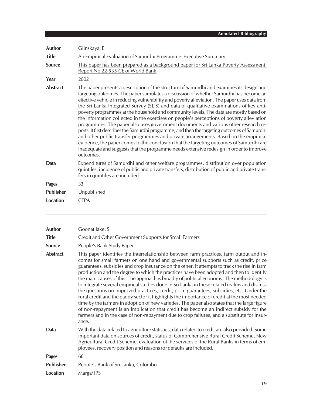| Author           | Glinskaya, E.                                                                                                                                                                                                                                                                                                                                                                                                                                                                                                                                                                                                                                                                                                                                                                                                                                                                                                                                                                                                                                                |
|------------------|--------------------------------------------------------------------------------------------------------------------------------------------------------------------------------------------------------------------------------------------------------------------------------------------------------------------------------------------------------------------------------------------------------------------------------------------------------------------------------------------------------------------------------------------------------------------------------------------------------------------------------------------------------------------------------------------------------------------------------------------------------------------------------------------------------------------------------------------------------------------------------------------------------------------------------------------------------------------------------------------------------------------------------------------------------------|
| <b>Title</b>     | An Empirical Evaluation of Samurdhi Programme: Executive Summary                                                                                                                                                                                                                                                                                                                                                                                                                                                                                                                                                                                                                                                                                                                                                                                                                                                                                                                                                                                             |
| Source           | This paper has been prepared as a background paper for Sri Lanka Poverty Assessment,<br>Report No 22-535-CE of World Bank                                                                                                                                                                                                                                                                                                                                                                                                                                                                                                                                                                                                                                                                                                                                                                                                                                                                                                                                    |
| Year             | 2002                                                                                                                                                                                                                                                                                                                                                                                                                                                                                                                                                                                                                                                                                                                                                                                                                                                                                                                                                                                                                                                         |
| <b>Abstract</b>  | The paper presents a description of the structure of Samurdhi and examines its design and<br>targeting outcomes. The paper stimulates a discussion of whether Samurdhi has become an<br>effective vehicle in reducing vulnerability and poverty alleviation. The paper uses data from<br>the Sri Lanka Integrated Survey (SLIS) and data of qualitative examinations of key anti-<br>poverty programmes at the household and community levels. The data are mostly based on<br>the information collected in the exercises on people's perceptions of poverty alleviation<br>programmes. The paper also uses government documents and various other research re-<br>ports. It first describes the Samurdhi programme, and then the targeting outcomes of Samurdhi<br>and other public transfer programmes and private arrangements. Based on the empirical<br>evidence, the paper comes to the conclusion that the targeting outcomes of Samurdhi are<br>inadequate and suggests that the programme needs extensive redesign in order to improve<br>outcomes. |
| Data             | Expenditures of Samurdhi and other welfare programmes, distribution over population<br>quintiles, incidence of public and private transfers, distribution of public and private trans-<br>fers in quintiles are included.                                                                                                                                                                                                                                                                                                                                                                                                                                                                                                                                                                                                                                                                                                                                                                                                                                    |
| <b>Pages</b>     | 33                                                                                                                                                                                                                                                                                                                                                                                                                                                                                                                                                                                                                                                                                                                                                                                                                                                                                                                                                                                                                                                           |
| <b>Publisher</b> | Unpublished                                                                                                                                                                                                                                                                                                                                                                                                                                                                                                                                                                                                                                                                                                                                                                                                                                                                                                                                                                                                                                                  |
| <b>Location</b>  | <b>CEPA</b>                                                                                                                                                                                                                                                                                                                                                                                                                                                                                                                                                                                                                                                                                                                                                                                                                                                                                                                                                                                                                                                  |
| <b>Author</b>    | Goonatilake, S.                                                                                                                                                                                                                                                                                                                                                                                                                                                                                                                                                                                                                                                                                                                                                                                                                                                                                                                                                                                                                                              |
| <b>Title</b>     | Credit and Other Government Supports for Small Farmers                                                                                                                                                                                                                                                                                                                                                                                                                                                                                                                                                                                                                                                                                                                                                                                                                                                                                                                                                                                                       |
| <b>Source</b>    | People's Bank Study Paper                                                                                                                                                                                                                                                                                                                                                                                                                                                                                                                                                                                                                                                                                                                                                                                                                                                                                                                                                                                                                                    |

**Abstract** This paper identifies the interrelationship between farm practices, farm output and incomes for small farmers on one hand and governmental supports such as credit, price guarantees, subsidies and crop insurance on the other. It attempts to track the rise in farm production and the degree to which the practices have been adopted and then to identify the main causes of this. The approach is broadly of political economy. The methodology is to integrate several empirical studies done in Sri Lanka in these related realms and discuss the questions on improved practices, credit, price guarantees, subsidies, etc. Under the rural credit and the paddy sector it highlights the importance of credit at the most needed time by the farmers in adoption of new varieties. The paper also states that the large figure of non-repayment is an implication that credit has become an indirect subsidy for the farmers and in the case of non-repayment due to crop failures, and a substitute for insurance.

**Data** With the data related to agriculture statistics, data related to credit are also provided. Some important data on sources of credit, status of Comprehensive Rural Credit Scheme, New Agricultural Credit Scheme, evaluation of the services of the Rural Banks in terms of employees, recovery position and reasons for defaults are included.

| <b>Pages</b> | 66                                  |
|--------------|-------------------------------------|
| Publisher    | People's Bank of Sri Lanka, Colombo |
|              |                                     |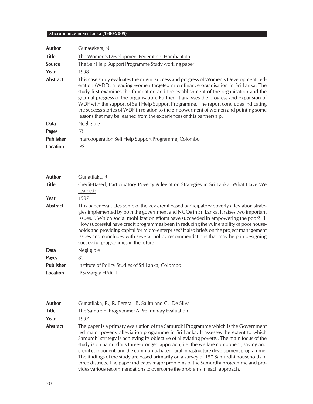| Author           | Gunasekera, N.                                                                                                                                                                                                                                                                                                                                                                                                                                                                                                                                                                                                              |
|------------------|-----------------------------------------------------------------------------------------------------------------------------------------------------------------------------------------------------------------------------------------------------------------------------------------------------------------------------------------------------------------------------------------------------------------------------------------------------------------------------------------------------------------------------------------------------------------------------------------------------------------------------|
| <b>Title</b>     | The Women's Development Federation: Hambantota                                                                                                                                                                                                                                                                                                                                                                                                                                                                                                                                                                              |
| <b>Source</b>    | The Self Help Support Programme Study working paper                                                                                                                                                                                                                                                                                                                                                                                                                                                                                                                                                                         |
| Year             | 1998                                                                                                                                                                                                                                                                                                                                                                                                                                                                                                                                                                                                                        |
| <b>Abstract</b>  | This case study evaluates the origin, success and progress of Women's Development Fed-<br>eration (WDF), a leading women targeted microfinance organisation in Sri Lanka. The<br>study first examines the foundation and the establishment of the organisation and the<br>gradual progress of the organisation. Further, it analyses the progress and expansion of<br>WDF with the support of Self Help Support Programme. The report concludes indicating<br>the success stories of WDF in relation to the empowerment of women and pointing some<br>lessons that may be learned from the experiences of this partnership. |
| Data             | Negligible                                                                                                                                                                                                                                                                                                                                                                                                                                                                                                                                                                                                                  |
| <b>Pages</b>     | 53                                                                                                                                                                                                                                                                                                                                                                                                                                                                                                                                                                                                                          |
| <b>Publisher</b> | Intercooperation Self Help Support Programme, Colombo                                                                                                                                                                                                                                                                                                                                                                                                                                                                                                                                                                       |
| Location         | <b>IPS</b>                                                                                                                                                                                                                                                                                                                                                                                                                                                                                                                                                                                                                  |

| Author           | Gunatilaka, R.                                                                                                                                                                                                                                                                                                                                                                                                                                                                                                                                                                                            |
|------------------|-----------------------------------------------------------------------------------------------------------------------------------------------------------------------------------------------------------------------------------------------------------------------------------------------------------------------------------------------------------------------------------------------------------------------------------------------------------------------------------------------------------------------------------------------------------------------------------------------------------|
| <b>Title</b>     | Credit-Based, Participatory Poverty Alleviation Strategies in Sri Lanka: What Have We<br>Learned?                                                                                                                                                                                                                                                                                                                                                                                                                                                                                                         |
| Year             | 1997                                                                                                                                                                                                                                                                                                                                                                                                                                                                                                                                                                                                      |
| <b>Abstract</b>  | This paper evaluates some of the key credit based participatory poverty alleviation strate-<br>gies implemented by both the government and NGOs in Sri Lanka. It raises two important<br>issues, i. Which social mobilization efforts have succeeded in empowering the poor? ii.<br>How successful have credit programmes been in reducing the vulnerability of poor house-<br>holds and providing capital for micro-enterprises? It also briefs on the project management<br>issues and concludes with several policy recommendations that may help in designing<br>successful programmes in the future. |
| Data             | Negligible                                                                                                                                                                                                                                                                                                                                                                                                                                                                                                                                                                                                |
| <b>Pages</b>     | 80                                                                                                                                                                                                                                                                                                                                                                                                                                                                                                                                                                                                        |
| <b>Publisher</b> | Institute of Policy Studies of Sri Lanka, Colombo                                                                                                                                                                                                                                                                                                                                                                                                                                                                                                                                                         |
| Location         | IPS/Marga/ HARTI                                                                                                                                                                                                                                                                                                                                                                                                                                                                                                                                                                                          |
|                  |                                                                                                                                                                                                                                                                                                                                                                                                                                                                                                                                                                                                           |

| Author   | Gunatilaka, R., R. Perera, R. Salith and C. De Silva                                                                                                                                                                                                                                                                                                                                                                                                                                                                                                                                                                                                                                                                          |
|----------|-------------------------------------------------------------------------------------------------------------------------------------------------------------------------------------------------------------------------------------------------------------------------------------------------------------------------------------------------------------------------------------------------------------------------------------------------------------------------------------------------------------------------------------------------------------------------------------------------------------------------------------------------------------------------------------------------------------------------------|
| Title    | The Samurdhi Programme: A Preliminary Evaluation                                                                                                                                                                                                                                                                                                                                                                                                                                                                                                                                                                                                                                                                              |
| Year     | 1997                                                                                                                                                                                                                                                                                                                                                                                                                                                                                                                                                                                                                                                                                                                          |
| Abstract | The paper is a primary evaluation of the Samurdhi Programme which is the Government<br>led major poverty alleviation programme in Sri Lanka. It assesses the extent to which<br>Samurdhi strategy is achieving its objective of alleviating poverty. The main focus of the<br>study is on Samurdhi's three-pronged approach, i.e. the welfare component, saving and<br>credit component, and the community based rural infrastructure development programme.<br>The findings of the study are based primarily on a survey of 150 Samurdhi households in<br>three districts. The paper indicates major problems of the Samurdhi programme and pro-<br>vides various recommendations to overcome the problems in each approach. |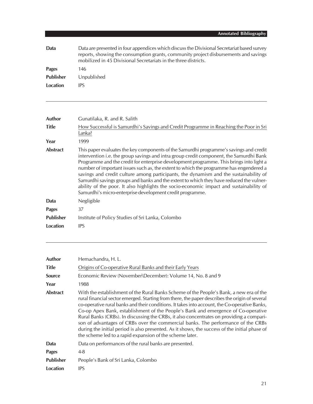| Data             | Data are presented in four appendices which discuss the Divisional Secretariat based survey<br>reports, showing the consumption grants, community project disbursements and savings<br>mobilized in 45 Divisional Secretariats in the three districts. |
|------------------|--------------------------------------------------------------------------------------------------------------------------------------------------------------------------------------------------------------------------------------------------------|
| Pages            | 146                                                                                                                                                                                                                                                    |
| <b>Publisher</b> | Unpublished                                                                                                                                                                                                                                            |
| Location         | IPS                                                                                                                                                                                                                                                    |

| Author           | Gunatilaka, R. and R. Salith                                                                                                                                                                                                                                                                                                                                                                                                                                                                                                                                                                                                                                                                                       |
|------------------|--------------------------------------------------------------------------------------------------------------------------------------------------------------------------------------------------------------------------------------------------------------------------------------------------------------------------------------------------------------------------------------------------------------------------------------------------------------------------------------------------------------------------------------------------------------------------------------------------------------------------------------------------------------------------------------------------------------------|
| <b>Title</b>     | How Successful is Samurdhi's Savings and Credit Programme in Reaching the Poor in Sri<br>Lanka?                                                                                                                                                                                                                                                                                                                                                                                                                                                                                                                                                                                                                    |
| Year             | 1999                                                                                                                                                                                                                                                                                                                                                                                                                                                                                                                                                                                                                                                                                                               |
| <b>Abstract</b>  | This paper evaluates the key components of the Samurdhi programme's savings and credit<br>intervention i.e. the group savings and intra group credit component, the Samurdhi Bank<br>Programme and the credit for enterprise development programme. This brings into light a<br>number of important issues such as, the extent to which the programme has engendered a<br>savings and credit culture among participants, the dynamism and the sustainability of<br>Samurdhi savings groups and banks and the extent to which they have reduced the vulner-<br>ability of the poor. It also highlights the socio-economic impact and sustainability of<br>Samurdhi's micro-enterprise development credit programme. |
| Data             | Negligible                                                                                                                                                                                                                                                                                                                                                                                                                                                                                                                                                                                                                                                                                                         |
| <b>Pages</b>     | 37                                                                                                                                                                                                                                                                                                                                                                                                                                                                                                                                                                                                                                                                                                                 |
| <b>Publisher</b> | Institute of Policy Studies of Sri Lanka, Colombo                                                                                                                                                                                                                                                                                                                                                                                                                                                                                                                                                                                                                                                                  |
| Location         | <b>IPS</b>                                                                                                                                                                                                                                                                                                                                                                                                                                                                                                                                                                                                                                                                                                         |

| Author           | Hemachandra, H. L.                                                                                                                                                                                                                                                                                                                                                                                                                                                                                                                                                                                                                                                                                                           |
|------------------|------------------------------------------------------------------------------------------------------------------------------------------------------------------------------------------------------------------------------------------------------------------------------------------------------------------------------------------------------------------------------------------------------------------------------------------------------------------------------------------------------------------------------------------------------------------------------------------------------------------------------------------------------------------------------------------------------------------------------|
| <b>Title</b>     | Origins of Co-operative Rural Banks and their Early Years                                                                                                                                                                                                                                                                                                                                                                                                                                                                                                                                                                                                                                                                    |
| <b>Source</b>    | Economic Review (November\December): Volume 14, No. 8 and 9                                                                                                                                                                                                                                                                                                                                                                                                                                                                                                                                                                                                                                                                  |
| Year             | 1988                                                                                                                                                                                                                                                                                                                                                                                                                                                                                                                                                                                                                                                                                                                         |
| <b>Abstract</b>  | With the establishment of the Rural Banks Scheme of the People's Bank, a new era of the<br>rural financial sector emerged. Starting from there, the paper describes the origin of several<br>co-operative rural banks and their conditions. It takes into account, the Co-operative Banks,<br>Co-op Apex Bank, establishment of the People's Bank and emergence of Co-operative<br>Rural Banks (CRBs). In discussing the CRBs, it also concentrates on providing a compari-<br>son of advantages of CRBs over the commercial banks. The performance of the CRBs<br>during the initial period is also presented. As it shows, the success of the initial phase of<br>the scheme led to a rapid expansion of the scheme later. |
| Data             | Data on performances of the rural banks are presented.                                                                                                                                                                                                                                                                                                                                                                                                                                                                                                                                                                                                                                                                       |
| <b>Pages</b>     | $4 - 8$                                                                                                                                                                                                                                                                                                                                                                                                                                                                                                                                                                                                                                                                                                                      |
| <b>Publisher</b> | People's Bank of Sri Lanka, Colombo                                                                                                                                                                                                                                                                                                                                                                                                                                                                                                                                                                                                                                                                                          |
| Location         | IPS                                                                                                                                                                                                                                                                                                                                                                                                                                                                                                                                                                                                                                                                                                                          |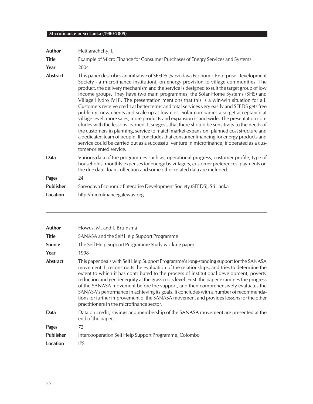| <b>Author</b>   | Hettiarachchy, I.                                                                                                                                                                                                                                                                                                                                                                                                                                                                                                                                                                                                                                                                                                                                                                                                                                                                                                                                                                                                                                                                                                                                                      |
|-----------------|------------------------------------------------------------------------------------------------------------------------------------------------------------------------------------------------------------------------------------------------------------------------------------------------------------------------------------------------------------------------------------------------------------------------------------------------------------------------------------------------------------------------------------------------------------------------------------------------------------------------------------------------------------------------------------------------------------------------------------------------------------------------------------------------------------------------------------------------------------------------------------------------------------------------------------------------------------------------------------------------------------------------------------------------------------------------------------------------------------------------------------------------------------------------|
| <b>Title</b>    | Example of Micro Finance for Consumer Purchases of Energy Services and Systems                                                                                                                                                                                                                                                                                                                                                                                                                                                                                                                                                                                                                                                                                                                                                                                                                                                                                                                                                                                                                                                                                         |
| Year            | 2004                                                                                                                                                                                                                                                                                                                                                                                                                                                                                                                                                                                                                                                                                                                                                                                                                                                                                                                                                                                                                                                                                                                                                                   |
| <b>Abstract</b> | This paper describes an initiative of SEEDS (Sarvodaya Economic Enterprise Development<br>Society - a microfinance institution), on energy provision to village communities. The<br>product, the delivery mechanism and the service is designed to suit the target group of low<br>income groups. They have two main programmes, the Solar Home Systems (SHS) and<br>Village Hydro (VH). The presentation mentions that this is a win-win situation for all.<br>Customers receive credit at better terms and total services very easily and SEEDS gets free<br>publicity, new clients and scale up at low cost. Solar companies also get acceptance at<br>village level, more sales, more products and expansion island-wide. The presentation con-<br>cludes with the lessons learned. It suggests that there should be sensitivity to the needs of<br>the customers in planning, service to match market expansion, planned cost structure and<br>a dedicated team of people. It concludes that consumer financing for energy products and<br>service could be carried out as a successful venture in microfinance, if operated as a cus-<br>tomer-oriented service. |
| <b>Data</b>     | Various data of the programmes such as, operational progress, customer profile, type of<br>households, monthly expenses for energy by villagers, customer preferences, payments on<br>the due date, loan collection and some other related data are included.                                                                                                                                                                                                                                                                                                                                                                                                                                                                                                                                                                                                                                                                                                                                                                                                                                                                                                          |
| <b>Pages</b>    | 24                                                                                                                                                                                                                                                                                                                                                                                                                                                                                                                                                                                                                                                                                                                                                                                                                                                                                                                                                                                                                                                                                                                                                                     |
| Publisher       | Sarvodaya Economic Enterprise Development Society (SEEDS), Sri Lanka                                                                                                                                                                                                                                                                                                                                                                                                                                                                                                                                                                                                                                                                                                                                                                                                                                                                                                                                                                                                                                                                                                   |
| <b>Location</b> | http://microfinancegateway.org                                                                                                                                                                                                                                                                                                                                                                                                                                                                                                                                                                                                                                                                                                                                                                                                                                                                                                                                                                                                                                                                                                                                         |

| Author           | Howes, M. and J. Bruinsma                                                                                                                                                                                                                                                                                                                                                                                                                                                                                                                                                                                                                                                                               |
|------------------|---------------------------------------------------------------------------------------------------------------------------------------------------------------------------------------------------------------------------------------------------------------------------------------------------------------------------------------------------------------------------------------------------------------------------------------------------------------------------------------------------------------------------------------------------------------------------------------------------------------------------------------------------------------------------------------------------------|
| <b>Title</b>     | SANASA and the Self Help Support Programme                                                                                                                                                                                                                                                                                                                                                                                                                                                                                                                                                                                                                                                              |
| <b>Source</b>    | The Self Help Support Programme Study working paper                                                                                                                                                                                                                                                                                                                                                                                                                                                                                                                                                                                                                                                     |
| Year             | 1998                                                                                                                                                                                                                                                                                                                                                                                                                                                                                                                                                                                                                                                                                                    |
| <b>Abstract</b>  | This paper deals with Self Help Support Programme's long-standing support for the SANASA<br>movement. It reconstructs the evaluation of the relationships, and tries to determine the<br>extent to which it has contributed to the process of institutional development, poverty<br>reduction and gender equity at the grass roots level. First, the paper examines the progress<br>of the SANASA movement before the support, and then comprehensively evaluates the<br>SANASA's performance in achieving its goals. It concludes with a number of recommenda-<br>tions for further improvement of the SANASA movement and provides lessons for the other<br>practitioners in the microfinance sector. |
| Data             | Data on credit, savings and membership of the SANASA movement are presented at the<br>end of the paper.                                                                                                                                                                                                                                                                                                                                                                                                                                                                                                                                                                                                 |
| <b>Pages</b>     | 72                                                                                                                                                                                                                                                                                                                                                                                                                                                                                                                                                                                                                                                                                                      |
| <b>Publisher</b> | Intercooperation Self Help Support Programme, Colombo                                                                                                                                                                                                                                                                                                                                                                                                                                                                                                                                                                                                                                                   |
| Location         | <b>IPS</b>                                                                                                                                                                                                                                                                                                                                                                                                                                                                                                                                                                                                                                                                                              |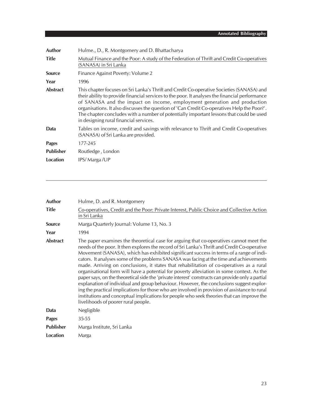| Author           | Hulme., D., R. Montgomery and D. Bhattacharya                                                                                                                                                                                                                                                                                                                                                                                                                                                               |
|------------------|-------------------------------------------------------------------------------------------------------------------------------------------------------------------------------------------------------------------------------------------------------------------------------------------------------------------------------------------------------------------------------------------------------------------------------------------------------------------------------------------------------------|
| <b>Title</b>     | Mutual Finance and the Poor: A study of the Federation of Thrift and Credit Co-operatives<br>(SANASA) in Sri Lanka                                                                                                                                                                                                                                                                                                                                                                                          |
| <b>Source</b>    | Finance Against Poverty: Volume 2                                                                                                                                                                                                                                                                                                                                                                                                                                                                           |
| Year             | 1996                                                                                                                                                                                                                                                                                                                                                                                                                                                                                                        |
| <b>Abstract</b>  | This chapter focuses on Sri Lanka's Thrift and Credit Co-operative Societies (SANASA) and<br>their ability to provide financial services to the poor. It analyses the financial performance<br>of SANASA and the impact on income, employment generation and production<br>organisations. It also discusses the question of 'Can Credit Co-operatives Help the Poor?'.<br>The chapter concludes with a number of potentially important lessons that could be used<br>in designing rural financial services. |
| Data             | Tables on income, credit and savings with relevance to Thrift and Credit Co-operatives<br>(SANASA) of Sri Lanka are provided.                                                                                                                                                                                                                                                                                                                                                                               |
| <b>Pages</b>     | 177-245                                                                                                                                                                                                                                                                                                                                                                                                                                                                                                     |
| <b>Publisher</b> | Routledge, London                                                                                                                                                                                                                                                                                                                                                                                                                                                                                           |
| Location         | IPS/Marga/UP                                                                                                                                                                                                                                                                                                                                                                                                                                                                                                |

| Author           | Hulme, D. and R. Montgomery                                                                                                                                                                                                                                                                                                                                                                                                                                                                                                                                                                                                                                                                                                                                                                                                                                                                                                                                                                                |
|------------------|------------------------------------------------------------------------------------------------------------------------------------------------------------------------------------------------------------------------------------------------------------------------------------------------------------------------------------------------------------------------------------------------------------------------------------------------------------------------------------------------------------------------------------------------------------------------------------------------------------------------------------------------------------------------------------------------------------------------------------------------------------------------------------------------------------------------------------------------------------------------------------------------------------------------------------------------------------------------------------------------------------|
| <b>Title</b>     | Co-operatives, Credit and the Poor: Private Interest, Public Choice and Collective Action<br>in Sri Lanka                                                                                                                                                                                                                                                                                                                                                                                                                                                                                                                                                                                                                                                                                                                                                                                                                                                                                                  |
| <b>Source</b>    | Marga Quarterly Journal: Volume 13, No. 3                                                                                                                                                                                                                                                                                                                                                                                                                                                                                                                                                                                                                                                                                                                                                                                                                                                                                                                                                                  |
| Year             | 1994                                                                                                                                                                                                                                                                                                                                                                                                                                                                                                                                                                                                                                                                                                                                                                                                                                                                                                                                                                                                       |
| <b>Abstract</b>  | The paper examines the theoretical case for arguing that co-operatives cannot meet the<br>needs of the poor. It then explores the record of Sri Lanka's Thrift and Credit Co-operative<br>Movement (SANASA), which has exhibited significant success in terms of a range of indi-<br>cators. It analyses some of the problems SANASA was facing at the time and achievements<br>made. Arriving on conclusions, it states that rehabilitation of co-operatives as a rural<br>organisational form will have a potential for poverty alleviation in some context. As the<br>paper says, on the theoretical side the 'private interest' constructs can provide only a partial<br>explanation of individual and group behaviour. However, the conclusions suggest explor-<br>ing the practical implications for those who are involved in provision of assistance to rural<br>institutions and conceptual implications for people who seek theories that can improve the<br>livelihoods of poorer rural people. |
| Data             | Negligible                                                                                                                                                                                                                                                                                                                                                                                                                                                                                                                                                                                                                                                                                                                                                                                                                                                                                                                                                                                                 |
| <b>Pages</b>     | 35-55                                                                                                                                                                                                                                                                                                                                                                                                                                                                                                                                                                                                                                                                                                                                                                                                                                                                                                                                                                                                      |
| <b>Publisher</b> | Marga Institute, Sri Lanka                                                                                                                                                                                                                                                                                                                                                                                                                                                                                                                                                                                                                                                                                                                                                                                                                                                                                                                                                                                 |
| <b>Location</b>  | Marga                                                                                                                                                                                                                                                                                                                                                                                                                                                                                                                                                                                                                                                                                                                                                                                                                                                                                                                                                                                                      |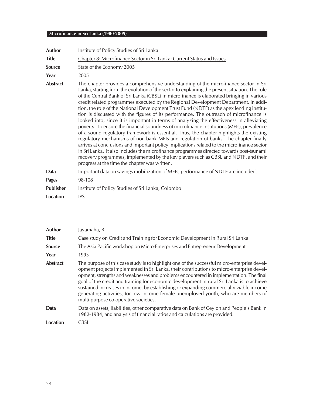| <b>Author</b>    | Institute of Policy Studies of Sri Lanka                                                                                                                                                                                                                                                                                                                                                                                                                                                                                                                                                                                                                                                                                                                                                                                                                                                                                                                                                                                                                                                                                                                                                                                                                                           |
|------------------|------------------------------------------------------------------------------------------------------------------------------------------------------------------------------------------------------------------------------------------------------------------------------------------------------------------------------------------------------------------------------------------------------------------------------------------------------------------------------------------------------------------------------------------------------------------------------------------------------------------------------------------------------------------------------------------------------------------------------------------------------------------------------------------------------------------------------------------------------------------------------------------------------------------------------------------------------------------------------------------------------------------------------------------------------------------------------------------------------------------------------------------------------------------------------------------------------------------------------------------------------------------------------------|
| <b>Title</b>     | Chapter 8: Microfinance Sector in Sri Lanka: Current Status and Issues                                                                                                                                                                                                                                                                                                                                                                                                                                                                                                                                                                                                                                                                                                                                                                                                                                                                                                                                                                                                                                                                                                                                                                                                             |
| Source           | State of the Economy 2005                                                                                                                                                                                                                                                                                                                                                                                                                                                                                                                                                                                                                                                                                                                                                                                                                                                                                                                                                                                                                                                                                                                                                                                                                                                          |
| Year             | 2005                                                                                                                                                                                                                                                                                                                                                                                                                                                                                                                                                                                                                                                                                                                                                                                                                                                                                                                                                                                                                                                                                                                                                                                                                                                                               |
| <b>Abstract</b>  | The chapter provides a comprehensive understanding of the microfinance sector in Sri<br>Lanka, starting from the evolution of the sector to explaining the present situation. The role<br>of the Central Bank of Sri Lanka (CBSL) in microfinance is elaborated bringing in various<br>credit related programmes executed by the Regional Development Department. In addi-<br>tion, the role of the National Development Trust Fund (NDTF) as the apex lending institu-<br>tion is discussed with the figures of its performance. The outreach of microfinance is<br>looked into, since it is important in terms of analyzing the effectiveness in alleviating<br>poverty. To ensure the financial soundness of microfinance institutions (MFIs), prevalence<br>of a sound regulatory framework is essential. Thus, the chapter highlights the existing<br>regulatory mechanisms of non-bank MFIs and regulation of banks. The chapter finally<br>arrives at conclusions and important policy implications related to the microfinance sector<br>in Sri Lanka. It also includes the microfinance programmes directed towards post-tsunami<br>recovery programmes, implemented by the key players such as CBSL and NDTF, and their<br>progress at the time the chapter was written. |
| Data             | Important data on savings mobilization of MFIs, performance of NDTF are included.                                                                                                                                                                                                                                                                                                                                                                                                                                                                                                                                                                                                                                                                                                                                                                                                                                                                                                                                                                                                                                                                                                                                                                                                  |
| <b>Pages</b>     | 98-108                                                                                                                                                                                                                                                                                                                                                                                                                                                                                                                                                                                                                                                                                                                                                                                                                                                                                                                                                                                                                                                                                                                                                                                                                                                                             |
| <b>Publisher</b> | Institute of Policy Studies of Sri Lanka, Colombo                                                                                                                                                                                                                                                                                                                                                                                                                                                                                                                                                                                                                                                                                                                                                                                                                                                                                                                                                                                                                                                                                                                                                                                                                                  |
| <b>Location</b>  | <b>IPS</b>                                                                                                                                                                                                                                                                                                                                                                                                                                                                                                                                                                                                                                                                                                                                                                                                                                                                                                                                                                                                                                                                                                                                                                                                                                                                         |

| <b>Author</b>   | Jayamaha, R.                                                                                                                                                                                                                                                                                                                                                                                                                                                                                                                                                                                            |
|-----------------|---------------------------------------------------------------------------------------------------------------------------------------------------------------------------------------------------------------------------------------------------------------------------------------------------------------------------------------------------------------------------------------------------------------------------------------------------------------------------------------------------------------------------------------------------------------------------------------------------------|
| <b>Title</b>    | Case study on Credit and Training for Economic Development in Rural Sri Lanka                                                                                                                                                                                                                                                                                                                                                                                                                                                                                                                           |
| <b>Source</b>   | The Asia Pacific workshop on Micro-Enterprises and Entrepreneur Development                                                                                                                                                                                                                                                                                                                                                                                                                                                                                                                             |
| Year            | 1993                                                                                                                                                                                                                                                                                                                                                                                                                                                                                                                                                                                                    |
| <b>Abstract</b> | The purpose of this case study is to highlight one of the successful micro-enterprise devel-<br>opment projects implemented in Sri Lanka, their contributions to micro-enterprise devel-<br>opment, strengths and weaknesses and problems encountered in implementation. The final<br>goal of the credit and training for economic development in rural Sri Lanka is to achieve<br>sustained increases in income, by establishing or expanding commercially viable income<br>generating activities, for low income female unemployed youth, who are members of<br>multi-purpose co-operative societies. |
| Data            | Data on assets, liabilities, other comparative data on Bank of Ceylon and People's Bank in<br>1982-1984, and analysis of financial ratios and calculations are provided.                                                                                                                                                                                                                                                                                                                                                                                                                                |
| Location        | CBSL                                                                                                                                                                                                                                                                                                                                                                                                                                                                                                                                                                                                    |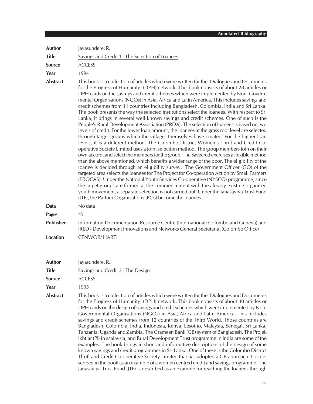| Author           | Jayasundere, R.                                                                                                                                                                                                                                                                                                                                                                                                                                                                                                                                                                                                                                                                                                                                                                                                                                                                                                                                                                                                                                                                                                                                                                                                                                                                                                                                                                                                                                                                                                                                                                                                                                                                                                                                                                                                                                         |
|------------------|---------------------------------------------------------------------------------------------------------------------------------------------------------------------------------------------------------------------------------------------------------------------------------------------------------------------------------------------------------------------------------------------------------------------------------------------------------------------------------------------------------------------------------------------------------------------------------------------------------------------------------------------------------------------------------------------------------------------------------------------------------------------------------------------------------------------------------------------------------------------------------------------------------------------------------------------------------------------------------------------------------------------------------------------------------------------------------------------------------------------------------------------------------------------------------------------------------------------------------------------------------------------------------------------------------------------------------------------------------------------------------------------------------------------------------------------------------------------------------------------------------------------------------------------------------------------------------------------------------------------------------------------------------------------------------------------------------------------------------------------------------------------------------------------------------------------------------------------------------|
| <b>Title</b>     | Savings and Credit 1 - The Selection of Loanees                                                                                                                                                                                                                                                                                                                                                                                                                                                                                                                                                                                                                                                                                                                                                                                                                                                                                                                                                                                                                                                                                                                                                                                                                                                                                                                                                                                                                                                                                                                                                                                                                                                                                                                                                                                                         |
| <b>Source</b>    | <b>ACCESS</b>                                                                                                                                                                                                                                                                                                                                                                                                                                                                                                                                                                                                                                                                                                                                                                                                                                                                                                                                                                                                                                                                                                                                                                                                                                                                                                                                                                                                                                                                                                                                                                                                                                                                                                                                                                                                                                           |
| Year             | 1994                                                                                                                                                                                                                                                                                                                                                                                                                                                                                                                                                                                                                                                                                                                                                                                                                                                                                                                                                                                                                                                                                                                                                                                                                                                                                                                                                                                                                                                                                                                                                                                                                                                                                                                                                                                                                                                    |
| <b>Abstract</b>  | This book is a collection of articles which were written for the 'Dialogues and Documents<br>for the Progress of Humanity' (DPH) network. This book consists of about 28 articles or<br>DPH cards on the savings and credit schemes which were implemented by Non-Govern-<br>mental Organisations (NGOs) in Asia, Africa and Latin America. This includes savings and<br>credit schemes from 11 countries including Bangladesh, Colombia, India and Sri Lanka.<br>The book presents the way the selected institutions select the loanees. With respect to Sri<br>Lanka, it brings in several well known savings and credit schemes. One of such is the<br>People's Rural Development Association (PRDA). The selection of loanees is based on two<br>levels of credit. For the lower loan amount, the loanees at the grass root level are selected<br>through target groups which the villages themselves have created. For the higher loan<br>levels, it is a different method. The Colombo District Women's Thrift and Credit Co-<br>operative Society Limited uses a joint selection method. The group members join on their<br>own accord, and select the members for the group. The Savecred exercises a flexible method<br>than the above mentioned, which benefits a wider range of the poor. The eligibility of the<br>loanee is decided through an eligibility survey. The Government Officer (GO) of the<br>targeted area selects the loanees for The Project for Co-operation Action by Small Farmers<br>(PROCAS). Under the National Youth Services Co-operative (NYSCO) programme, since<br>the target groups are formed at the commencement with the already existing organised<br>youth movement, a separate selection is not carried out. Under the Janasaviya Trust Fund<br>(JTF), the Partner Organisations (POs) become the loanees. |
| Data             | No data                                                                                                                                                                                                                                                                                                                                                                                                                                                                                                                                                                                                                                                                                                                                                                                                                                                                                                                                                                                                                                                                                                                                                                                                                                                                                                                                                                                                                                                                                                                                                                                                                                                                                                                                                                                                                                                 |
| <b>Pages</b>     | 45                                                                                                                                                                                                                                                                                                                                                                                                                                                                                                                                                                                                                                                                                                                                                                                                                                                                                                                                                                                                                                                                                                                                                                                                                                                                                                                                                                                                                                                                                                                                                                                                                                                                                                                                                                                                                                                      |
| <b>Publisher</b> | Information Documentation Resource Centre (International: Colombo and Geneva) and<br>IRED - Development Innovations and Networks General Secretariat (Colombo Office)                                                                                                                                                                                                                                                                                                                                                                                                                                                                                                                                                                                                                                                                                                                                                                                                                                                                                                                                                                                                                                                                                                                                                                                                                                                                                                                                                                                                                                                                                                                                                                                                                                                                                   |
| <b>Location</b>  | <b>CENWOR/HARTI</b>                                                                                                                                                                                                                                                                                                                                                                                                                                                                                                                                                                                                                                                                                                                                                                                                                                                                                                                                                                                                                                                                                                                                                                                                                                                                                                                                                                                                                                                                                                                                                                                                                                                                                                                                                                                                                                     |
| Author           | Jayasundere, R.                                                                                                                                                                                                                                                                                                                                                                                                                                                                                                                                                                                                                                                                                                                                                                                                                                                                                                                                                                                                                                                                                                                                                                                                                                                                                                                                                                                                                                                                                                                                                                                                                                                                                                                                                                                                                                         |
| Title            | Savings and Credit 2 - The Design                                                                                                                                                                                                                                                                                                                                                                                                                                                                                                                                                                                                                                                                                                                                                                                                                                                                                                                                                                                                                                                                                                                                                                                                                                                                                                                                                                                                                                                                                                                                                                                                                                                                                                                                                                                                                       |
| Source           | <b>ACCESS</b>                                                                                                                                                                                                                                                                                                                                                                                                                                                                                                                                                                                                                                                                                                                                                                                                                                                                                                                                                                                                                                                                                                                                                                                                                                                                                                                                                                                                                                                                                                                                                                                                                                                                                                                                                                                                                                           |
| Year             | 1995                                                                                                                                                                                                                                                                                                                                                                                                                                                                                                                                                                                                                                                                                                                                                                                                                                                                                                                                                                                                                                                                                                                                                                                                                                                                                                                                                                                                                                                                                                                                                                                                                                                                                                                                                                                                                                                    |
| <b>Abstract</b>  | This book is a collection of articles which were written for the 'Dialogues and Documents<br>for the Progress of Humanity' (DPH) network. This book consists of about 40 articles or<br>DPH cards on the design of savings and credit schemes which were implemented by Non-<br>Governmental Organisations (NGOs) in Asia, Africa and Latin America. This includes<br>savings and credit schemes from 12 countries of the Third World. Those countries are<br>Bangladesh, Colombia, India, Indonesia, Kenya, Lesotho, Malaysia, Senegal, Sri Lanka,<br>Tanzania, Uganda and Zambia. The Grameen Bank (GB) system of Bangladesh, The Projek<br>Ikhtiar (PI) in Malaysia, and Rural Development Trust programme in India are some of the                                                                                                                                                                                                                                                                                                                                                                                                                                                                                                                                                                                                                                                                                                                                                                                                                                                                                                                                                                                                                                                                                                                  |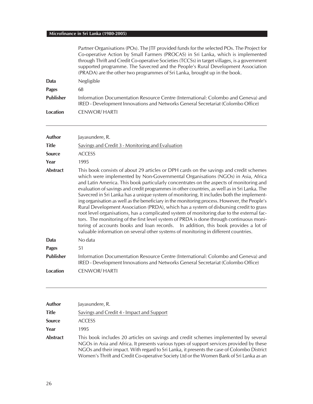|                  | Partner Organisations (POs). The JTF provided funds for the selected POs. The Project for<br>Co-operative Action by Small Farmers (PROCAS) in Sri Lanka, which is implemented<br>through Thrift and Credit Co-operative Societies (TCCSs) in target villages, is a government<br>supported programme. The Savecred and the People's Rural Development Association<br>(PRADA) are the other two programmes of Sri Lanka, brought up in the book.                                                                                                                                                                                                                                                                                                                                                                                                                                                                                                                                                                                  |
|------------------|----------------------------------------------------------------------------------------------------------------------------------------------------------------------------------------------------------------------------------------------------------------------------------------------------------------------------------------------------------------------------------------------------------------------------------------------------------------------------------------------------------------------------------------------------------------------------------------------------------------------------------------------------------------------------------------------------------------------------------------------------------------------------------------------------------------------------------------------------------------------------------------------------------------------------------------------------------------------------------------------------------------------------------|
| Data             | Negligible                                                                                                                                                                                                                                                                                                                                                                                                                                                                                                                                                                                                                                                                                                                                                                                                                                                                                                                                                                                                                       |
| <b>Pages</b>     | 68                                                                                                                                                                                                                                                                                                                                                                                                                                                                                                                                                                                                                                                                                                                                                                                                                                                                                                                                                                                                                               |
| <b>Publisher</b> | Information Documentation Resource Centre (International: Colombo and Geneva) and<br>IRED - Development Innovations and Networks General Secretariat (Colombo Office)                                                                                                                                                                                                                                                                                                                                                                                                                                                                                                                                                                                                                                                                                                                                                                                                                                                            |
| <b>Location</b>  | <b>CENWOR/HARTI</b>                                                                                                                                                                                                                                                                                                                                                                                                                                                                                                                                                                                                                                                                                                                                                                                                                                                                                                                                                                                                              |
| <b>Author</b>    | Jayasundere, R.                                                                                                                                                                                                                                                                                                                                                                                                                                                                                                                                                                                                                                                                                                                                                                                                                                                                                                                                                                                                                  |
| <b>Title</b>     | Savings and Credit 3 - Monitoring and Evaluation                                                                                                                                                                                                                                                                                                                                                                                                                                                                                                                                                                                                                                                                                                                                                                                                                                                                                                                                                                                 |
| <b>Source</b>    | <b>ACCESS</b>                                                                                                                                                                                                                                                                                                                                                                                                                                                                                                                                                                                                                                                                                                                                                                                                                                                                                                                                                                                                                    |
| Year             | 1995                                                                                                                                                                                                                                                                                                                                                                                                                                                                                                                                                                                                                                                                                                                                                                                                                                                                                                                                                                                                                             |
| <b>Abstract</b>  | This book consists of about 29 articles or DPH cards on the savings and credit schemes<br>which were implemented by Non-Governmental Organisations (NGOs) in Asia, Africa<br>and Latin America. This book particularly concentrates on the aspects of monitoring and<br>evaluation of savings and credit programmes in other countries, as well as in Sri Lanka. The<br>Savecred in Sri Lanka has a unique system of monitoring. It includes both the implement-<br>ing organisation as well as the beneficiary in the monitoring process. However, the People's<br>Rural Development Association (PRDA), which has a system of disbursing credit to grass<br>root level organisations, has a complicated system of monitoring due to the external fac-<br>tors. The monitoring of the first level system of PRDA is done through continuous moni-<br>toring of accounts books and loan records. In addition, this book provides a lot of<br>valuable information on several other systems of monitoring in different countries. |
| Data             | No data                                                                                                                                                                                                                                                                                                                                                                                                                                                                                                                                                                                                                                                                                                                                                                                                                                                                                                                                                                                                                          |
| <b>Pages</b>     | 51                                                                                                                                                                                                                                                                                                                                                                                                                                                                                                                                                                                                                                                                                                                                                                                                                                                                                                                                                                                                                               |
| <b>Publisher</b> | Information Documentation Resource Centre (International: Colombo and Geneva) and<br>IRED - Development Innovations and Networks General Secretariat (Colombo Office)                                                                                                                                                                                                                                                                                                                                                                                                                                                                                                                                                                                                                                                                                                                                                                                                                                                            |
| <b>Location</b>  | <b>CENWOR/HARTI</b>                                                                                                                                                                                                                                                                                                                                                                                                                                                                                                                                                                                                                                                                                                                                                                                                                                                                                                                                                                                                              |
|                  |                                                                                                                                                                                                                                                                                                                                                                                                                                                                                                                                                                                                                                                                                                                                                                                                                                                                                                                                                                                                                                  |

| Author          | Jayasundere, R.                                                                                                                                                                                                                                                                                                                                                         |
|-----------------|-------------------------------------------------------------------------------------------------------------------------------------------------------------------------------------------------------------------------------------------------------------------------------------------------------------------------------------------------------------------------|
| Title           | Savings and Credit 4 - Impact and Support                                                                                                                                                                                                                                                                                                                               |
| <b>Source</b>   | <b>ACCESS</b>                                                                                                                                                                                                                                                                                                                                                           |
| Year            | 1995                                                                                                                                                                                                                                                                                                                                                                    |
| <b>Abstract</b> | This book includes 20 articles on savings and credit schemes implemented by several<br>NGOs in Asia and Africa. It presents various types of support services provided by these<br>NGOs and their impact. With regard to Sri Lanka, it presents the case of Colombo District<br>Women's Thrift and Credit Co-operative Society Ltd or the Women Bank of Sri Lanka as an |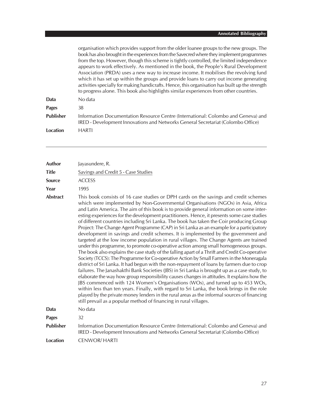|                  | organisation which provides support from the older loanee groups to the new groups. The<br>book has also brought in the experiences from the Savecred where they implement programmes<br>from the top. However, though this scheme is tightly controlled, the limited independence<br>appears to work effectively. As mentioned in the book, the People's Rural Development<br>Association (PRDA) uses a new way to increase income. It mobilises the revolving fund<br>which it has set up within the groups and provide loans to carry out income generating<br>activities specially for making handicrafts. Hence, this organisation has built up the strength<br>to progress alone. This book also highlights similar experiences from other countries. |  |  |  |
|------------------|-------------------------------------------------------------------------------------------------------------------------------------------------------------------------------------------------------------------------------------------------------------------------------------------------------------------------------------------------------------------------------------------------------------------------------------------------------------------------------------------------------------------------------------------------------------------------------------------------------------------------------------------------------------------------------------------------------------------------------------------------------------|--|--|--|
| Data             | No data                                                                                                                                                                                                                                                                                                                                                                                                                                                                                                                                                                                                                                                                                                                                                     |  |  |  |
| <b>Pages</b>     | 38                                                                                                                                                                                                                                                                                                                                                                                                                                                                                                                                                                                                                                                                                                                                                          |  |  |  |
| <b>Publisher</b> | Information Documentation Resource Centre (International: Colombo and Geneva) and<br>IRED - Development Innovations and Networks General Secretariat (Colombo Office)                                                                                                                                                                                                                                                                                                                                                                                                                                                                                                                                                                                       |  |  |  |
| Location         | <b>HARTI</b>                                                                                                                                                                                                                                                                                                                                                                                                                                                                                                                                                                                                                                                                                                                                                |  |  |  |

| <b>Author</b>    | Jayasundere, R.                                                                                                                                                                                                                                                                                                                                                                                                                                                                                                                                                                                                                                                                                                                                                                                                                                                                                                                                                                                                                                                                                                                                                                                                                                                                                                                                                                                                                                                                                                                                                                                                                                                                 |  |  |  |  |  |
|------------------|---------------------------------------------------------------------------------------------------------------------------------------------------------------------------------------------------------------------------------------------------------------------------------------------------------------------------------------------------------------------------------------------------------------------------------------------------------------------------------------------------------------------------------------------------------------------------------------------------------------------------------------------------------------------------------------------------------------------------------------------------------------------------------------------------------------------------------------------------------------------------------------------------------------------------------------------------------------------------------------------------------------------------------------------------------------------------------------------------------------------------------------------------------------------------------------------------------------------------------------------------------------------------------------------------------------------------------------------------------------------------------------------------------------------------------------------------------------------------------------------------------------------------------------------------------------------------------------------------------------------------------------------------------------------------------|--|--|--|--|--|
| <b>Title</b>     | Savings and Credit 5 - Case Studies                                                                                                                                                                                                                                                                                                                                                                                                                                                                                                                                                                                                                                                                                                                                                                                                                                                                                                                                                                                                                                                                                                                                                                                                                                                                                                                                                                                                                                                                                                                                                                                                                                             |  |  |  |  |  |
| <b>Source</b>    | <b>ACCESS</b>                                                                                                                                                                                                                                                                                                                                                                                                                                                                                                                                                                                                                                                                                                                                                                                                                                                                                                                                                                                                                                                                                                                                                                                                                                                                                                                                                                                                                                                                                                                                                                                                                                                                   |  |  |  |  |  |
| Year             | 1995                                                                                                                                                                                                                                                                                                                                                                                                                                                                                                                                                                                                                                                                                                                                                                                                                                                                                                                                                                                                                                                                                                                                                                                                                                                                                                                                                                                                                                                                                                                                                                                                                                                                            |  |  |  |  |  |
| <b>Abstract</b>  | This book consists of 16 case studies or DPH cards on the savings and credit schemes<br>which were implemented by Non-Governmental Organisations (NGOs) in Asia, Africa<br>and Latin America. The aim of this book is to provide general information on some inter-<br>esting experiences for the development practitioners. Hence, it presents some case studies<br>of different countries including Sri Lanka. The book has taken the Coir producing Group<br>Project: The Change Agent Programme (CAP) in Sri Lanka as an example for a participatory<br>development in savings and credit schemes. It is implemented by the government and<br>targeted at the low income population in rural villages. The Change Agents are trained<br>under this programme, to promote co-operative action among small homogeneous groups.<br>The book also explains the case study of the falling apart of a Thrift and Credit Co-operative<br>Society (TCCS): The Programme for Co-operative Action by Small Farmers in the Moneragala<br>district of Sri Lanka. It had begun with the non-repayment of loans by farmers due to crop<br>failures. The Janashakthi Bank Societies (JBS) in Sri Lanka is brought up as a case study, to<br>elaborate the way how group responsibility causes changes in attitudes. It explains how the<br>JBS commenced with 124 Women's Organisations (WOs), and turned up to 453 WOs,<br>within less than ten years. Finally, with regard to Sri Lanka, the book brings in the role<br>played by the private money lenders in the rural areas as the informal sources of financing<br>still prevail as a popular method of financing in rural villages. |  |  |  |  |  |
| Data             | No data                                                                                                                                                                                                                                                                                                                                                                                                                                                                                                                                                                                                                                                                                                                                                                                                                                                                                                                                                                                                                                                                                                                                                                                                                                                                                                                                                                                                                                                                                                                                                                                                                                                                         |  |  |  |  |  |
| <b>Pages</b>     | 32                                                                                                                                                                                                                                                                                                                                                                                                                                                                                                                                                                                                                                                                                                                                                                                                                                                                                                                                                                                                                                                                                                                                                                                                                                                                                                                                                                                                                                                                                                                                                                                                                                                                              |  |  |  |  |  |
| <b>Publisher</b> | Information Documentation Resource Centre (International: Colombo and Geneva) and<br>IRED - Development Innovations and Networks General Secretariat (Colombo Office)                                                                                                                                                                                                                                                                                                                                                                                                                                                                                                                                                                                                                                                                                                                                                                                                                                                                                                                                                                                                                                                                                                                                                                                                                                                                                                                                                                                                                                                                                                           |  |  |  |  |  |
| <b>Location</b>  | <b>CENWOR/HARTI</b>                                                                                                                                                                                                                                                                                                                                                                                                                                                                                                                                                                                                                                                                                                                                                                                                                                                                                                                                                                                                                                                                                                                                                                                                                                                                                                                                                                                                                                                                                                                                                                                                                                                             |  |  |  |  |  |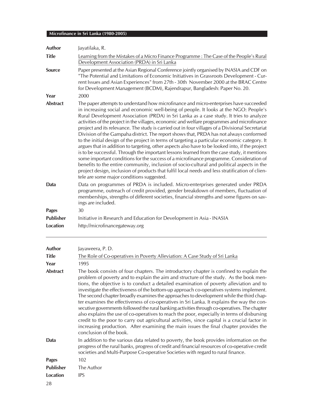| <b>Author</b>    | Jayatilaka, R.                                                                                                                                                                                                                                                                                                                                                                                                                                                                                                                                                                                                                                                                                                                                                                                                                                                                                                                                                                                                                                                                                                                                                                                                     |  |  |  |  |  |  |
|------------------|--------------------------------------------------------------------------------------------------------------------------------------------------------------------------------------------------------------------------------------------------------------------------------------------------------------------------------------------------------------------------------------------------------------------------------------------------------------------------------------------------------------------------------------------------------------------------------------------------------------------------------------------------------------------------------------------------------------------------------------------------------------------------------------------------------------------------------------------------------------------------------------------------------------------------------------------------------------------------------------------------------------------------------------------------------------------------------------------------------------------------------------------------------------------------------------------------------------------|--|--|--|--|--|--|
| <b>Title</b>     | Learning from the Mistakes of a Micro Finance Programme : The Case of the People's Rural<br>Development Association (PRDA) in Sri Lanka                                                                                                                                                                                                                                                                                                                                                                                                                                                                                                                                                                                                                                                                                                                                                                                                                                                                                                                                                                                                                                                                            |  |  |  |  |  |  |
| <b>Source</b>    | Paper presented at the Asian Regional Conference jointly organised by INASIA and CDF on<br>"The Potential and Limitations of Economic Initiatives in Grassroots Development - Cur-<br>rent Issues and Asian Experiences" from 27th - 30th November 2000 at the BRAC Centre<br>for Development Management (BCDM), Rajendrapur, Bangladesh: Paper No. 20.                                                                                                                                                                                                                                                                                                                                                                                                                                                                                                                                                                                                                                                                                                                                                                                                                                                            |  |  |  |  |  |  |
| Year             | 2000                                                                                                                                                                                                                                                                                                                                                                                                                                                                                                                                                                                                                                                                                                                                                                                                                                                                                                                                                                                                                                                                                                                                                                                                               |  |  |  |  |  |  |
| <b>Abstract</b>  | The paper attempts to understand how microfinance and micro-enterprises have succeeded<br>in increasing social and economic well-being of people. It looks at the NGO: People's<br>Rural Development Association (PRDA) in Sri Lanka as a case study. It tries to analyze<br>activities of the project in the villages, economic and welfare programmes and microfinance<br>project and its relevance. The study is carried out in four villages of a Divisional Secretariat<br>Division of the Gampaha district. The report shows that, PRDA has not always conformed<br>to the initial design of the project in terms of targeting a particular economic category. It<br>argues that in addition to targeting, other aspects also have to be looked into, if the project<br>is to be successful. Through the important lessons learned from the case study, it mentions<br>some important conditions for the success of a microfinance programme. Consideration of<br>benefits to the entire community, inclusion of socio-cultural and political aspects in the<br>project design, inclusion of products that fulfil local needs and less stratification of clien-<br>tele are some major conditions suggested. |  |  |  |  |  |  |
| Data             | Data on programmes of PRDA is included. Micro-enterprises generated under PRDA<br>programme, outreach of credit provided, gender breakdown of members, fluctuation of<br>memberships, strengths of different societies, financial strengths and some figures on sav-<br>ings are included.                                                                                                                                                                                                                                                                                                                                                                                                                                                                                                                                                                                                                                                                                                                                                                                                                                                                                                                         |  |  |  |  |  |  |
| <b>Pages</b>     | 30                                                                                                                                                                                                                                                                                                                                                                                                                                                                                                                                                                                                                                                                                                                                                                                                                                                                                                                                                                                                                                                                                                                                                                                                                 |  |  |  |  |  |  |
| <b>Publisher</b> | Initiative in Research and Education for Development in Asia - INASIA                                                                                                                                                                                                                                                                                                                                                                                                                                                                                                                                                                                                                                                                                                                                                                                                                                                                                                                                                                                                                                                                                                                                              |  |  |  |  |  |  |
| <b>Location</b>  | http://microfinancegateway.org                                                                                                                                                                                                                                                                                                                                                                                                                                                                                                                                                                                                                                                                                                                                                                                                                                                                                                                                                                                                                                                                                                                                                                                     |  |  |  |  |  |  |
| <b>Author</b>    | Jayaweera, P.D.                                                                                                                                                                                                                                                                                                                                                                                                                                                                                                                                                                                                                                                                                                                                                                                                                                                                                                                                                                                                                                                                                                                                                                                                    |  |  |  |  |  |  |
| <b>Title</b>     | The Role of Co-operatives in Poverty Alleviation: A Case Study of Sri Lanka                                                                                                                                                                                                                                                                                                                                                                                                                                                                                                                                                                                                                                                                                                                                                                                                                                                                                                                                                                                                                                                                                                                                        |  |  |  |  |  |  |
| Year             | 1995                                                                                                                                                                                                                                                                                                                                                                                                                                                                                                                                                                                                                                                                                                                                                                                                                                                                                                                                                                                                                                                                                                                                                                                                               |  |  |  |  |  |  |

**Abstract** The book consists of four chapters. The introductory chapter is confined to explain the problem of poverty and to explain the aim and structure of the study. As the book mentions, the objective is to conduct a detailed examination of poverty alleviation and to investigate the effectiveness of the bottom-up approach co-operatives systems implement. The second chapter broadly examines the approaches to development while the third chapter examines the effectiveness of co-operatives in Sri Lanka. It explains the way the consecutive governments followed the rural banking activities through co-operatives. The chapter also explains the use of co-operatives to reach the poor, especially in terms of disbursing credit to the poor to carry out agricultural activities, since capital is a crucial factor in increasing production. After examining the main issues the final chapter provides the conclusion of the book. **Data** In addition to the various data related to poverty, the book provides information on the

progress of the rural banks, progress of credit and financial resources of co-operative credit societies and Multi-Purpose Co-operative Societies with regard to rural finance.

**Pages** 102

**Publisher** The Author

**Location** IPS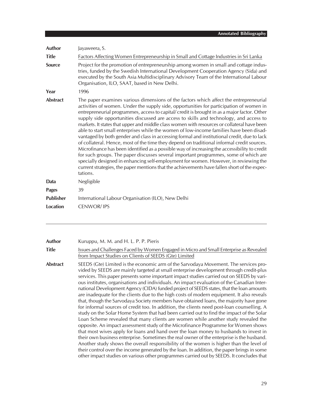| Author           | Jayaweera, S.                                                                                                                                                                                                                                                                                                                                                                                                                                                                                                                                                                                                                                                                                                                                                                                                                                                                                                                                                                                                                                                                                                                                                |  |  |  |  |  |
|------------------|--------------------------------------------------------------------------------------------------------------------------------------------------------------------------------------------------------------------------------------------------------------------------------------------------------------------------------------------------------------------------------------------------------------------------------------------------------------------------------------------------------------------------------------------------------------------------------------------------------------------------------------------------------------------------------------------------------------------------------------------------------------------------------------------------------------------------------------------------------------------------------------------------------------------------------------------------------------------------------------------------------------------------------------------------------------------------------------------------------------------------------------------------------------|--|--|--|--|--|
| <b>Title</b>     | Factors Affecting Women Entrepreneurship in Small and Cottage Industries in Sri Lanka                                                                                                                                                                                                                                                                                                                                                                                                                                                                                                                                                                                                                                                                                                                                                                                                                                                                                                                                                                                                                                                                        |  |  |  |  |  |
| <b>Source</b>    | Project for the promotion of entrepreneurship among women in small and cottage indus-<br>tries, funded by the Swedish International Development Cooperation Agency (Sida) and<br>executed by the South Asia Multidisciplinary Advisory Team of the International Labour<br>Organisation, ILO, SAAT, based in New Delhi.                                                                                                                                                                                                                                                                                                                                                                                                                                                                                                                                                                                                                                                                                                                                                                                                                                      |  |  |  |  |  |
| Year             | 1996                                                                                                                                                                                                                                                                                                                                                                                                                                                                                                                                                                                                                                                                                                                                                                                                                                                                                                                                                                                                                                                                                                                                                         |  |  |  |  |  |
| <b>Abstract</b>  | The paper examines various dimensions of the factors which affect the entrepreneurial<br>activities of women. Under the supply side, opportunities for participation of women in<br>entrepreneurial programmes, access to capital/credit is brought in as a major factor. Other<br>supply side opportunities discussed are access to skills and technology, and access to<br>markets. It states that upper and middle class women with resources or collateral have been<br>able to start small enterprises while the women of low-income families have been disad-<br>vantaged by both gender and class in accessing formal and institutional credit, due to lack<br>of collateral. Hence, most of the time they depend on traditional informal credit sources.<br>Microfinance has been identified as a possible way of increasing the accessibility to credit<br>for such groups. The paper discusses several important programmes, some of which are<br>specially designed in enhancing self-employment for women. However, in reviewing the<br>current strategies, the paper mentions that the achievements have fallen short of the expec-<br>tations. |  |  |  |  |  |
| Data             | Negligible                                                                                                                                                                                                                                                                                                                                                                                                                                                                                                                                                                                                                                                                                                                                                                                                                                                                                                                                                                                                                                                                                                                                                   |  |  |  |  |  |
| <b>Pages</b>     | 39                                                                                                                                                                                                                                                                                                                                                                                                                                                                                                                                                                                                                                                                                                                                                                                                                                                                                                                                                                                                                                                                                                                                                           |  |  |  |  |  |
| <b>Publisher</b> | International Labour Organisation (ILO), New Delhi                                                                                                                                                                                                                                                                                                                                                                                                                                                                                                                                                                                                                                                                                                                                                                                                                                                                                                                                                                                                                                                                                                           |  |  |  |  |  |
| <b>Location</b>  | <b>CENWOR/IPS</b>                                                                                                                                                                                                                                                                                                                                                                                                                                                                                                                                                                                                                                                                                                                                                                                                                                                                                                                                                                                                                                                                                                                                            |  |  |  |  |  |

| Author |  |  |
|--------|--|--|
|        |  |  |

**Author** Kuruppu, M. M. and H. L. P. P. Pieris

**Title** Issues and Challenges Faced by Women Engaged in Micro and Small Enterprise as Revealed from Impact Studies on Clients of SEEDS (Gte) Limited

**Abstract** SEEDS (Gte) Limited is the economic arm of the Sarvodaya Movement. The services provided by SEEDS are mainly targeted at small enterprise development through credit-plus services. This paper presents some important impact studies carried out on SEEDS by various institutes, organisations and individuals. An impact evaluation of the Canadian International Development Agency (CIDA) funded project of SEEDS states, that the loan amounts are inadequate for the clients due to the high costs of modern equipment. It also reveals that, though the Sarvodaya Society members have obtained loans, the majority have gone for informal sources of credit too. In addition, the clients need post-loan counselling. A study on the Solar Home System that had been carried out to find the impact of the Solar Loan Scheme revealed that many clients are women while another study revealed the opposite. An impact assessment study of the Microfinance Programme for Women shows that most wives apply for loans and hand over the loan money to husbands to invest in their own business enterprise. Sometimes the real owner of the enterprise is the husband. Another study shows the overall responsibility of the women is higher than the level of their control over the income generated by the loan. In addition, the paper brings in some other impact studies on various other programmes carried out by SEEDS. It concludes that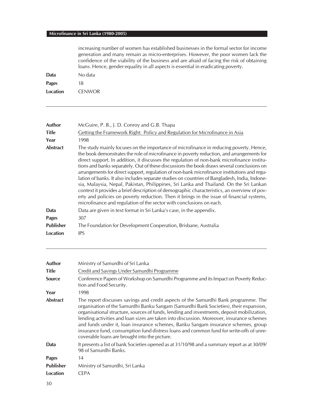increasing number of women has established businesses in the formal sector for income generation and many remain as micro-enterprises. However, the poor women lack the confidence of the viability of the business and are afraid of facing the risk of obtaining loans. Hence, gender equality in all aspects is essential in eradicating poverty.

| Data         | No data       |
|--------------|---------------|
| <b>Pages</b> | 18            |
| Location     | <b>CENWOR</b> |

| Author           | McGuire, P. B., J. D. Conroy and G.B. Thapa                                                                                                                                                                                                                                                                                                                                                                                                                                                                                                                                                                                                                                                                                                                                                                                                                                                                                                  |
|------------------|----------------------------------------------------------------------------------------------------------------------------------------------------------------------------------------------------------------------------------------------------------------------------------------------------------------------------------------------------------------------------------------------------------------------------------------------------------------------------------------------------------------------------------------------------------------------------------------------------------------------------------------------------------------------------------------------------------------------------------------------------------------------------------------------------------------------------------------------------------------------------------------------------------------------------------------------|
| <b>Title</b>     | Getting the Framework Right: Policy and Regulation for Microfinance in Asia                                                                                                                                                                                                                                                                                                                                                                                                                                                                                                                                                                                                                                                                                                                                                                                                                                                                  |
| Year             | 1998                                                                                                                                                                                                                                                                                                                                                                                                                                                                                                                                                                                                                                                                                                                                                                                                                                                                                                                                         |
| <b>Abstract</b>  | The study mainly focuses on the importance of microfinance in reducing poverty. Hence,<br>the book demonstrates the role of microfinance in poverty reduction, and arrangements for<br>direct support. In addition, it discusses the regulation of non-bank microfinance institu-<br>tions and banks separately. Out of these discussions the book draws several conclusions on<br>arrangements for direct support, regulation of non-bank microfinance institutions and regu-<br>lation of banks. It also includes separate studies on countries of Bangladesh, India, Indone-<br>sia, Malaysia, Nepal, Pakistan, Philippines, Sri Lanka and Thailand. On the Sri Lankan<br>context it provides a brief description of demographic characteristics, an overview of pov-<br>erty and policies on poverty reduction. Then it brings in the issue of financial systems,<br>microfinance and regulation of the sector with conclusions on each. |
| Data             | Data are given in text format in Sri Lanka's case, in the appendix.                                                                                                                                                                                                                                                                                                                                                                                                                                                                                                                                                                                                                                                                                                                                                                                                                                                                          |
| <b>Pages</b>     | 307                                                                                                                                                                                                                                                                                                                                                                                                                                                                                                                                                                                                                                                                                                                                                                                                                                                                                                                                          |
| <b>Publisher</b> | The Foundation for Development Cooperation, Brisbane, Australia                                                                                                                                                                                                                                                                                                                                                                                                                                                                                                                                                                                                                                                                                                                                                                                                                                                                              |
| Location         | <b>IPS</b>                                                                                                                                                                                                                                                                                                                                                                                                                                                                                                                                                                                                                                                                                                                                                                                                                                                                                                                                   |
|                  |                                                                                                                                                                                                                                                                                                                                                                                                                                                                                                                                                                                                                                                                                                                                                                                                                                                                                                                                              |

| Author                         | Ministry of Samurdhi of Sri Lanka                                                                                                                                                                                                                                                                                                                                                                                                                                                                                                                                                                       |
|--------------------------------|---------------------------------------------------------------------------------------------------------------------------------------------------------------------------------------------------------------------------------------------------------------------------------------------------------------------------------------------------------------------------------------------------------------------------------------------------------------------------------------------------------------------------------------------------------------------------------------------------------|
| <b>Title</b>                   | Credit and Savings Under Samurdhi Programme                                                                                                                                                                                                                                                                                                                                                                                                                                                                                                                                                             |
| Source                         | Conference Papers of Workshop on Samurdhi Programme and its Impact on Poverty Reduc-<br>tion and Food Security.                                                                                                                                                                                                                                                                                                                                                                                                                                                                                         |
| Year<br>1998                   |                                                                                                                                                                                                                                                                                                                                                                                                                                                                                                                                                                                                         |
| <b>Abstract</b>                | The report discusses savings and credit aspects of the Samurdhi Bank programme. The<br>organisation of the Samurdhi Banku Sangam (Samurdhi Bank Societies), their expansion,<br>organisational structure, sources of funds, lending and investments, deposit mobilization,<br>lending activities and loan sizes are taken into discussion. Moreover, insurance schemes<br>and funds under it, Ioan insurance schemes, Banku Sangam insurance schemes, group<br>insurance fund, consumption fund distress loans and common fund for write-offs of unre-<br>coverable loans are brought into the picture. |
| <b>Data</b>                    | It presents a list of bank Societies opened as at 31/10/98 and a summary report as at 30/09/<br>98 of Samurdhi Banks.                                                                                                                                                                                                                                                                                                                                                                                                                                                                                   |
| 14<br><b>Pages</b>             |                                                                                                                                                                                                                                                                                                                                                                                                                                                                                                                                                                                                         |
| <b>Publisher</b>               | Ministry of Samurdhi, Sri Lanka                                                                                                                                                                                                                                                                                                                                                                                                                                                                                                                                                                         |
| <b>Location</b><br><b>CEPA</b> |                                                                                                                                                                                                                                                                                                                                                                                                                                                                                                                                                                                                         |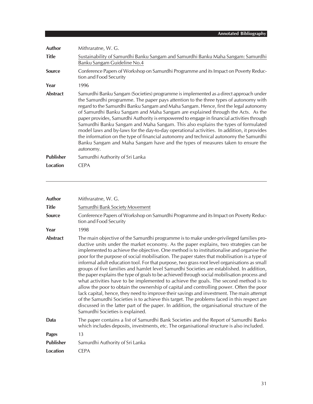| Author           | Mithraratne, W. G.                                                                                                                                                                                                                                                                                                                                                                                                                                                                                                                                                                                                                                                                                                                                                                                                                |
|------------------|-----------------------------------------------------------------------------------------------------------------------------------------------------------------------------------------------------------------------------------------------------------------------------------------------------------------------------------------------------------------------------------------------------------------------------------------------------------------------------------------------------------------------------------------------------------------------------------------------------------------------------------------------------------------------------------------------------------------------------------------------------------------------------------------------------------------------------------|
| <b>Title</b>     | Sustainability of Samurdhi Banku Sangam and Samurdhi Banku Maha Sangam: Samurdhi<br>Banku Sangam Guideline No.4                                                                                                                                                                                                                                                                                                                                                                                                                                                                                                                                                                                                                                                                                                                   |
| <b>Source</b>    | Conference Papers of Workshop on Samurdhi Programme and its Impact on Poverty Reduc-<br>tion and Food Security                                                                                                                                                                                                                                                                                                                                                                                                                                                                                                                                                                                                                                                                                                                    |
| Year             | 1996                                                                                                                                                                                                                                                                                                                                                                                                                                                                                                                                                                                                                                                                                                                                                                                                                              |
| <b>Abstract</b>  | Samurdhi Banku Sangam (Societies) programme is implemented as a direct approach under<br>the Samurdhi programme. The paper pays attention to the three types of autonomy with<br>regard to the Samurdhi Banku Sangam and Maha Sangam. Hence, first the legal autonomy<br>of Samurdhi Banku Sangam and Maha Sangam are explained through the Acts. As the<br>paper provides, Samurdhi Authority is empowered to engage in financial activities through<br>Samurdhi Banku Sangam and Maha Sangam. This also explains the types of formulated<br>model laws and by-laws for the day-to-day operational activities. In addition, it provides<br>the information on the type of financial autonomy and technical autonomy the Samurdhi<br>Banku Sangam and Maha Sangam have and the types of measures taken to ensure the<br>autonomy. |
| <b>Publisher</b> | Samurdhi Authority of Sri Lanka                                                                                                                                                                                                                                                                                                                                                                                                                                                                                                                                                                                                                                                                                                                                                                                                   |
| Location         | <b>CEPA</b>                                                                                                                                                                                                                                                                                                                                                                                                                                                                                                                                                                                                                                                                                                                                                                                                                       |

| Author           | Mithraratne, W. G.                                                                                                                                                                                                                                                                                                                                                                                                                                                                                                                                                                                                                                                                                                                                                                                                                                                                                                                                                                                                                                                                                                                                                                      |
|------------------|-----------------------------------------------------------------------------------------------------------------------------------------------------------------------------------------------------------------------------------------------------------------------------------------------------------------------------------------------------------------------------------------------------------------------------------------------------------------------------------------------------------------------------------------------------------------------------------------------------------------------------------------------------------------------------------------------------------------------------------------------------------------------------------------------------------------------------------------------------------------------------------------------------------------------------------------------------------------------------------------------------------------------------------------------------------------------------------------------------------------------------------------------------------------------------------------|
| <b>Title</b>     | Samurdhi Bank Society Movement                                                                                                                                                                                                                                                                                                                                                                                                                                                                                                                                                                                                                                                                                                                                                                                                                                                                                                                                                                                                                                                                                                                                                          |
| <b>Source</b>    | Conference Papers of Workshop on Samurdhi Programme and its Impact on Poverty Reduc-<br>tion and Food Security                                                                                                                                                                                                                                                                                                                                                                                                                                                                                                                                                                                                                                                                                                                                                                                                                                                                                                                                                                                                                                                                          |
| Year             | 1998                                                                                                                                                                                                                                                                                                                                                                                                                                                                                                                                                                                                                                                                                                                                                                                                                                                                                                                                                                                                                                                                                                                                                                                    |
| Abstract         | The main objective of the Samurdhi programme is to make under-privileged families pro-<br>ductive units under the market economy. As the paper explains, two strategies can be<br>implemented to achieve the objective. One method is to institutionalise and organise the<br>poor for the purpose of social mobilisation. The paper states that mobilisation is a type of<br>informal adult education tool. For that purpose, two grass root level organisations as small<br>groups of five families and hamlet level Samurdhi Societies are established. In addition,<br>the paper explains the type of goals to be achieved through social mobilisation process and<br>what activities have to be implemented to achieve the goals. The second method is to<br>allow the poor to obtain the ownership of capital and controlling power. Often the poor<br>lack capital, hence, they need to improve their savings and investment. The main attempt<br>of the Samurdhi Societies is to achieve this target. The problems faced in this respect are<br>discussed in the latter part of the paper. In addition, the organisational structure of the<br>Samurdhi Societies is explained. |
| Data             | The paper contains a list of Samurdhi Bank Societies and the Report of Samurdhi Banks<br>which includes deposits, investments, etc. The organisational structure is also included.                                                                                                                                                                                                                                                                                                                                                                                                                                                                                                                                                                                                                                                                                                                                                                                                                                                                                                                                                                                                      |
| <b>Pages</b>     | 13                                                                                                                                                                                                                                                                                                                                                                                                                                                                                                                                                                                                                                                                                                                                                                                                                                                                                                                                                                                                                                                                                                                                                                                      |
| <b>Publisher</b> | Samurdhi Authority of Sri Lanka                                                                                                                                                                                                                                                                                                                                                                                                                                                                                                                                                                                                                                                                                                                                                                                                                                                                                                                                                                                                                                                                                                                                                         |
| Location         | <b>CEPA</b>                                                                                                                                                                                                                                                                                                                                                                                                                                                                                                                                                                                                                                                                                                                                                                                                                                                                                                                                                                                                                                                                                                                                                                             |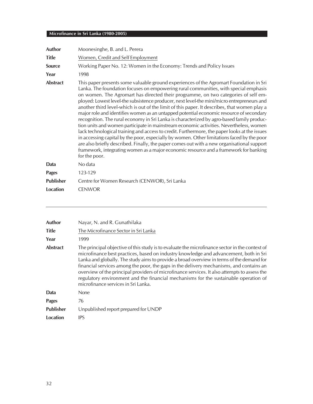| <b>Author</b>    | Moonesinghe, B. and L. Perera                                                                                                                                                                                                                                                                                                                                                                                                                                                                                                                                                                                                                                                                                                                                                                                                                                                                                                                                                                                                                                                                                                                               |
|------------------|-------------------------------------------------------------------------------------------------------------------------------------------------------------------------------------------------------------------------------------------------------------------------------------------------------------------------------------------------------------------------------------------------------------------------------------------------------------------------------------------------------------------------------------------------------------------------------------------------------------------------------------------------------------------------------------------------------------------------------------------------------------------------------------------------------------------------------------------------------------------------------------------------------------------------------------------------------------------------------------------------------------------------------------------------------------------------------------------------------------------------------------------------------------|
| <b>Title</b>     | Women, Credit and Self Employment                                                                                                                                                                                                                                                                                                                                                                                                                                                                                                                                                                                                                                                                                                                                                                                                                                                                                                                                                                                                                                                                                                                           |
| Source           | Working Paper No. 12: Women in the Economy: Trends and Policy Issues                                                                                                                                                                                                                                                                                                                                                                                                                                                                                                                                                                                                                                                                                                                                                                                                                                                                                                                                                                                                                                                                                        |
| Year             | 1998                                                                                                                                                                                                                                                                                                                                                                                                                                                                                                                                                                                                                                                                                                                                                                                                                                                                                                                                                                                                                                                                                                                                                        |
| <b>Abstract</b>  | This paper presents some valuable ground experiences of the Agromart Foundation in Sri<br>Lanka. The foundation focuses on empowering rural communities, with special emphasis<br>on women. The Agromart has directed their programme, on two categories of self em-<br>ployed: Lowest level-the subsistence producer, next level-the mini/micro entrepreneurs and<br>another third level-which is out of the limit of this paper. It describes, that women play a<br>major role and identifies women as an untapped potential economic resource of secondary<br>recognition. The rural economy in Sri Lanka is characterized by agro-based family produc-<br>tion units and women participate in mainstream economic activities. Nevertheless, women<br>lack technological training and access to credit. Furthermore, the paper looks at the issues<br>in accessing capital by the poor, especially by women. Other limitations faced by the poor<br>are also briefly described. Finally, the paper comes out with a new organisational support<br>framework, integrating women as a major economic resource and a framework for banking<br>for the poor. |
| Data             | No data                                                                                                                                                                                                                                                                                                                                                                                                                                                                                                                                                                                                                                                                                                                                                                                                                                                                                                                                                                                                                                                                                                                                                     |
| <b>Pages</b>     | 123-129                                                                                                                                                                                                                                                                                                                                                                                                                                                                                                                                                                                                                                                                                                                                                                                                                                                                                                                                                                                                                                                                                                                                                     |
| <b>Publisher</b> | Centre for Women Research (CENWOR), Sri Lanka                                                                                                                                                                                                                                                                                                                                                                                                                                                                                                                                                                                                                                                                                                                                                                                                                                                                                                                                                                                                                                                                                                               |
| <b>Location</b>  | <b>CENWOR</b>                                                                                                                                                                                                                                                                                                                                                                                                                                                                                                                                                                                                                                                                                                                                                                                                                                                                                                                                                                                                                                                                                                                                               |

| <b>Author</b>    | Nayar, N. and R. Gunathilaka                                                                                                                                                                                                                                                                                                                                                                                                                                                                                                                                                                                   |
|------------------|----------------------------------------------------------------------------------------------------------------------------------------------------------------------------------------------------------------------------------------------------------------------------------------------------------------------------------------------------------------------------------------------------------------------------------------------------------------------------------------------------------------------------------------------------------------------------------------------------------------|
| <b>Title</b>     | The Microfinance Sector in Sri Lanka                                                                                                                                                                                                                                                                                                                                                                                                                                                                                                                                                                           |
| Year             | 1999                                                                                                                                                                                                                                                                                                                                                                                                                                                                                                                                                                                                           |
| <b>Abstract</b>  | The principal objective of this study is to evaluate the microfinance sector in the context of<br>microfinance best practices, based on industry knowledge and advancement, both in Sri<br>Lanka and globally. The study aims to provide a broad overview in terms of the demand for<br>financial services among the poor, the gaps in the delivery mechanisms, and contains an<br>overview of the principal providers of microfinance services. It also attempts to assess the<br>regulatory environment and the financial mechanisms for the sustainable operation of<br>microfinance services in Sri Lanka. |
| Data             | <b>None</b>                                                                                                                                                                                                                                                                                                                                                                                                                                                                                                                                                                                                    |
| <b>Pages</b>     | 76                                                                                                                                                                                                                                                                                                                                                                                                                                                                                                                                                                                                             |
| <b>Publisher</b> | Unpublished report prepared for UNDP                                                                                                                                                                                                                                                                                                                                                                                                                                                                                                                                                                           |
| Location         | <b>IPS</b>                                                                                                                                                                                                                                                                                                                                                                                                                                                                                                                                                                                                     |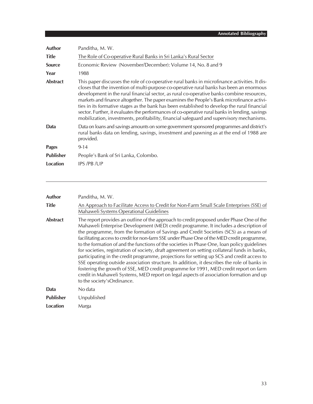| Author           | Panditha, M. W.                                                                                                                                                                                                                                                                                                                                                                                                                                                                                                                                                                                                                                                                    |
|------------------|------------------------------------------------------------------------------------------------------------------------------------------------------------------------------------------------------------------------------------------------------------------------------------------------------------------------------------------------------------------------------------------------------------------------------------------------------------------------------------------------------------------------------------------------------------------------------------------------------------------------------------------------------------------------------------|
| <b>Title</b>     | The Role of Co-operative Rural Banks in Sri Lanka's Rural Sector                                                                                                                                                                                                                                                                                                                                                                                                                                                                                                                                                                                                                   |
| <b>Source</b>    | Economic Review (November/December): Volume 14, No. 8 and 9                                                                                                                                                                                                                                                                                                                                                                                                                                                                                                                                                                                                                        |
| Year             | 1988                                                                                                                                                                                                                                                                                                                                                                                                                                                                                                                                                                                                                                                                               |
| <b>Abstract</b>  | This paper discusses the role of co-operative rural banks in microfinance activities. It dis-<br>closes that the invention of multi-purpose co-operative rural banks has been an enormous<br>development in the rural financial sector, as rural co-operative banks combine resources,<br>markets and finance altogether. The paper examines the People's Bank microfinance activi-<br>ties in its formative stages as the bank has been established to develop the rural financial<br>sector. Further, it evaluates the performances of co-operative rural banks in lending, savings<br>mobilization, investments, profitability, financial safeguard and supervisory mechanisms. |
| Data             | Data on loans and savings amounts on some government sponsored programmes and district's<br>rural banks data on lending, savings, investment and pawning as at the end of 1988 are<br>provided.                                                                                                                                                                                                                                                                                                                                                                                                                                                                                    |
| <b>Pages</b>     | $9 - 14$                                                                                                                                                                                                                                                                                                                                                                                                                                                                                                                                                                                                                                                                           |
| <b>Publisher</b> | People's Bank of Sri Lanka, Colombo.                                                                                                                                                                                                                                                                                                                                                                                                                                                                                                                                                                                                                                               |
| <b>Location</b>  | IPS /PB /UP                                                                                                                                                                                                                                                                                                                                                                                                                                                                                                                                                                                                                                                                        |

| <b>Author</b>    | Panditha, M. W.                                                                                                                                                                                                                                                                                                                                                                                                                                                                                                                                                                                                                                                                                                                                                                                                                                                                                                                                                                         |
|------------------|-----------------------------------------------------------------------------------------------------------------------------------------------------------------------------------------------------------------------------------------------------------------------------------------------------------------------------------------------------------------------------------------------------------------------------------------------------------------------------------------------------------------------------------------------------------------------------------------------------------------------------------------------------------------------------------------------------------------------------------------------------------------------------------------------------------------------------------------------------------------------------------------------------------------------------------------------------------------------------------------|
| <b>Title</b>     | An Approach to Facilitate Access to Credit for Non-Farm Small Scale Enterprises (SSE) of<br>Mahaweli Systems Operational Guidelines                                                                                                                                                                                                                                                                                                                                                                                                                                                                                                                                                                                                                                                                                                                                                                                                                                                     |
| <b>Abstract</b>  | The report provides an outline of the approach to credit proposed under Phase One of the<br>Mahaweli Enterprise Development (MED) credit programme. It includes a description of<br>the programme, from the formation of Savings and Credit Societies (SCS) as a means of<br>facilitating access to credit for non-farm SSE under Phase One of the MED credit programme,<br>to the formation of and the functions of the societies in Phase One, loan policy guidelines<br>for societies, registration of society, draft agreement on setting collateral funds in banks,<br>participating in the credit programme, projections for setting up SCS and credit access to<br>SSE operating outside association structure. In addition, it describes the role of banks in<br>fostering the growth of SSE, MED credit programme for 1991, MED credit report on farm<br>credit in Mahaweli Systems, MED report on legal aspects of association formation and up<br>to the society'sOrdinance. |
| Data             | No data                                                                                                                                                                                                                                                                                                                                                                                                                                                                                                                                                                                                                                                                                                                                                                                                                                                                                                                                                                                 |
| <b>Publisher</b> | Unpublished                                                                                                                                                                                                                                                                                                                                                                                                                                                                                                                                                                                                                                                                                                                                                                                                                                                                                                                                                                             |
| Location         | Marga                                                                                                                                                                                                                                                                                                                                                                                                                                                                                                                                                                                                                                                                                                                                                                                                                                                                                                                                                                                   |
|                  |                                                                                                                                                                                                                                                                                                                                                                                                                                                                                                                                                                                                                                                                                                                                                                                                                                                                                                                                                                                         |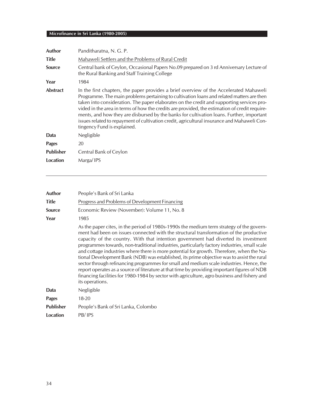| Author           | Panditharatna, N. G. P.                                                                                                                                                                                                                                                                                                                                                                                                                                                                                                                                                                                     |
|------------------|-------------------------------------------------------------------------------------------------------------------------------------------------------------------------------------------------------------------------------------------------------------------------------------------------------------------------------------------------------------------------------------------------------------------------------------------------------------------------------------------------------------------------------------------------------------------------------------------------------------|
| <b>Title</b>     | Mahaweli Settlers and the Problems of Rural Credit                                                                                                                                                                                                                                                                                                                                                                                                                                                                                                                                                          |
| <b>Source</b>    | Central bank of Ceylon, Occasional Papers No.09 prepared on 3 rd Anniversary Lecture of<br>the Rural Banking and Staff Training College                                                                                                                                                                                                                                                                                                                                                                                                                                                                     |
| Year             | 1984                                                                                                                                                                                                                                                                                                                                                                                                                                                                                                                                                                                                        |
| <b>Abstract</b>  | In the first chapters, the paper provides a brief overview of the Accelerated Mahaweli<br>Programme. The main problems pertaining to cultivation loans and related matters are then<br>taken into consideration. The paper elaborates on the credit and supporting services pro-<br>vided in the area in terms of how the credits are provided, the estimation of credit require-<br>ments, and how they are disbursed by the banks for cultivation loans. Further, important<br>issues related to repayment of cultivation credit, agricultural insurance and Mahaweli Con-<br>tingency Fund is explained. |
| Data             | Negligible                                                                                                                                                                                                                                                                                                                                                                                                                                                                                                                                                                                                  |
| <b>Pages</b>     | 20                                                                                                                                                                                                                                                                                                                                                                                                                                                                                                                                                                                                          |
| <b>Publisher</b> | Central Bank of Ceylon                                                                                                                                                                                                                                                                                                                                                                                                                                                                                                                                                                                      |
| Location         | Marga/IPS                                                                                                                                                                                                                                                                                                                                                                                                                                                                                                                                                                                                   |

| Author           | People's Bank of Sri Lanka                                                                                                                                                                                                                                                                                                                                                                                                                                                                                                                                                                                                                                                                                                                                                                                                                                                        |
|------------------|-----------------------------------------------------------------------------------------------------------------------------------------------------------------------------------------------------------------------------------------------------------------------------------------------------------------------------------------------------------------------------------------------------------------------------------------------------------------------------------------------------------------------------------------------------------------------------------------------------------------------------------------------------------------------------------------------------------------------------------------------------------------------------------------------------------------------------------------------------------------------------------|
| <b>Title</b>     | Progress and Problems of Development Financing                                                                                                                                                                                                                                                                                                                                                                                                                                                                                                                                                                                                                                                                                                                                                                                                                                    |
| <b>Source</b>    | Economic Review (November): Volume 11, No. 8                                                                                                                                                                                                                                                                                                                                                                                                                                                                                                                                                                                                                                                                                                                                                                                                                                      |
| Year             | 1985                                                                                                                                                                                                                                                                                                                                                                                                                                                                                                                                                                                                                                                                                                                                                                                                                                                                              |
|                  | As the paper cites, in the period of 1980s-1990s the medium term strategy of the govern-<br>ment had been on issues connected with the structural transformation of the productive<br>capacity of the country. With that intention government had diverted its investment<br>programmes towards, non-traditional industries, particularly factory industries, small scale<br>and cottage industries where there is more potential for growth. Therefore, when the Na-<br>tional Development Bank (NDB) was established, its prime objective was to assist the rural<br>sector through refinancing programmes for small and medium scale industries. Hence, the<br>report operates as a source of literature at that time by providing important figures of NDB<br>financing facilities for 1980-1984 by sector with agriculture, agro business and fishery and<br>its operations. |
| Data             | Negligible                                                                                                                                                                                                                                                                                                                                                                                                                                                                                                                                                                                                                                                                                                                                                                                                                                                                        |
| <b>Pages</b>     | $18 - 20$                                                                                                                                                                                                                                                                                                                                                                                                                                                                                                                                                                                                                                                                                                                                                                                                                                                                         |
| <b>Publisher</b> | People's Bank of Sri Lanka, Colombo                                                                                                                                                                                                                                                                                                                                                                                                                                                                                                                                                                                                                                                                                                                                                                                                                                               |
| Location         | PB/IPS                                                                                                                                                                                                                                                                                                                                                                                                                                                                                                                                                                                                                                                                                                                                                                                                                                                                            |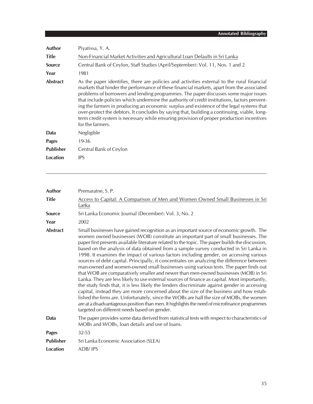| Author           | Piyatissa, Y. A.                                                                                                                                                                                                                                                                                                                                                                                                                                                                                                                                                                                                                                                                          |
|------------------|-------------------------------------------------------------------------------------------------------------------------------------------------------------------------------------------------------------------------------------------------------------------------------------------------------------------------------------------------------------------------------------------------------------------------------------------------------------------------------------------------------------------------------------------------------------------------------------------------------------------------------------------------------------------------------------------|
| <b>Title</b>     | Non-Financial Market Activities and Agricultural Loan Defaults in Sri Lanka                                                                                                                                                                                                                                                                                                                                                                                                                                                                                                                                                                                                               |
| <b>Source</b>    | Central Bank of Ceylon, Staff Studies (April/September): Vol. 11, Nos. 1 and 2                                                                                                                                                                                                                                                                                                                                                                                                                                                                                                                                                                                                            |
| Year             | 1981                                                                                                                                                                                                                                                                                                                                                                                                                                                                                                                                                                                                                                                                                      |
| <b>Abstract</b>  | As the paper identifies, there are policies and activities external to the rural financial<br>markets that hinder the performance of these financial markets, apart from the associated<br>problems of borrowers and lending programmes. The paper discusses some major issues<br>that include policies which undermine the authority of credit institutions, factors prevent-<br>ing the farmers in producing an economic surplus and existence of the legal systems that<br>over-protect the debtors. It concludes by saying that, building a continuing, viable, long-<br>term credit system is necessary while ensuring provision of proper production incentives<br>for the farmers. |
| Data             | Negligible                                                                                                                                                                                                                                                                                                                                                                                                                                                                                                                                                                                                                                                                                |
| <b>Pages</b>     | 19-36                                                                                                                                                                                                                                                                                                                                                                                                                                                                                                                                                                                                                                                                                     |
| <b>Publisher</b> | Central Bank of Ceylon                                                                                                                                                                                                                                                                                                                                                                                                                                                                                                                                                                                                                                                                    |
| Location         | <b>IPS</b>                                                                                                                                                                                                                                                                                                                                                                                                                                                                                                                                                                                                                                                                                |

| Author           | Premaratne, S. P.                                                                                                                                                                                                                                                                                                                                                                                                                                                                                                                                                                                                                                                                                                                                                                                                                                                                                                                                                                                                                                                                                                                                                                                                                                                                      |
|------------------|----------------------------------------------------------------------------------------------------------------------------------------------------------------------------------------------------------------------------------------------------------------------------------------------------------------------------------------------------------------------------------------------------------------------------------------------------------------------------------------------------------------------------------------------------------------------------------------------------------------------------------------------------------------------------------------------------------------------------------------------------------------------------------------------------------------------------------------------------------------------------------------------------------------------------------------------------------------------------------------------------------------------------------------------------------------------------------------------------------------------------------------------------------------------------------------------------------------------------------------------------------------------------------------|
| <b>Title</b>     | Access to Capital: A Comparison of Men and Women Owned Small Businesses in Sri<br>Lanka                                                                                                                                                                                                                                                                                                                                                                                                                                                                                                                                                                                                                                                                                                                                                                                                                                                                                                                                                                                                                                                                                                                                                                                                |
| <b>Source</b>    | Sri Lanka Economic Journal (December): Vol. 3, No. 2                                                                                                                                                                                                                                                                                                                                                                                                                                                                                                                                                                                                                                                                                                                                                                                                                                                                                                                                                                                                                                                                                                                                                                                                                                   |
| Year             | 2002                                                                                                                                                                                                                                                                                                                                                                                                                                                                                                                                                                                                                                                                                                                                                                                                                                                                                                                                                                                                                                                                                                                                                                                                                                                                                   |
| <b>Abstract</b>  | Small businesses have gained recognition as an important source of economic growth. The<br>women owned businesses (WOB) constitute an important part of small businesses. The<br>paper first presents available literature related to the topic. The paper builds the discussion,<br>based on the analysis of data obtained from a sample survey conducted in Sri Lanka in<br>1998. It examines the impact of various factors including gender, on accessing various<br>sources of debt capital. Principally, it concentrates on analyzing the difference between<br>man-owned and women-owned small businesses using various tests. The paper finds out<br>that WOB are comparatively smaller and newer than men-owned businesses (MOB) in Sri<br>Lanka. They are less likely to use external sources of finance as capital. Most importantly,<br>the study finds that, it is less likely the lenders discriminate against gender in accessing<br>capital, instead they are more concerned about the size of the business and how estab-<br>lished the firms are. Unfortunately, since the WOBs are half the size of MOBs, the women<br>are at a disadvantageous position than men. It highlights the need of microfinance programmes<br>targeted on different needs based on gender. |
| Data             | The paper provides some data derived from statistical tests with respect to characteristics of<br>MOBs and WOBs, loan details and use of loans.                                                                                                                                                                                                                                                                                                                                                                                                                                                                                                                                                                                                                                                                                                                                                                                                                                                                                                                                                                                                                                                                                                                                        |
| <b>Pages</b>     | $32 - 55$                                                                                                                                                                                                                                                                                                                                                                                                                                                                                                                                                                                                                                                                                                                                                                                                                                                                                                                                                                                                                                                                                                                                                                                                                                                                              |
| <b>Publisher</b> | Sri Lanka Economic Association (SLEA)                                                                                                                                                                                                                                                                                                                                                                                                                                                                                                                                                                                                                                                                                                                                                                                                                                                                                                                                                                                                                                                                                                                                                                                                                                                  |
| <b>Location</b>  | ADB/IPS                                                                                                                                                                                                                                                                                                                                                                                                                                                                                                                                                                                                                                                                                                                                                                                                                                                                                                                                                                                                                                                                                                                                                                                                                                                                                |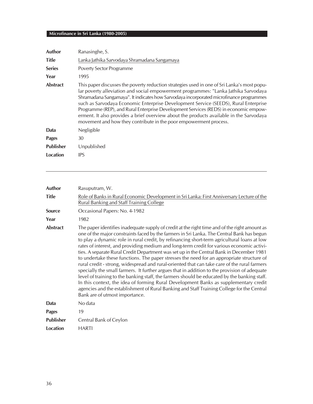| <b>Author</b>    | Ranasinghe, S.                                                                                                                                                                                                                                                                                                                                                                                                                                                                                                                                                                                                              |
|------------------|-----------------------------------------------------------------------------------------------------------------------------------------------------------------------------------------------------------------------------------------------------------------------------------------------------------------------------------------------------------------------------------------------------------------------------------------------------------------------------------------------------------------------------------------------------------------------------------------------------------------------------|
| <b>Title</b>     | Lanka Jathika Sarvodaya Shramadana Sangamaya                                                                                                                                                                                                                                                                                                                                                                                                                                                                                                                                                                                |
| <b>Series</b>    | Poverty Sector Programme                                                                                                                                                                                                                                                                                                                                                                                                                                                                                                                                                                                                    |
| Year             | 1995                                                                                                                                                                                                                                                                                                                                                                                                                                                                                                                                                                                                                        |
| <b>Abstract</b>  | This paper discusses the poverty reduction strategies used in one of Sri Lanka's most popu-<br>lar poverty alleviation and social empowerment programmes: "Lanka Jathika Sarvodaya<br>Shramadana Sangamaya". It indicates how Sarvodaya incorporated microfinance programmes<br>such as Sarvodaya Economic Enterprise Development Service (SEEDS), Rural Enterprise<br>Programme (REP), and Rural Enterprise Development Services (REDS) in economic empow-<br>erment. It also provides a brief overview about the products available in the Sarvodaya<br>movement and how they contribute in the poor empowerment process. |
| Data             | Negligible                                                                                                                                                                                                                                                                                                                                                                                                                                                                                                                                                                                                                  |
| <b>Pages</b>     | 30                                                                                                                                                                                                                                                                                                                                                                                                                                                                                                                                                                                                                          |
| <b>Publisher</b> | Unpublished                                                                                                                                                                                                                                                                                                                                                                                                                                                                                                                                                                                                                 |
| Location         | <b>IPS</b>                                                                                                                                                                                                                                                                                                                                                                                                                                                                                                                                                                                                                  |

| <b>Author</b>    | Rasuputram, W.                                                                                                                                                                                                                                                                                                                                                                                                                                                                                                                                                                                                                                                                                                                                                                                                                                                                                                                                                                                                                                                                                           |
|------------------|----------------------------------------------------------------------------------------------------------------------------------------------------------------------------------------------------------------------------------------------------------------------------------------------------------------------------------------------------------------------------------------------------------------------------------------------------------------------------------------------------------------------------------------------------------------------------------------------------------------------------------------------------------------------------------------------------------------------------------------------------------------------------------------------------------------------------------------------------------------------------------------------------------------------------------------------------------------------------------------------------------------------------------------------------------------------------------------------------------|
| <b>Title</b>     | Role of Banks in Rural Economic Development in Sri Lanka: First Anniversary Lecture of the<br>Rural Banking and Staff Training College                                                                                                                                                                                                                                                                                                                                                                                                                                                                                                                                                                                                                                                                                                                                                                                                                                                                                                                                                                   |
| <b>Source</b>    | Occasional Papers: No. 4-1982                                                                                                                                                                                                                                                                                                                                                                                                                                                                                                                                                                                                                                                                                                                                                                                                                                                                                                                                                                                                                                                                            |
| Year             | 1982                                                                                                                                                                                                                                                                                                                                                                                                                                                                                                                                                                                                                                                                                                                                                                                                                                                                                                                                                                                                                                                                                                     |
| <b>Abstract</b>  | The paper identifies inadequate supply of credit at the right time and of the right amount as<br>one of the major constraints faced by the farmers in Sri Lanka. The Central Bank has begun<br>to play a dynamic role in rural credit, by refinancing short-term agricultural loans at low<br>rates of interest, and providing medium and long-term credit for various economic activi-<br>ties. A separate Rural Credit Department was set up in the Central Bank in December 1981<br>to undertake these functions. The paper stresses the need for an appropriate structure of<br>rural credit - strong, widespread and rural-oriented that can take care of the rural farmers<br>specially the small farmers. It further argues that in addition to the provision of adequate<br>level of training to the banking staff, the farmers should be educated by the banking staff.<br>In this context, the idea of forming Rural Development Banks as supplementary credit<br>agencies and the establishment of Rural Banking and Staff Training College for the Central<br>Bank are of utmost importance. |
| Data             | No data                                                                                                                                                                                                                                                                                                                                                                                                                                                                                                                                                                                                                                                                                                                                                                                                                                                                                                                                                                                                                                                                                                  |
| <b>Pages</b>     | 19                                                                                                                                                                                                                                                                                                                                                                                                                                                                                                                                                                                                                                                                                                                                                                                                                                                                                                                                                                                                                                                                                                       |
| <b>Publisher</b> | Central Bank of Ceylon                                                                                                                                                                                                                                                                                                                                                                                                                                                                                                                                                                                                                                                                                                                                                                                                                                                                                                                                                                                                                                                                                   |
| <b>Location</b>  | <b>HARTI</b>                                                                                                                                                                                                                                                                                                                                                                                                                                                                                                                                                                                                                                                                                                                                                                                                                                                                                                                                                                                                                                                                                             |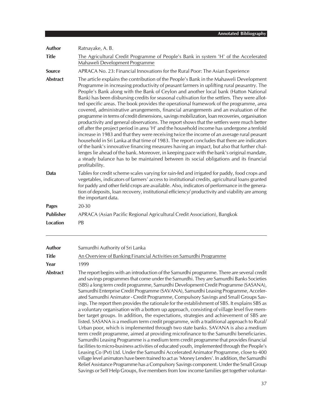| Author           | Ratnayake, A.B.                                                                                                                                                                                                                                                                                                                                                                                                                                                                                                                                                                                                                                                                                                                                                                                                                                                                                                                                                                                                                                                                                                                                                                                                                                                                                                                                              |
|------------------|--------------------------------------------------------------------------------------------------------------------------------------------------------------------------------------------------------------------------------------------------------------------------------------------------------------------------------------------------------------------------------------------------------------------------------------------------------------------------------------------------------------------------------------------------------------------------------------------------------------------------------------------------------------------------------------------------------------------------------------------------------------------------------------------------------------------------------------------------------------------------------------------------------------------------------------------------------------------------------------------------------------------------------------------------------------------------------------------------------------------------------------------------------------------------------------------------------------------------------------------------------------------------------------------------------------------------------------------------------------|
| <b>Title</b>     | The Agricultural Credit Programme of People's Bank in system 'H' of the Accelerated<br>Mahaweli Development Programme                                                                                                                                                                                                                                                                                                                                                                                                                                                                                                                                                                                                                                                                                                                                                                                                                                                                                                                                                                                                                                                                                                                                                                                                                                        |
| <b>Source</b>    | APRACA No. 23: Financial Innovations for the Rural Poor: The Asian Experience                                                                                                                                                                                                                                                                                                                                                                                                                                                                                                                                                                                                                                                                                                                                                                                                                                                                                                                                                                                                                                                                                                                                                                                                                                                                                |
| <b>Abstract</b>  | The article explains the contribution of the People's Bank in the Mahaweli Development<br>Programme in increasing productivity of peasant farmers in uplifting rural peasantry. The<br>People's Bank along with the Bank of Ceylon and another local bank (Hatton National<br>Bank) has been disbursing credits for seasonal cultivation for the settlers. They were allot-<br>ted specific areas. The book provides the operational framework of the programme, area<br>covered, administrative arrangements, financial arrangements and an evaluation of the<br>programme in terms of credit dimensions, savings mobilization, loan recoveries, organisation<br>productivity and general observations. The report shows that the settlers were much better<br>off after the project period in area 'H' and the household income has undergone a tenfold<br>increase in 1983 and that they were receiving twice the income of an average rural peasant<br>household in Sri Lanka at that time of 1983. The report concludes that there are indicators<br>of the bank's innovative financing measures having an impact, but also that further chal-<br>lenges lie ahead of the bank. Moreover, in keeping pace with the bank's original mandate,<br>a steady balance has to be maintained between its social obligations and its financial<br>profitability. |
| Data             | Tables for credit scheme scales varying for rain-fed and irrigated for paddy, food crops and<br>vegetables, indicators of farmers' access to institutional credits, agricultural loans granted<br>for paddy and other field crops are available. Also, indicators of performance in the genera-<br>tion of deposits, loan recovery, institutional efficiency/ productivity and viability are among<br>the important data.                                                                                                                                                                                                                                                                                                                                                                                                                                                                                                                                                                                                                                                                                                                                                                                                                                                                                                                                    |
| <b>Pages</b>     | 20-30                                                                                                                                                                                                                                                                                                                                                                                                                                                                                                                                                                                                                                                                                                                                                                                                                                                                                                                                                                                                                                                                                                                                                                                                                                                                                                                                                        |
| <b>Publisher</b> | APRACA (Asian Pacific Regional Agricultural Credit Association), Bangkok                                                                                                                                                                                                                                                                                                                                                                                                                                                                                                                                                                                                                                                                                                                                                                                                                                                                                                                                                                                                                                                                                                                                                                                                                                                                                     |
| <b>Location</b>  | PB                                                                                                                                                                                                                                                                                                                                                                                                                                                                                                                                                                                                                                                                                                                                                                                                                                                                                                                                                                                                                                                                                                                                                                                                                                                                                                                                                           |
| <b>Author</b>    | Samurdhi Authority of Sri Lanka                                                                                                                                                                                                                                                                                                                                                                                                                                                                                                                                                                                                                                                                                                                                                                                                                                                                                                                                                                                                                                                                                                                                                                                                                                                                                                                              |
| <b>Title</b>     | An Overview of Banking Financial Activities on Samurdhi Programme                                                                                                                                                                                                                                                                                                                                                                                                                                                                                                                                                                                                                                                                                                                                                                                                                                                                                                                                                                                                                                                                                                                                                                                                                                                                                            |
| Year             | 1999                                                                                                                                                                                                                                                                                                                                                                                                                                                                                                                                                                                                                                                                                                                                                                                                                                                                                                                                                                                                                                                                                                                                                                                                                                                                                                                                                         |
| <b>Abstract</b>  | The report begins with an introduction of the Samurdhi programme. There are several credit<br>and savings programmes that come under the Samurdhi. They are Samurdhi Banks Societies<br>(SBS) a long term credit programme, Samurdhi Development Credit Programme (SASANA),<br>Samurdhi Enterprise Credit Programme (SAVANA), Samurdhi Leasing Programme, Acceler-<br>ated Samurdhi Animator - Credit Programme, Compulsory Savings and Small Groups Sav-<br>ings. The report then provides the rationale for the establishment of SBS. It explains SBS as<br>a voluntary organisation with a bottom up approach, consisting of village level five mem-<br>ber target groups. In addition, the expectations, strategies and achievement of SBS are<br>listed. SASANA is a medium term credit programme, with a traditional approach to Rural/<br>Urban poor, which is implemented through two state banks. SAVANA is also a medium<br>term credit programme, aimed at providing microfinance to the Samurdhi beneficiaries.<br>Samurdhi Leasing Programme is a medium term credit programme that provides financial<br>s louginges activities of advected vaute time longented through the Doomlake                                                                                                                                                          |

facilities to micro-business activities of educated youth, implemented through the People's Leasing Co (Pvt) Ltd. Under the Samurdhi Accelerated Animator Programme, close to 400 village level animators have been trained to act as 'Money Lenders'. In addition, the Samurdhi Relief Assistance Programme has a Compulsory Savings component. Under the Small Group Savings or Self Help Groups, five members from low income families get together voluntar-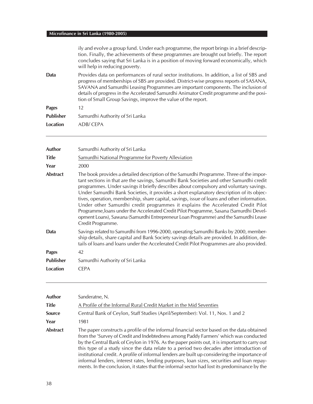|                  | ily and evolve a group fund. Under each programme, the report brings in a brief descrip-<br>tion. Finally, the achievements of these programmes are brought out briefly. The report<br>concludes saying that Sri Lanka is in a position of moving forward economically, which                                                                                                                                                         |
|------------------|---------------------------------------------------------------------------------------------------------------------------------------------------------------------------------------------------------------------------------------------------------------------------------------------------------------------------------------------------------------------------------------------------------------------------------------|
|                  | will help in reducing poverty.                                                                                                                                                                                                                                                                                                                                                                                                        |
| Data             | Provides data on performances of rural sector institutions. In addition, a list of SBS and<br>progress of memberships of SBS are provided. District-wise progress reports of SASANA,<br>SAVANA and Samurdhi Leasing Programmes are important components. The inclusion of<br>details of progress in the Accelerated Samurdhi Animator Credit programme and the posi-<br>tion of Small Group Savings, improve the value of the report. |
| <b>Pages</b>     | $12 \overline{ }$                                                                                                                                                                                                                                                                                                                                                                                                                     |
| <b>Publisher</b> | Samurdhi Authority of Sri Lanka                                                                                                                                                                                                                                                                                                                                                                                                       |
| Location         | ADB/CEPA                                                                                                                                                                                                                                                                                                                                                                                                                              |
| Author           |                                                                                                                                                                                                                                                                                                                                                                                                                                       |
|                  | Samurdhi Authority of Sri Lanka                                                                                                                                                                                                                                                                                                                                                                                                       |
| <b>Title</b>     | Samurdhi National Programme for Poverty Alleviation                                                                                                                                                                                                                                                                                                                                                                                   |
| Year             | 2000                                                                                                                                                                                                                                                                                                                                                                                                                                  |

| <b>Abstract</b> | The book provides a detailed description of the Samurdhi Programme. Three of the impor-<br>tant sections in that are the savings, Samurdhi Bank Societies and other Samurdhi credit<br>programmes. Under savings it briefly describes about compulsory and voluntary savings.<br>Under Samurdhi Bank Societies, it provides a short explanatory description of its objec-<br>tives, operation, membership, share capital, savings, issue of loans and other information.<br>Under other Samurdhi credit programmes it explains the Accelerated Credit Pilot<br>Programme, Joans under the Accelerated Credit Pilot Programme, Sasana (Samurdhi Devel-<br>opment Loans), Sawana (Samurdhi Entrepreneur Loan Programme) and the Samurdhi Lease<br>Credit Programme. |
|-----------------|-------------------------------------------------------------------------------------------------------------------------------------------------------------------------------------------------------------------------------------------------------------------------------------------------------------------------------------------------------------------------------------------------------------------------------------------------------------------------------------------------------------------------------------------------------------------------------------------------------------------------------------------------------------------------------------------------------------------------------------------------------------------|
| Data            | Savings related to Samurdhi from 1996-2000, operating Samurdhi Banks by 2000, member-                                                                                                                                                                                                                                                                                                                                                                                                                                                                                                                                                                                                                                                                             |

**Data** Savings related to Samurdhi from 1996-2000, operating Samurdhi Banks by 2000, membership details, share capital and Bank Society savings details are provided. In addition, details of loans and loans under the Accelerated Credit Pilot Programmes are also provided.

| <b>Pages</b> | 42                              |
|--------------|---------------------------------|
| Publisher    | Samurdhi Authority of Sri Lanka |
| Location     | <b>CFPA</b>                     |

| Author          | Sanderatne, N.                                                                                                                                                                                                                                                                                                                                                                                                                                                                                                                                                                                                                                                                  |
|-----------------|---------------------------------------------------------------------------------------------------------------------------------------------------------------------------------------------------------------------------------------------------------------------------------------------------------------------------------------------------------------------------------------------------------------------------------------------------------------------------------------------------------------------------------------------------------------------------------------------------------------------------------------------------------------------------------|
| Title           | A Profile of the Informal Rural Credit Market in the Mid Seventies                                                                                                                                                                                                                                                                                                                                                                                                                                                                                                                                                                                                              |
| <b>Source</b>   | Central Bank of Ceylon, Staff Studies (April/September): Vol. 11, Nos. 1 and 2                                                                                                                                                                                                                                                                                                                                                                                                                                                                                                                                                                                                  |
| Year            | 1981                                                                                                                                                                                                                                                                                                                                                                                                                                                                                                                                                                                                                                                                            |
| <b>Abstract</b> | The paper constructs a profile of the informal financial sector based on the data obtained<br>from the 'Survey of Credit and Indebtedness among Paddy Farmers' which was conducted<br>by the Central Bank of Ceylon in 1976. As the paper points out, it is important to carry out<br>this type of a study since the data relate to a period two decades after introduction of<br>institutional credit. A profile of informal lenders are built up considering the importance of<br>informal lenders, interest rates, lending purposes, loan sizes, securities and loan repay-<br>ments. In the conclusion, it states that the informal sector had lost its predominance by the |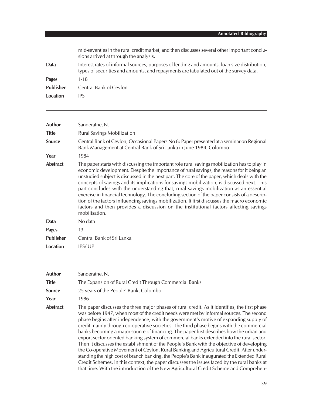|                  | mid-seventies in the rural credit market, and then discusses several other important conclu-<br>sions arrived at through the analysis.                                                |
|------------------|---------------------------------------------------------------------------------------------------------------------------------------------------------------------------------------|
| Data             | Interest rates of informal sources, purposes of lending and amounts, loan size distribution,<br>types of securities and amounts, and repayments are tabulated out of the survey data. |
| Pages            | $1 - 18$                                                                                                                                                                              |
| <b>Publisher</b> | Central Bank of Ceylon                                                                                                                                                                |
| Location         | IPS                                                                                                                                                                                   |
|                  |                                                                                                                                                                                       |

| <b>Author</b>    | Sanderatne, N.                                                                                                                                                                                                                                                                                                                                                                                                                                                                                                                                                                                                                                                                                                                                                                               |
|------------------|----------------------------------------------------------------------------------------------------------------------------------------------------------------------------------------------------------------------------------------------------------------------------------------------------------------------------------------------------------------------------------------------------------------------------------------------------------------------------------------------------------------------------------------------------------------------------------------------------------------------------------------------------------------------------------------------------------------------------------------------------------------------------------------------|
| <b>Title</b>     | <b>Rural Savings Mobilization</b>                                                                                                                                                                                                                                                                                                                                                                                                                                                                                                                                                                                                                                                                                                                                                            |
| Source           | Central Bank of Ceylon, Occasional Papers No 8: Paper presented at a seminar on Regional<br>Bank Management at Central Bank of Sri Lanka in June 1984, Colombo                                                                                                                                                                                                                                                                                                                                                                                                                                                                                                                                                                                                                               |
| Year             | 1984                                                                                                                                                                                                                                                                                                                                                                                                                                                                                                                                                                                                                                                                                                                                                                                         |
| <b>Abstract</b>  | The paper starts with discussing the important role rural savings mobilization has to play in<br>economic development. Despite the importance of rural savings, the reasons for it being an<br>unstudied subject is discussed in the next part. The core of the paper, which deals with the<br>concepts of savings and its implications for savings mobilization, is discussed next. This<br>part concludes with the understanding that, rural savings mobilization as an essential<br>exercise in financial technology. The concluding section of the paper consists of a descrip-<br>tion of the factors influencing savings mobilization. It first discusses the macro economic<br>factors and then provides a discussion on the institutional factors affecting savings<br>mobilisation. |
| Data             | No data                                                                                                                                                                                                                                                                                                                                                                                                                                                                                                                                                                                                                                                                                                                                                                                      |
| <b>Pages</b>     | 13                                                                                                                                                                                                                                                                                                                                                                                                                                                                                                                                                                                                                                                                                                                                                                                           |
| <b>Publisher</b> | Central Bank of Sri Lanka                                                                                                                                                                                                                                                                                                                                                                                                                                                                                                                                                                                                                                                                                                                                                                    |
| Location         | IPS/UP                                                                                                                                                                                                                                                                                                                                                                                                                                                                                                                                                                                                                                                                                                                                                                                       |

| Author        | Sanderatne, N.                                                                                                                                                                                                                                                                                                                                                                                                                                                                                                                                                                                                                                                                                                                                                                                                                                                                                                                                                                                                                                      |
|---------------|-----------------------------------------------------------------------------------------------------------------------------------------------------------------------------------------------------------------------------------------------------------------------------------------------------------------------------------------------------------------------------------------------------------------------------------------------------------------------------------------------------------------------------------------------------------------------------------------------------------------------------------------------------------------------------------------------------------------------------------------------------------------------------------------------------------------------------------------------------------------------------------------------------------------------------------------------------------------------------------------------------------------------------------------------------|
| Title         | The Expansion of Rural Credit Through Commercial Banks                                                                                                                                                                                                                                                                                                                                                                                                                                                                                                                                                                                                                                                                                                                                                                                                                                                                                                                                                                                              |
| <b>Source</b> | 25 years of the People' Bank, Colombo                                                                                                                                                                                                                                                                                                                                                                                                                                                                                                                                                                                                                                                                                                                                                                                                                                                                                                                                                                                                               |
| Year          | 1986                                                                                                                                                                                                                                                                                                                                                                                                                                                                                                                                                                                                                                                                                                                                                                                                                                                                                                                                                                                                                                                |
| Abstract      | The paper discusses the three major phases of rural credit. As it identifies, the first phase<br>was before 1947, when most of the credit needs were met by informal sources. The second<br>phase begins after independence, with the government's motive of expanding supply of<br>credit mainly through co-operative societies. The third phase begins with the commercial<br>banks becoming a major source of financing. The paper first describes how the urban and<br>export-sector oriented banking system of commercial banks extended into the rural sector.<br>Then it discusses the establishment of the People's Bank with the objective of developing<br>the Co-operative Movement of Ceylon, Rural Banking and Agricultural Credit. After under-<br>standing the high cost of branch banking, the People's Bank inaugurated the Extended Rural<br>Credit Schemes. In this context, the paper discusses the issues faced by the rural banks at<br>that time. With the introduction of the New Agricultural Credit Scheme and Comprehen- |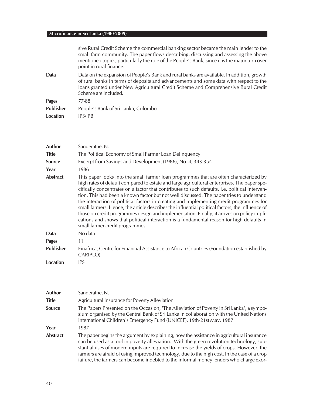|                  | sive Rural Credit Scheme the commercial banking sector became the main lender to the<br>small farm community. The paper flows describing, discussing and assessing the above<br>mentioned topics, particularly the role of the People's Bank, since it is the major turn over<br>point in rural finance. |
|------------------|----------------------------------------------------------------------------------------------------------------------------------------------------------------------------------------------------------------------------------------------------------------------------------------------------------|
| Data             | Data on the expansion of People's Bank and rural banks are available. In addition, growth<br>of rural banks in terms of deposits and advancements and some data with respect to the<br>loans granted under New Agricultural Credit Scheme and Comprehensive Rural Credit<br>Scheme are included.         |
| <b>Pages</b>     | 77-88                                                                                                                                                                                                                                                                                                    |
| <b>Publisher</b> | People's Bank of Sri Lanka, Colombo                                                                                                                                                                                                                                                                      |
| Location         | IPS/PB                                                                                                                                                                                                                                                                                                   |
|                  |                                                                                                                                                                                                                                                                                                          |

| <b>Author</b><br><b>Title</b><br><b>Source</b> | Sanderatne, N.<br>The Political Economy of Small Farmer Loan Delinquency<br>Excerpt from Savings and Development (1986), No. 4, 343-354                                                                                                                                                                                                                                                                                                                                                                                                                                                                                                                                                                                                                                                                         |
|------------------------------------------------|-----------------------------------------------------------------------------------------------------------------------------------------------------------------------------------------------------------------------------------------------------------------------------------------------------------------------------------------------------------------------------------------------------------------------------------------------------------------------------------------------------------------------------------------------------------------------------------------------------------------------------------------------------------------------------------------------------------------------------------------------------------------------------------------------------------------|
| Year                                           | 1986                                                                                                                                                                                                                                                                                                                                                                                                                                                                                                                                                                                                                                                                                                                                                                                                            |
| <b>Abstract</b>                                | This paper looks into the small farmer loan programmes that are often characterized by<br>high rates of default compared to estate and large agricultural enterprises. The paper spe-<br>cifically concentrates on a factor that contributes to such defaults, i.e. political interven-<br>tion. This had been a known factor but not well discussed. The paper tries to understand<br>the interaction of political factors in creating and implementing credit programmes for<br>small farmers. Hence, the article describes the influential political factors, the influence of<br>those on credit programmes design and implementation. Finally, it arrives on policy impli-<br>cations and shows that political interaction is a fundamental reason for high defaults in<br>small farmer credit programmes. |
| Data                                           | No data                                                                                                                                                                                                                                                                                                                                                                                                                                                                                                                                                                                                                                                                                                                                                                                                         |
| <b>Pages</b>                                   | 11                                                                                                                                                                                                                                                                                                                                                                                                                                                                                                                                                                                                                                                                                                                                                                                                              |
| <b>Publisher</b>                               | Finafrica, Centre for Financial Assistance to African Countries (Foundation established by<br>CARIPLO)                                                                                                                                                                                                                                                                                                                                                                                                                                                                                                                                                                                                                                                                                                          |
| Location                                       | <b>IPS</b>                                                                                                                                                                                                                                                                                                                                                                                                                                                                                                                                                                                                                                                                                                                                                                                                      |

| Author          | Sanderatne, N.                                                                                                                                                                                                                                                                                                                                                                                                                                                                |
|-----------------|-------------------------------------------------------------------------------------------------------------------------------------------------------------------------------------------------------------------------------------------------------------------------------------------------------------------------------------------------------------------------------------------------------------------------------------------------------------------------------|
| Title           | Agricultural Insurance for Poverty Alleviation                                                                                                                                                                                                                                                                                                                                                                                                                                |
| <b>Source</b>   | The Papers Presented on the Occasion, 'The Alleviation of Poverty in Sri Lanka', a sympo-<br>sium organised by the Central Bank of Sri Lanka in collaboration with the United Nations<br>International Children's Emergency Fund (UNICEF), 19th-21st May, 1987                                                                                                                                                                                                                |
| Year            | 1987                                                                                                                                                                                                                                                                                                                                                                                                                                                                          |
| <b>Abstract</b> | The paper begins the argument by explaining, how the assistance in agricultural insurance<br>can be used as a tool in poverty alleviation. With the green revolution technology, sub-<br>stantial uses of modern inputs are required to increase the yields of crops. However, the<br>farmers are afraid of using improved technology, due to the high cost. In the case of a crop<br>failure, the farmers can become indebted to the informal money lenders who charge exor- |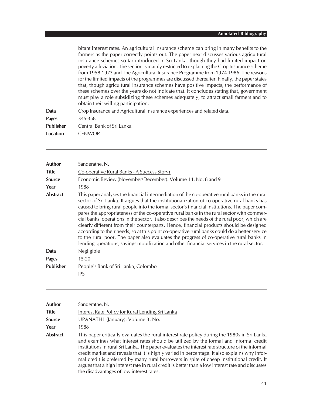bitant interest rates. An agricultural insurance scheme can bring in many benefits to the farmers as the paper correctly points out. The paper next discusses various agricultural insurance schemes so far introduced in Sri Lanka, though they had limited impact on poverty alleviation. The section is mainly restricted to explaining the Crop Insurance scheme from 1958-1973 and The Agricultural Insurance Programme from 1974-1986. The reasons for the limited impacts of the programmes are discussed thereafter. Finally, the paper states that, though agricultural insurance schemes have positive impacts, the performance of these schemes over the years do not indicate that. It concludes stating that, government must play a role subsidizing these schemes adequately, to attract small farmers and to obtain their willing participation.

| Data             | Crop Insurance and Agricultural Insurance experiences and related data. |
|------------------|-------------------------------------------------------------------------|
| Pages            | 345-358                                                                 |
| <b>Publisher</b> | Central Bank of Sri Lanka                                               |
| Location         | <b>CENWOR</b>                                                           |

| Sanderatne, N.                                                                                                                                                                                                                                                                                                                                                                                                                                                                                                                                                                                                                                                                                                                                                                                                                                                                     |
|------------------------------------------------------------------------------------------------------------------------------------------------------------------------------------------------------------------------------------------------------------------------------------------------------------------------------------------------------------------------------------------------------------------------------------------------------------------------------------------------------------------------------------------------------------------------------------------------------------------------------------------------------------------------------------------------------------------------------------------------------------------------------------------------------------------------------------------------------------------------------------|
| Co-operative Rural Banks - A Success Story?                                                                                                                                                                                                                                                                                                                                                                                                                                                                                                                                                                                                                                                                                                                                                                                                                                        |
| Economic Review (November\December): Volume 14, No. 8 and 9                                                                                                                                                                                                                                                                                                                                                                                                                                                                                                                                                                                                                                                                                                                                                                                                                        |
| 1988                                                                                                                                                                                                                                                                                                                                                                                                                                                                                                                                                                                                                                                                                                                                                                                                                                                                               |
| This paper analyses the financial intermediation of the co-operative rural banks in the rural<br>sector of Sri Lanka. It argues that the institutionalization of co-operative rural banks has<br>caused to bring rural people into the formal sector's financial institutions. The paper com-<br>pares the appropriateness of the co-operative rural banks in the rural sector with commer-<br>cial banks' operations in the sector. It also describes the needs of the rural poor, which are<br>clearly different from their counterparts. Hence, financial products should be designed<br>according to their needs, so at this point co-operative rural banks could do a better service<br>to the rural poor. The paper also evaluates the progress of co-operative rural banks in<br>lending operations, savings mobilization and other financial services in the rural sector. |
| Negligible                                                                                                                                                                                                                                                                                                                                                                                                                                                                                                                                                                                                                                                                                                                                                                                                                                                                         |
| $15 - 20$                                                                                                                                                                                                                                                                                                                                                                                                                                                                                                                                                                                                                                                                                                                                                                                                                                                                          |
| People's Bank of Sri Lanka, Colombo                                                                                                                                                                                                                                                                                                                                                                                                                                                                                                                                                                                                                                                                                                                                                                                                                                                |
| <b>IPS</b>                                                                                                                                                                                                                                                                                                                                                                                                                                                                                                                                                                                                                                                                                                                                                                                                                                                                         |
|                                                                                                                                                                                                                                                                                                                                                                                                                                                                                                                                                                                                                                                                                                                                                                                                                                                                                    |

| Author        | Sanderatne, N.                                                                                                                                                                                                                                                                                                                                                                                                                                                                                                                                                                                                                            |
|---------------|-------------------------------------------------------------------------------------------------------------------------------------------------------------------------------------------------------------------------------------------------------------------------------------------------------------------------------------------------------------------------------------------------------------------------------------------------------------------------------------------------------------------------------------------------------------------------------------------------------------------------------------------|
| <b>Title</b>  | Interest Rate Policy for Rural Lending Sri Lanka                                                                                                                                                                                                                                                                                                                                                                                                                                                                                                                                                                                          |
| <b>Source</b> | UPANATHI (January): Volume 3, No. 1                                                                                                                                                                                                                                                                                                                                                                                                                                                                                                                                                                                                       |
| Year          | 1988                                                                                                                                                                                                                                                                                                                                                                                                                                                                                                                                                                                                                                      |
| Abstract      | This paper critically evaluates the rural interest rate policy during the 1980s in Sri Lanka<br>and examines what interest rates should be utilized by the formal and informal credit<br>institutions in rural Sri Lanka. The paper evaluates the interest rate structure of the informal<br>credit market and reveals that it is highly varied in percentage. It also explains why infor-<br>mal credit is preferred by many rural borrowers in spite of cheap institutional credit. It<br>argues that a high interest rate in rural credit is better than a low interest rate and discusses<br>the disadvantages of low interest rates. |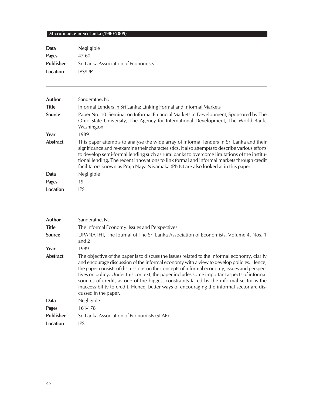| Data             | Negligible                                 |
|------------------|--------------------------------------------|
| <b>Pages</b>     | 47-60                                      |
| <b>Publisher</b> | <b>Sri Lanka Association of Economists</b> |
| Location         | IPS/UP                                     |

| <b>Author</b><br><b>Title</b> | Sanderatne, N.<br>Informal Lenders in Sri Lanka: Linking Formal and Informal Markets                                                                                                                                                                                                                                                                                                                                                                                        |
|-------------------------------|-----------------------------------------------------------------------------------------------------------------------------------------------------------------------------------------------------------------------------------------------------------------------------------------------------------------------------------------------------------------------------------------------------------------------------------------------------------------------------|
| <b>Source</b>                 | Paper No. 10: Seminar on Informal Financial Markets in Development, Sponsored by The<br>Ohio State University, The Agency for International Development, The World Bank,<br>Washington                                                                                                                                                                                                                                                                                      |
| Year                          | 1989                                                                                                                                                                                                                                                                                                                                                                                                                                                                        |
| <b>Abstract</b>               | This paper attempts to analyse the wide array of informal lenders in Sri Lanka and their<br>significance and re-examine their characteristics. It also attempts to describe various efforts<br>to develop semi-formal lending such as rural banks to overcome limitations of the institu-<br>tional lending. The recent innovations to link formal and informal markets through credit<br>facilitators known as Praja Naya Niyamaka (PNN) are also looked at in this paper. |
| Data                          | Negligible                                                                                                                                                                                                                                                                                                                                                                                                                                                                  |
| <b>Pages</b>                  | 19                                                                                                                                                                                                                                                                                                                                                                                                                                                                          |
| Location                      | <b>IPS</b>                                                                                                                                                                                                                                                                                                                                                                                                                                                                  |

| Author           | Sanderatne, N.                                                                                                                                                                                                                                                                                                                                                                                                                                                                                                                                                                                        |
|------------------|-------------------------------------------------------------------------------------------------------------------------------------------------------------------------------------------------------------------------------------------------------------------------------------------------------------------------------------------------------------------------------------------------------------------------------------------------------------------------------------------------------------------------------------------------------------------------------------------------------|
| <b>Title</b>     | The Informal Economy: Issues and Perspectives                                                                                                                                                                                                                                                                                                                                                                                                                                                                                                                                                         |
| <b>Source</b>    | UPANATHI, The Journal of The Sri Lanka Association of Economists, Volume 4, Nos. 1<br>and $2$                                                                                                                                                                                                                                                                                                                                                                                                                                                                                                         |
| Year             | 1989                                                                                                                                                                                                                                                                                                                                                                                                                                                                                                                                                                                                  |
| <b>Abstract</b>  | The objective of the paper is to discuss the issues related to the informal economy, clarify<br>and encourage discussion of the informal economy with a view to develop policies. Hence,<br>the paper consists of discussions on the concepts of informal economy, issues and perspec-<br>tives on policy. Under this context, the paper includes some important aspects of informal<br>sources of credit, as one of the biggest constraints faced by the informal sector is the<br>inaccessibility to credit. Hence, better ways of encouraging the informal sector are dis-<br>cussed in the paper. |
| Data             | Negligible                                                                                                                                                                                                                                                                                                                                                                                                                                                                                                                                                                                            |
| <b>Pages</b>     | 161-178                                                                                                                                                                                                                                                                                                                                                                                                                                                                                                                                                                                               |
| <b>Publisher</b> | Sri Lanka Association of Economists (SLAE)                                                                                                                                                                                                                                                                                                                                                                                                                                                                                                                                                            |
| Location         | <b>IPS</b>                                                                                                                                                                                                                                                                                                                                                                                                                                                                                                                                                                                            |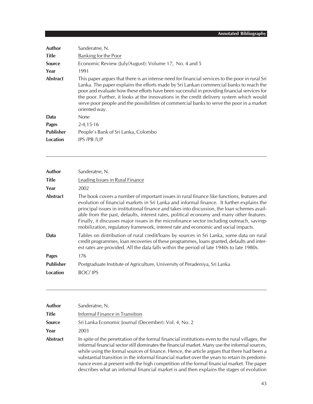| Author           | Sanderatne, N.                                                                                                                                                                                                                                                                                                                                                                                                                                                                                      |
|------------------|-----------------------------------------------------------------------------------------------------------------------------------------------------------------------------------------------------------------------------------------------------------------------------------------------------------------------------------------------------------------------------------------------------------------------------------------------------------------------------------------------------|
| <b>Title</b>     | Banking for the Poor                                                                                                                                                                                                                                                                                                                                                                                                                                                                                |
| <b>Source</b>    | Economic Review (July/August): Volume 17, No. 4 and 5                                                                                                                                                                                                                                                                                                                                                                                                                                               |
| Year             | 1991                                                                                                                                                                                                                                                                                                                                                                                                                                                                                                |
| <b>Abstract</b>  | This paper argues that there is an intense need for financial services to the poor in rural Sri<br>Lanka. The paper explains the efforts made by Sri Lankan commercial banks to reach the<br>poor and evaluate how these efforts have been successful in providing financial services for<br>the poor. Further, it looks at the innovations in the credit delivery system which would<br>serve poor people and the possibilities of commercial banks to serve the poor in a market<br>oriented way. |
| Data             | None                                                                                                                                                                                                                                                                                                                                                                                                                                                                                                |
| <b>Pages</b>     | $2 - 4, 15 - 16$                                                                                                                                                                                                                                                                                                                                                                                                                                                                                    |
| <b>Publisher</b> | People's Bank of Sri Lanka, Colombo                                                                                                                                                                                                                                                                                                                                                                                                                                                                 |
| Location         | <b>IPS/PB/UP</b>                                                                                                                                                                                                                                                                                                                                                                                                                                                                                    |
|                  |                                                                                                                                                                                                                                                                                                                                                                                                                                                                                                     |

| <b>Author</b>    | Sanderatne, N.                                                                                                                                                                                                                                                                                                                                                                                                                                                                                                                                                         |
|------------------|------------------------------------------------------------------------------------------------------------------------------------------------------------------------------------------------------------------------------------------------------------------------------------------------------------------------------------------------------------------------------------------------------------------------------------------------------------------------------------------------------------------------------------------------------------------------|
| <b>Title</b>     | Leading Issues in Rural Finance                                                                                                                                                                                                                                                                                                                                                                                                                                                                                                                                        |
| Year             | 2002                                                                                                                                                                                                                                                                                                                                                                                                                                                                                                                                                                   |
| <b>Abstract</b>  | The book covers a number of important issues in rural finance like functions, features and<br>evolution of financial markets in Sri Lanka and informal finance. It further explains the<br>principal issues in institutional finance and takes into discussion, the loan schemes avail-<br>able from the past, defaults, interest rates, political economy and many other features.<br>Finally, it discusses major issues in the microfinance sector including outreach, savings<br>mobilization, regulatory framework, interest rate and economic and social impacts. |
| Data             | Tables on distribution of rural credit/loans by sources in Sri Lanka, some data on rural<br>credit programmes, loan recoveries of these programmes, loans granted, defaults and inter-<br>est rates are provided. All the data falls within the period of late 1940s to late 1980s.                                                                                                                                                                                                                                                                                    |
| <b>Pages</b>     | 176                                                                                                                                                                                                                                                                                                                                                                                                                                                                                                                                                                    |
| <b>Publisher</b> | Postgraduate Institute of Agriculture, University of Peradeniya, Sri Lanka                                                                                                                                                                                                                                                                                                                                                                                                                                                                                             |
| Location         | <b>BOC/IPS</b>                                                                                                                                                                                                                                                                                                                                                                                                                                                                                                                                                         |
|                  |                                                                                                                                                                                                                                                                                                                                                                                                                                                                                                                                                                        |

| Author   | Sanderatne, N.                                                                                                                                                                                                                                                                                                                                                                                                                                                                                                                                                                             |
|----------|--------------------------------------------------------------------------------------------------------------------------------------------------------------------------------------------------------------------------------------------------------------------------------------------------------------------------------------------------------------------------------------------------------------------------------------------------------------------------------------------------------------------------------------------------------------------------------------------|
| Title    | Informal Finance in Transition                                                                                                                                                                                                                                                                                                                                                                                                                                                                                                                                                             |
| Source   | Sri Lanka Economic Journal (December): Vol. 4, No. 2                                                                                                                                                                                                                                                                                                                                                                                                                                                                                                                                       |
| Year     | 2003                                                                                                                                                                                                                                                                                                                                                                                                                                                                                                                                                                                       |
| Abstract | In spite of the penetration of the formal financial institutions even to the rural villages, the<br>informal financial sector still dominates the financial market. Many use the informal sources,<br>while using the formal sources of finance. Hence, the article argues that there had been a<br>substantial transition in the informal financial market over the years to retain its predomi-<br>nance even at present with the high competition of the formal financial market. The paper<br>describes what an informal financial market is and then explains the stages of evolution |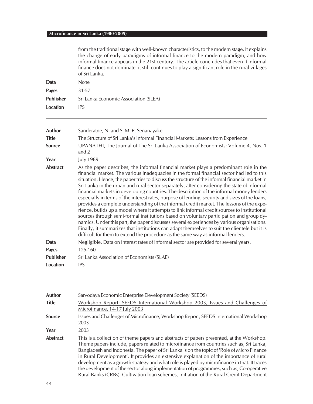| from the traditional stage with well-known characteristics, to the modern stage. It explains   |
|------------------------------------------------------------------------------------------------|
| the change of early paradigms of informal finance to the modern paradigm, and how              |
| informal finance appears in the 21st century. The article concludes that even if informal      |
| finance does not dominate, it still continues to play a significant role in the rural villages |
| of Sri Lanka.                                                                                  |

| Data      | <b>None</b>                           |
|-----------|---------------------------------------|
| Pages     | 31-57                                 |
| Publisher | Sri Lanka Economic Association (SLEA) |
| Location  | <b>IPS</b>                            |

| Author           | Sanderatne, N. and S. M. P. Senanayake                                                                                                                                                                                                                                                                                                                                                                                                                                                                                                                                                                                                                                                                                                                                                                                                                                                                                                                                                                                                                                                                                                                       |
|------------------|--------------------------------------------------------------------------------------------------------------------------------------------------------------------------------------------------------------------------------------------------------------------------------------------------------------------------------------------------------------------------------------------------------------------------------------------------------------------------------------------------------------------------------------------------------------------------------------------------------------------------------------------------------------------------------------------------------------------------------------------------------------------------------------------------------------------------------------------------------------------------------------------------------------------------------------------------------------------------------------------------------------------------------------------------------------------------------------------------------------------------------------------------------------|
| <b>Title</b>     | The Structure of Sri Lanka's Informal Financial Markets: Lessons from Experience                                                                                                                                                                                                                                                                                                                                                                                                                                                                                                                                                                                                                                                                                                                                                                                                                                                                                                                                                                                                                                                                             |
| <b>Source</b>    | UPANATHI, The Journal of The Sri Lanka Association of Economists: Volume 4, Nos. 1<br>and $2$                                                                                                                                                                                                                                                                                                                                                                                                                                                                                                                                                                                                                                                                                                                                                                                                                                                                                                                                                                                                                                                                |
| Year             | <b>July 1989</b>                                                                                                                                                                                                                                                                                                                                                                                                                                                                                                                                                                                                                                                                                                                                                                                                                                                                                                                                                                                                                                                                                                                                             |
| <b>Abstract</b>  | As the paper describes, the informal financial market plays a predominant role in the<br>financial market. The various inadequacies in the formal financial sector had led to this<br>situation. Hence, the paper tries to discuss the structure of the informal financial market in<br>Sri Lanka in the urban and rural sector separately, after considering the state of informal<br>financial markets in developing countries. The description of the informal money lenders<br>especially in terms of the interest rates, purpose of lending, security and sizes of the loans,<br>provides a complete understanding of the informal credit market. The lessons of the expe-<br>rience, builds up a model where it attempts to link informal credit sources to institutional<br>sources through semi-formal institutions based on voluntary participation and group dy-<br>namics. Under this part, the paper discusses several experiences by various organisations.<br>Finally, it summarizes that institutions can adapt themselves to suit the clientele but it is<br>difficult for them to extend the procedure as the same way as informal lenders. |
| Data             | Negligible. Data on interest rates of informal sector are provided for several years.                                                                                                                                                                                                                                                                                                                                                                                                                                                                                                                                                                                                                                                                                                                                                                                                                                                                                                                                                                                                                                                                        |
| <b>Pages</b>     | 125-160                                                                                                                                                                                                                                                                                                                                                                                                                                                                                                                                                                                                                                                                                                                                                                                                                                                                                                                                                                                                                                                                                                                                                      |
| <b>Publisher</b> | Sri Lanka Association of Economists (SLAE)                                                                                                                                                                                                                                                                                                                                                                                                                                                                                                                                                                                                                                                                                                                                                                                                                                                                                                                                                                                                                                                                                                                   |
| Location         | <b>IPS</b>                                                                                                                                                                                                                                                                                                                                                                                                                                                                                                                                                                                                                                                                                                                                                                                                                                                                                                                                                                                                                                                                                                                                                   |

| <b>Author</b>   | Sarvodaya Economic Enterprise Development Society (SEEDS)                                                                                                                                                                                                                                                                                                                                                                                                                                                                                                                                                                                                        |
|-----------------|------------------------------------------------------------------------------------------------------------------------------------------------------------------------------------------------------------------------------------------------------------------------------------------------------------------------------------------------------------------------------------------------------------------------------------------------------------------------------------------------------------------------------------------------------------------------------------------------------------------------------------------------------------------|
| <b>Title</b>    | Workshop Report: SEEDS International Workshop 2003, Issues and Challenges of<br>Microfinance, 14-17 July 2003                                                                                                                                                                                                                                                                                                                                                                                                                                                                                                                                                    |
| <b>Source</b>   | Issues and Challenges of Microfinance, Workshop Report, SEEDS International Workshop<br>2003                                                                                                                                                                                                                                                                                                                                                                                                                                                                                                                                                                     |
| Year            | 2003                                                                                                                                                                                                                                                                                                                                                                                                                                                                                                                                                                                                                                                             |
| <b>Abstract</b> | This is a collection of theme papers and abstracts of papers presented, at the Workshop.<br>Theme papers include, papers related to microfinance from countries such as, Sri Lanka,<br>Bangladesh and Indonesia. The paper of Sri Lanka is on the topic of 'Role of Micro Finance<br>in Rural Development'. It provides an extensive explanation of the importance of rural<br>development as a growth strategy and what role is played by microfinance in that. It traces<br>the development of the sector along implementation of programmes, such as, Co-operative<br>Rural Banks (CRBs), Cultivation loan schemes, initiation of the Rural Credit Department |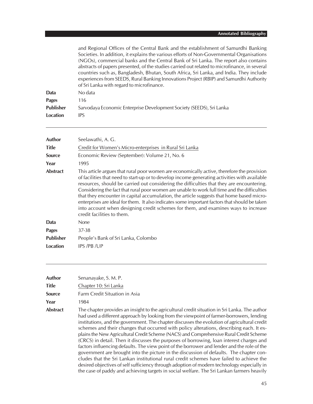|                  | and Regional Offices of the Central Bank and the establishment of Samurdhi Banking<br>Societies. In addition, it explains the various efforts of Non-Governmental Organisations<br>(NGOs), commercial banks and the Central Bank of Sri Lanka. The report also contains<br>abstracts of papers presented, of the studies carried out related to microfinance, in several<br>countries such as, Bangladesh, Bhutan, South Africa, Sri Lanka, and India. They include<br>experiences from SEEDS, Rural Banking Innovations Project (RBIP) and Samurdhi Authority<br>of Sri Lanka with regard to microfinance. |
|------------------|-------------------------------------------------------------------------------------------------------------------------------------------------------------------------------------------------------------------------------------------------------------------------------------------------------------------------------------------------------------------------------------------------------------------------------------------------------------------------------------------------------------------------------------------------------------------------------------------------------------|
| Data             | No data                                                                                                                                                                                                                                                                                                                                                                                                                                                                                                                                                                                                     |
| <b>Pages</b>     | 116                                                                                                                                                                                                                                                                                                                                                                                                                                                                                                                                                                                                         |
| <b>Publisher</b> | Sarvodaya Economic Enterprise Development Society (SEEDS), Sri Lanka                                                                                                                                                                                                                                                                                                                                                                                                                                                                                                                                        |
| Location         | <b>IPS</b>                                                                                                                                                                                                                                                                                                                                                                                                                                                                                                                                                                                                  |

| Author           | Seelawathi, A. G.                                                                                                                                                                                                                                                                                                                                                                                                                                                                                                                                                                                                                                                                                         |
|------------------|-----------------------------------------------------------------------------------------------------------------------------------------------------------------------------------------------------------------------------------------------------------------------------------------------------------------------------------------------------------------------------------------------------------------------------------------------------------------------------------------------------------------------------------------------------------------------------------------------------------------------------------------------------------------------------------------------------------|
| <b>Title</b>     | Credit for Women's Micro-enterprises in Rural Sri Lanka                                                                                                                                                                                                                                                                                                                                                                                                                                                                                                                                                                                                                                                   |
| <b>Source</b>    | Economic Review (September): Volume 21, No. 6                                                                                                                                                                                                                                                                                                                                                                                                                                                                                                                                                                                                                                                             |
| Year             | 1995                                                                                                                                                                                                                                                                                                                                                                                                                                                                                                                                                                                                                                                                                                      |
| <b>Abstract</b>  | This article argues that rural poor women are economically active, therefore the provision<br>of facilities that need to start-up or to develop income generating activities with available<br>resources, should be carried out considering the difficulties that they are encountering.<br>Considering the fact that rural poor women are unable to work full time and the difficulties<br>that they encounter in capital accumulation, the article suggests that home based micro-<br>enterprises are ideal for them. It also indicates some important factors that should be taken<br>into account when designing credit schemes for them, and examines ways to increase<br>credit facilities to them. |
| Data             | <b>None</b>                                                                                                                                                                                                                                                                                                                                                                                                                                                                                                                                                                                                                                                                                               |
| <b>Pages</b>     | 37-38                                                                                                                                                                                                                                                                                                                                                                                                                                                                                                                                                                                                                                                                                                     |
| <b>Publisher</b> | People's Bank of Sri Lanka, Colombo                                                                                                                                                                                                                                                                                                                                                                                                                                                                                                                                                                                                                                                                       |
| Location         | IPS/PB/UP                                                                                                                                                                                                                                                                                                                                                                                                                                                                                                                                                                                                                                                                                                 |

| Author        | Senanayake, S. M. P.                                                                                                                                                                                                                                                                                                                                                                                                                                                                                                                                                                                                                                                                                                                                                                                                                                                                                                                                                                                                                                         |
|---------------|--------------------------------------------------------------------------------------------------------------------------------------------------------------------------------------------------------------------------------------------------------------------------------------------------------------------------------------------------------------------------------------------------------------------------------------------------------------------------------------------------------------------------------------------------------------------------------------------------------------------------------------------------------------------------------------------------------------------------------------------------------------------------------------------------------------------------------------------------------------------------------------------------------------------------------------------------------------------------------------------------------------------------------------------------------------|
| Title         | Chapter 10: Sri Lanka                                                                                                                                                                                                                                                                                                                                                                                                                                                                                                                                                                                                                                                                                                                                                                                                                                                                                                                                                                                                                                        |
| <b>Source</b> | Farm Credit Situation in Asia                                                                                                                                                                                                                                                                                                                                                                                                                                                                                                                                                                                                                                                                                                                                                                                                                                                                                                                                                                                                                                |
| Year          | 1984                                                                                                                                                                                                                                                                                                                                                                                                                                                                                                                                                                                                                                                                                                                                                                                                                                                                                                                                                                                                                                                         |
| Abstract      | The chapter provides an insight to the agricultural credit situation in Sri Lanka. The author<br>had used a different approach by looking from the viewpoint of farmer-borrowers, lending<br>institutions, and the government. The chapter discusses the evolution of agricultural credit<br>schemes and their changes that occurred with policy alterations, describing each. It ex-<br>plains the New Agricultural Credit Scheme (NACS) and Comprehensive Rural Credit Scheme<br>(CRCS) in detail. Then it discusses the purposes of borrowing, loan interest charges and<br>factors influencing defaults. The view point of the borrower and lender and the role of the<br>government are brought into the picture in the discussion of defaults. The chapter con-<br>cludes that the Sri Lankan institutional rural credit schemes have failed to achieve the<br>desired objectives of self sufficiency through adoption of modern technology especially in<br>the case of paddy and achieving targets in social welfare. The Sri Lankan farmers heavily |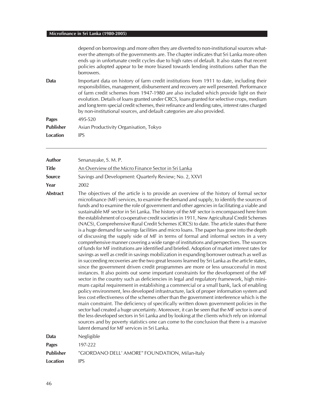|                  | depend on borrowings and more often they are diverted to non-institutional sources what-<br>ever the attempts of the governments are. The chapter indicates that Sri Lanka more often<br>ends up in unfortunate credit cycles due to high rates of default. It also states that recent<br>policies adopted appear to be more biased towards lending institutions rather than the<br>borrowers.                                                                                                                                                         |
|------------------|--------------------------------------------------------------------------------------------------------------------------------------------------------------------------------------------------------------------------------------------------------------------------------------------------------------------------------------------------------------------------------------------------------------------------------------------------------------------------------------------------------------------------------------------------------|
| Data             | Important data on history of farm credit institutions from 1911 to date, including their<br>responsibilities, management, disbursement and recovery are well presented. Performance<br>of farm credit schemes from 1947-1980 are also included which provide light on their<br>evolution. Details of loans granted under CRCS, loans granted for selective crops, medium<br>and long term special credit schemes, their refinance and lending rates, interest rates charged<br>by non-institutional sources, and default categories are also provided. |
| <b>Pages</b>     | 495-520                                                                                                                                                                                                                                                                                                                                                                                                                                                                                                                                                |
| <b>Publisher</b> | Asian Productivity Organisation, Tokyo                                                                                                                                                                                                                                                                                                                                                                                                                                                                                                                 |
| Location         | <b>IPS</b>                                                                                                                                                                                                                                                                                                                                                                                                                                                                                                                                             |
|                  |                                                                                                                                                                                                                                                                                                                                                                                                                                                                                                                                                        |

| Author           | Senanayake, S. M. P.                                                                                                                                                                                                                                                                                                                                                                                                                                                                                                                                                                                                                                                                                                                                                                                                                                                                                                                                                                                                                                                                                                                                                                                                                                                                                                                                                                                                                                                                                                                                                                                                                                                                                                                                                                                                                                                                                                                                                                                                                                                                                                                                                    |
|------------------|-------------------------------------------------------------------------------------------------------------------------------------------------------------------------------------------------------------------------------------------------------------------------------------------------------------------------------------------------------------------------------------------------------------------------------------------------------------------------------------------------------------------------------------------------------------------------------------------------------------------------------------------------------------------------------------------------------------------------------------------------------------------------------------------------------------------------------------------------------------------------------------------------------------------------------------------------------------------------------------------------------------------------------------------------------------------------------------------------------------------------------------------------------------------------------------------------------------------------------------------------------------------------------------------------------------------------------------------------------------------------------------------------------------------------------------------------------------------------------------------------------------------------------------------------------------------------------------------------------------------------------------------------------------------------------------------------------------------------------------------------------------------------------------------------------------------------------------------------------------------------------------------------------------------------------------------------------------------------------------------------------------------------------------------------------------------------------------------------------------------------------------------------------------------------|
| <b>Title</b>     | An Overview of the Micro Finance Sector in Sri Lanka                                                                                                                                                                                                                                                                                                                                                                                                                                                                                                                                                                                                                                                                                                                                                                                                                                                                                                                                                                                                                                                                                                                                                                                                                                                                                                                                                                                                                                                                                                                                                                                                                                                                                                                                                                                                                                                                                                                                                                                                                                                                                                                    |
| <b>Source</b>    | Savings and Development: Quarterly Review; No. 2, XXVI                                                                                                                                                                                                                                                                                                                                                                                                                                                                                                                                                                                                                                                                                                                                                                                                                                                                                                                                                                                                                                                                                                                                                                                                                                                                                                                                                                                                                                                                                                                                                                                                                                                                                                                                                                                                                                                                                                                                                                                                                                                                                                                  |
| Year             | 2002                                                                                                                                                                                                                                                                                                                                                                                                                                                                                                                                                                                                                                                                                                                                                                                                                                                                                                                                                                                                                                                                                                                                                                                                                                                                                                                                                                                                                                                                                                                                                                                                                                                                                                                                                                                                                                                                                                                                                                                                                                                                                                                                                                    |
| <b>Abstract</b>  | The objectives of the article is to provide an overview of the history of formal sector<br>microfinance (MF) services, to examine the demand and supply, to identify the sources of<br>funds and to examine the role of government and other agencies in facilitating a viable and<br>sustainable MF sector in Sri Lanka. The history of the MF sector is encompassed here from<br>the establishment of co-operative credit societies in 1911, New Agricultural Credit Schemes<br>(NACS), Comprehensive Rural Credit Schemes (CRCS) to date. The article states that there<br>is a huge demand for savings facilities and micro loans. The paper has gone into the depth<br>of discussing the supply side of MF in terms of formal and informal sectors in a very<br>comprehensive manner covering a wide range of institutions and perspectives. The sources<br>of funds for MF institutions are identified and briefed. Adoption of market interest rates for<br>savings as well as credit in savings mobilization in expanding borrower outreach as well as<br>in succeeding recoveries are the two great lessons learned by Sri Lanka as the article states,<br>since the government driven credit programmes are more or less unsuccessful in most<br>instances. It also points out some important constraints for the development of the MF<br>sector in the country such as deficiencies in legal and regulatory framework, high mini-<br>mum capital requirement in establishing a commercial or a small bank, lack of enabling<br>policy environment, less developed infrastructure, lack of proper information system and<br>less cost effectiveness of the schemes other than the government interference which is the<br>main constraint. The deficiency of specifically written down government policies in the<br>sector had created a huge uncertainty. Moreover, it can be seen that the MF sector is one of<br>the less developed sectors in Sri Lanka and by looking at the clients which rely on informal<br>sources and by poverty statistics one can come to the conclusion that there is a massive<br>latent demand for MF services in Sri Lanka. |
| Data             | Negligible                                                                                                                                                                                                                                                                                                                                                                                                                                                                                                                                                                                                                                                                                                                                                                                                                                                                                                                                                                                                                                                                                                                                                                                                                                                                                                                                                                                                                                                                                                                                                                                                                                                                                                                                                                                                                                                                                                                                                                                                                                                                                                                                                              |
| <b>Pages</b>     | 197-222                                                                                                                                                                                                                                                                                                                                                                                                                                                                                                                                                                                                                                                                                                                                                                                                                                                                                                                                                                                                                                                                                                                                                                                                                                                                                                                                                                                                                                                                                                                                                                                                                                                                                                                                                                                                                                                                                                                                                                                                                                                                                                                                                                 |
| <b>Publisher</b> | "GIORDANO DELL' AMORE" FOUNDATION, Milan-Italy                                                                                                                                                                                                                                                                                                                                                                                                                                                                                                                                                                                                                                                                                                                                                                                                                                                                                                                                                                                                                                                                                                                                                                                                                                                                                                                                                                                                                                                                                                                                                                                                                                                                                                                                                                                                                                                                                                                                                                                                                                                                                                                          |
| <b>Location</b>  | <b>IPS</b>                                                                                                                                                                                                                                                                                                                                                                                                                                                                                                                                                                                                                                                                                                                                                                                                                                                                                                                                                                                                                                                                                                                                                                                                                                                                                                                                                                                                                                                                                                                                                                                                                                                                                                                                                                                                                                                                                                                                                                                                                                                                                                                                                              |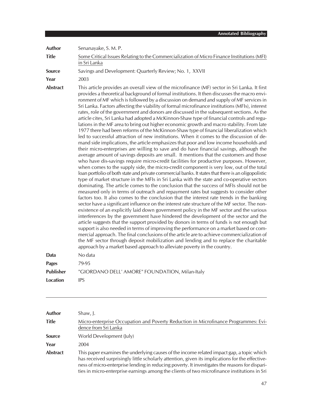**Author** Senanayake, S. M. P. **Title** Some Critical Issues Relating to the Commercialization of Micro Finance Institutions (MFI) in Sri Lanka **Source** Savings and Development: Quarterly Review; No. 1, XXVII **Year** 2003 **Abstract** This article provides an overall view of the microfinance (MF) sector in Sri Lanka. It first provides a theoretical background of formal institutions. It then discusses the macro environment of MF which is followed by a discussion on demand and supply of MF services in Sri Lanka. Factors affecting the viability of formal microfinance institutions (MFIs), interest rates, role of the government and donors are discussed in the subsequent sections. As the article cites, Sri Lanka had adopted a McKinnon-Shaw type of financial controls and regulations in the MF area to bring out higher economic growth and macro stability. From late 1977 there had been reforms of the McKinnon-Shaw type of financial liberalization which led to successful attraction of new institutions. When it comes to the discussion of demand side implications, the article emphasizes that poor and low income households and their micro-enterprises are willing to save and do have financial savings, although the average amount of savings deposits are small. It mentions that the customers and those who have dis-savings require micro-credit facilities for productive purposes. However, when comes to the supply side, the micro-credit component is very low, out of the total loan portfolio of both state and private commercial banks. It states that there is an oligopolistic type of market structure in the MFIs in Sri Lanka with the state and co-operative sectors dominating. The article comes to the conclusion that the success of MFIs should not be measured only in terms of outreach and repayment rates but suggests to consider other factors too. It also comes to the conclusion that the interest rate trends in the banking sector have a significant influence on the interest rate structure of the MF sector. The nonexistence of an explicitly laid down government policy in the MF sector and the various interferences by the government have hindered the development of the sector and the article suggests that the support provided by donors in terms of funds is not enough but support is also needed in terms of improving the performance on a market based or commercial approach. The final conclusions of the article are to achieve commercialization of the MF sector through deposit mobilization and lending and to replace the charitable approach by a market based approach to alleviate poverty in the country. **Data** No data **Pages** 79-95 **Publisher** "GIORDANO DELL' AMORE" FOUNDATION, Milan-Italy **Location** IPS

| <b>Author</b>   | Shaw, J.                                                                                                                                                                                                                                                                                                                                                                                      |
|-----------------|-----------------------------------------------------------------------------------------------------------------------------------------------------------------------------------------------------------------------------------------------------------------------------------------------------------------------------------------------------------------------------------------------|
| <b>Title</b>    | Micro-enterprise Occupation and Poverty Reduction in Microfinance Programmes: Evi-<br>dence from Sri Lanka                                                                                                                                                                                                                                                                                    |
| <b>Source</b>   | World Development (July)                                                                                                                                                                                                                                                                                                                                                                      |
| Year            | 2004                                                                                                                                                                                                                                                                                                                                                                                          |
| <b>Abstract</b> | This paper examines the underlying causes of the income related impact gap, a topic which<br>has received surprisingly little scholarly attention, given its implications for the effective-<br>ness of micro-enterprise lending in reducing poverty. It investigates the reasons for dispari-<br>ties in micro-enterprise earnings among the clients of two microfinance institutions in Sri |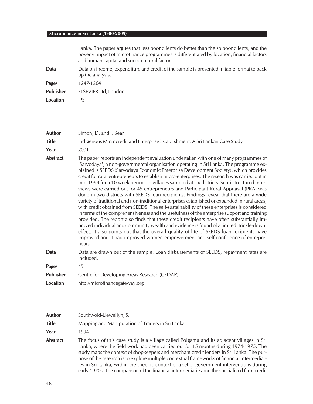|                  | Lanka. The paper argues that less poor clients do better than the so poor clients, and the<br>poverty impact of microfinance programmes is differentiated by location, financial factors<br>and human capital and socio-cultural factors. |
|------------------|-------------------------------------------------------------------------------------------------------------------------------------------------------------------------------------------------------------------------------------------|
| Data             | Data on income, expenditure and credit of the sample is presented in table format to back<br>up the analysis.                                                                                                                             |
| Pages            | 1247-1264                                                                                                                                                                                                                                 |
| <b>Publisher</b> | ELSEVIER Ltd, London                                                                                                                                                                                                                      |
| Location         | IPS                                                                                                                                                                                                                                       |

| Author           | Simon, D. and J. Sear                                                                                                                                                                                                                                                                                                                                                                                                                                                                                                                                                                                                                                                                                                                                                                                                                                                                                                                                                                                                                                                                                                                                                                                                                                                                                                                           |
|------------------|-------------------------------------------------------------------------------------------------------------------------------------------------------------------------------------------------------------------------------------------------------------------------------------------------------------------------------------------------------------------------------------------------------------------------------------------------------------------------------------------------------------------------------------------------------------------------------------------------------------------------------------------------------------------------------------------------------------------------------------------------------------------------------------------------------------------------------------------------------------------------------------------------------------------------------------------------------------------------------------------------------------------------------------------------------------------------------------------------------------------------------------------------------------------------------------------------------------------------------------------------------------------------------------------------------------------------------------------------|
| <b>Title</b>     | Indigenous Microcredit and Enterprise Establishment: A Sri Lankan Case Study                                                                                                                                                                                                                                                                                                                                                                                                                                                                                                                                                                                                                                                                                                                                                                                                                                                                                                                                                                                                                                                                                                                                                                                                                                                                    |
| Year             | 2001                                                                                                                                                                                                                                                                                                                                                                                                                                                                                                                                                                                                                                                                                                                                                                                                                                                                                                                                                                                                                                                                                                                                                                                                                                                                                                                                            |
| <b>Abstract</b>  | The paper reports an independent evaluation undertaken with one of many programmes of<br>'Sarvodaya', a non-governmental organisation operating in Sri Lanka. The programme ex-<br>plained is SEEDS (Sarvodaya Economic Enterprise Development Society), which provides<br>credit for rural entrepreneurs to establish micro-enterprises. The research was carried out in<br>mid-1999 for a 10 week period, in villages sampled at six districts. Semi-structured inter-<br>views were carried out for 45 entrepreneurs and Participant Rural Appraisal (PRA) was<br>done in two districts with SEEDS loan recipients. Findings reveal that there are a wide<br>variety of traditional and non-traditional enterprises established or expanded in rural areas,<br>with credit obtained from SEEDS. The self-sustainability of these enterprises is considered<br>in terms of the comprehensiveness and the usefulness of the enterprise support and training<br>provided. The report also finds that these credit recipients have often substantially im-<br>proved individual and community wealth and evidence is found of a limited 'trickle-down'<br>effect. It also points out that the overall quality of life of SEEDS loan recipients have<br>improved and it had improved women empowerment and self-confidence of entrepre-<br>neurs. |
| Data             | Data are drawn out of the sample. Loan disbursements of SEEDS, repayment rates are<br>included.                                                                                                                                                                                                                                                                                                                                                                                                                                                                                                                                                                                                                                                                                                                                                                                                                                                                                                                                                                                                                                                                                                                                                                                                                                                 |
| <b>Pages</b>     | 45                                                                                                                                                                                                                                                                                                                                                                                                                                                                                                                                                                                                                                                                                                                                                                                                                                                                                                                                                                                                                                                                                                                                                                                                                                                                                                                                              |
| <b>Publisher</b> | Centre for Developing Areas Research (CEDAR)                                                                                                                                                                                                                                                                                                                                                                                                                                                                                                                                                                                                                                                                                                                                                                                                                                                                                                                                                                                                                                                                                                                                                                                                                                                                                                    |
| <b>Location</b>  | http://microfinancegateway.org                                                                                                                                                                                                                                                                                                                                                                                                                                                                                                                                                                                                                                                                                                                                                                                                                                                                                                                                                                                                                                                                                                                                                                                                                                                                                                                  |

| Author   | Southwold-Llewellyn, S.                                                                                                                                                                                                                                                                                                                                                                                                                                                                                                                                                  |
|----------|--------------------------------------------------------------------------------------------------------------------------------------------------------------------------------------------------------------------------------------------------------------------------------------------------------------------------------------------------------------------------------------------------------------------------------------------------------------------------------------------------------------------------------------------------------------------------|
| Title    | Mapping and Manipulation of Traders in Sri Lanka                                                                                                                                                                                                                                                                                                                                                                                                                                                                                                                         |
| Year     | 1994                                                                                                                                                                                                                                                                                                                                                                                                                                                                                                                                                                     |
| Abstract | The focus of this case study is a village called Polgama and its adjacent villages in Sri<br>Lanka, where the field work had been carried out for 15 months during 1974-1975. The<br>study maps the context of shopkeepers and merchant credit lenders in Sri Lanka. The pur-<br>pose of the research is to explore multiple contextual frameworks of financial intermediar-<br>ies in Sri Lanka, within the specific context of a set of government interventions during<br>early 1970s. The comparison of the financial intermediaries and the specialized farm credit |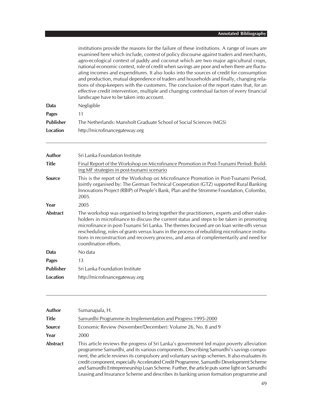|                  | institutions provide the reasons for the failure of these institutions. A range of issues are<br>examined here which include, context of policy discourse against traders and merchants,<br>agro-ecological context of paddy and coconut which are two major agricultural crops,<br>national economic context, role of credit when savings are poor and when there are fluctu-<br>ating incomes and expenditures. It also looks into the sources of credit for consumption<br>and production, mutual dependence of traders and households and finally, changing rela-<br>tions of shop-keepers with the customers. The conclusion of the report states that, for an<br>effective credit intervention, multiple and changing contextual factors of every financial<br>landscape have to be taken into account. |
|------------------|---------------------------------------------------------------------------------------------------------------------------------------------------------------------------------------------------------------------------------------------------------------------------------------------------------------------------------------------------------------------------------------------------------------------------------------------------------------------------------------------------------------------------------------------------------------------------------------------------------------------------------------------------------------------------------------------------------------------------------------------------------------------------------------------------------------|
| Data             | Negligible                                                                                                                                                                                                                                                                                                                                                                                                                                                                                                                                                                                                                                                                                                                                                                                                    |
| <b>Pages</b>     | 11                                                                                                                                                                                                                                                                                                                                                                                                                                                                                                                                                                                                                                                                                                                                                                                                            |
| <b>Publisher</b> | The Netherlands: Mansholt Graduate School of Social Sciences (MGS)                                                                                                                                                                                                                                                                                                                                                                                                                                                                                                                                                                                                                                                                                                                                            |
| <b>Location</b>  | http://microfinancegateway.org                                                                                                                                                                                                                                                                                                                                                                                                                                                                                                                                                                                                                                                                                                                                                                                |
| Author           | Sri Lanka Foundation Institute                                                                                                                                                                                                                                                                                                                                                                                                                                                                                                                                                                                                                                                                                                                                                                                |
| <b>Title</b>     | Final Report of the Workshop on Microfinance Promotion in Post-Tsunami Period: Build-<br>ing MF strategies in post-tsunami scenario                                                                                                                                                                                                                                                                                                                                                                                                                                                                                                                                                                                                                                                                           |
| <b>Source</b>    | This is the report of the Workshop on Microfinance Promotion in Post-Tsunami Period,<br>Jointly organised by: The German Technical Cooperation (GTZ) supported Rural Banking<br>Innovations Project (RBIP) of People's Bank, Plan and the Stromme Foundation, Colombo,<br>2005.                                                                                                                                                                                                                                                                                                                                                                                                                                                                                                                               |
| Year             | 2005                                                                                                                                                                                                                                                                                                                                                                                                                                                                                                                                                                                                                                                                                                                                                                                                          |
| <b>Abstract</b>  | The workshop was organised to bring together the practitioners, experts and other stake-<br>holders in microfinance to discuss the current status and steps to be taken in promoting<br>microfinance in post-Tsunami Sri Lanka. The themes focused are on loan write-offs versus<br>rescheduling, roles of grants versus loans in the process of rebuilding microfinance institu-<br>tions in reconstruction and recovery process, and areas of complementarily and need for<br>coordination efforts.                                                                                                                                                                                                                                                                                                         |
| Data             | No data                                                                                                                                                                                                                                                                                                                                                                                                                                                                                                                                                                                                                                                                                                                                                                                                       |
| <b>Pages</b>     | 13                                                                                                                                                                                                                                                                                                                                                                                                                                                                                                                                                                                                                                                                                                                                                                                                            |
| <b>Publisher</b> | Sri Lanka Foundation Institute                                                                                                                                                                                                                                                                                                                                                                                                                                                                                                                                                                                                                                                                                                                                                                                |
| <b>Location</b>  | http://microfinancegateway.org                                                                                                                                                                                                                                                                                                                                                                                                                                                                                                                                                                                                                                                                                                                                                                                |
|                  |                                                                                                                                                                                                                                                                                                                                                                                                                                                                                                                                                                                                                                                                                                                                                                                                               |

| <b>Author</b>   | Sumanapala, H.                                                                                                                                                                                                                                                                                                                                                                                                                                                                                                                                                      |
|-----------------|---------------------------------------------------------------------------------------------------------------------------------------------------------------------------------------------------------------------------------------------------------------------------------------------------------------------------------------------------------------------------------------------------------------------------------------------------------------------------------------------------------------------------------------------------------------------|
| <b>Title</b>    | Samurdhi Programme its Implementation and Progress 1995-2000                                                                                                                                                                                                                                                                                                                                                                                                                                                                                                        |
| <b>Source</b>   | Economic Review (November/December): Volume 26, No. 8 and 9                                                                                                                                                                                                                                                                                                                                                                                                                                                                                                         |
| Year            | 2000                                                                                                                                                                                                                                                                                                                                                                                                                                                                                                                                                                |
| <b>Abstract</b> | This article reviews the progress of Sri Lanka's government led major poverty alleviation<br>programme Samurdhi, and its various components. Describing Samurdhi's savings compo-<br>nent, the article reviews its compulsory and voluntary savings schemes. It also evaluates its<br>credit component, especially Accelerated Credit Programme, Samurdhi Development Scheme<br>and Samurdhi Entrepreneurship Loan Scheme. Further, the article puts some light on Samurdhi<br>Leasing and Insurance Scheme and describes its banking union formation programme and |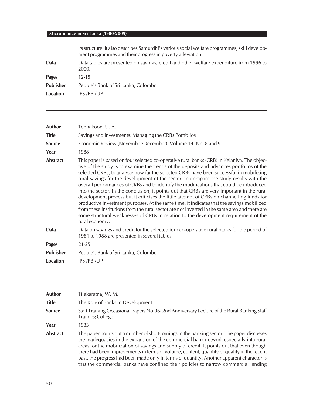|                  | its structure. It also describes Samurdhi's various social welfare programmes, skill develop-<br>ment programmes and their progress in poverty alleviation. |
|------------------|-------------------------------------------------------------------------------------------------------------------------------------------------------------|
| Data             | Data tables are presented on savings, credit and other welfare expenditure from 1996 to<br>2000.                                                            |
| <b>Pages</b>     | 12-15                                                                                                                                                       |
| <b>Publisher</b> | People's Bank of Sri Lanka, Colombo                                                                                                                         |
| Location         | IPS/PB/UP                                                                                                                                                   |
|                  |                                                                                                                                                             |

| <b>Author</b>    | Tennakoon, U.A.                                                                                                                                                                                                                                                                                                                                                                                                                                                                                                                                                                                                                                                                                                                                                                                                                                                                                                                                                             |
|------------------|-----------------------------------------------------------------------------------------------------------------------------------------------------------------------------------------------------------------------------------------------------------------------------------------------------------------------------------------------------------------------------------------------------------------------------------------------------------------------------------------------------------------------------------------------------------------------------------------------------------------------------------------------------------------------------------------------------------------------------------------------------------------------------------------------------------------------------------------------------------------------------------------------------------------------------------------------------------------------------|
| <b>Title</b>     | Savings and Investments: Managing the CRBs Portfolios                                                                                                                                                                                                                                                                                                                                                                                                                                                                                                                                                                                                                                                                                                                                                                                                                                                                                                                       |
| <b>Source</b>    | Economic Review (November\December): Volume 14, No. 8 and 9                                                                                                                                                                                                                                                                                                                                                                                                                                                                                                                                                                                                                                                                                                                                                                                                                                                                                                                 |
| Year             | 1988                                                                                                                                                                                                                                                                                                                                                                                                                                                                                                                                                                                                                                                                                                                                                                                                                                                                                                                                                                        |
| <b>Abstract</b>  | This paper is based on four selected co-operative rural banks (CRB) in Kelaniya. The objec-<br>tive of the study is to examine the trends of the deposits and advances portfolios of the<br>selected CRBs, to analyze how far the selected CRBs have been successful in mobilizing<br>rural savings for the development of the sector, to compare the study results with the<br>overall performances of CRBs and to identify the modifications that could be introduced<br>into the sector. In the conclusion, it points out that CRBs are very important in the rural<br>development process but it criticises the little attempt of CRBs on channelling funds for<br>productive investment purposes. At the same time, it indicates that the savings mobilized<br>from these institutions from the rural sector are not invested in the same area and there are<br>some structural weaknesses of CRBs in relation to the development requirement of the<br>rural economy. |
| Data             | Data on savings and credit for the selected four co-operative rural banks for the period of<br>1981 to 1988 are presented in several tables.                                                                                                                                                                                                                                                                                                                                                                                                                                                                                                                                                                                                                                                                                                                                                                                                                                |
| <b>Pages</b>     | $21 - 25$                                                                                                                                                                                                                                                                                                                                                                                                                                                                                                                                                                                                                                                                                                                                                                                                                                                                                                                                                                   |
| <b>Publisher</b> | People's Bank of Sri Lanka, Colombo                                                                                                                                                                                                                                                                                                                                                                                                                                                                                                                                                                                                                                                                                                                                                                                                                                                                                                                                         |
| Location         | IPS /PB /UP                                                                                                                                                                                                                                                                                                                                                                                                                                                                                                                                                                                                                                                                                                                                                                                                                                                                                                                                                                 |
|                  |                                                                                                                                                                                                                                                                                                                                                                                                                                                                                                                                                                                                                                                                                                                                                                                                                                                                                                                                                                             |

| Author          | Tilakaratna, W. M.                                                                                                                                                                                                                                                                                                                                                                                                                                                                                                                                                 |
|-----------------|--------------------------------------------------------------------------------------------------------------------------------------------------------------------------------------------------------------------------------------------------------------------------------------------------------------------------------------------------------------------------------------------------------------------------------------------------------------------------------------------------------------------------------------------------------------------|
| Title           | The Role of Banks in Development                                                                                                                                                                                                                                                                                                                                                                                                                                                                                                                                   |
| <b>Source</b>   | Staff Training Occasional Papers No.06-2nd Anniversary Lecture of the Rural Banking Staff<br>Training College.                                                                                                                                                                                                                                                                                                                                                                                                                                                     |
| Year            | 1983                                                                                                                                                                                                                                                                                                                                                                                                                                                                                                                                                               |
| <b>Abstract</b> | The paper points out a number of shortcomings in the banking sector. The paper discusses<br>the inadequacies in the expansion of the commercial bank network especially into rural<br>areas for the mobilization of savings and supply of credit. It points out that even though<br>there had been improvements in terms of volume, content, quantity or quality in the recent<br>past, the progress had been made only in terms of quantity. Another apparent character is<br>that the commercial banks have confined their policies to narrow commercial lending |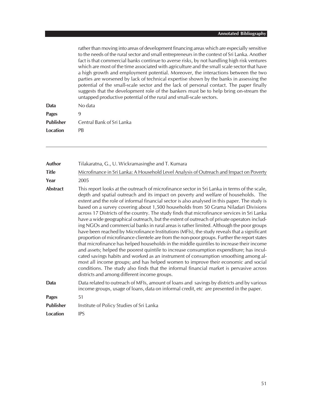#### **Annotated Bibliography**

rather than moving into areas of development financing areas which are especially sensitive to the needs of the rural sector and small entrepreneurs in the context of Sri Lanka. Another fact is that commercial banks continue to averse risks, by not handling high risk ventures which are most of the time associated with agriculture and the small scale sector that have a high growth and employment potential. Moreover, the interactions between the two parties are worsened by lack of technical expertise shown by the banks in assessing the potential of the small-scale sector and the lack of personal contact. The paper finally suggests that the development role of the bankers must be to help bring on-stream the untapped productive potential of the rural and small-scale sectors.

| Data             | No data                   |
|------------------|---------------------------|
| Pages            | q                         |
| <b>Publisher</b> | Central Bank of Sri Lanka |
| Location         | PR                        |
|                  |                           |

| Author           | Tilakaratna, G., U. Wickramasinghe and T. Kumara                                                                                                                                                                                                                                                                                                                                                                                                                                                                                                                                                                                                                                                                                                                                                                                                                                                                                                                                                                                                                                                                                                                                                                                                                                                                                                                                 |
|------------------|----------------------------------------------------------------------------------------------------------------------------------------------------------------------------------------------------------------------------------------------------------------------------------------------------------------------------------------------------------------------------------------------------------------------------------------------------------------------------------------------------------------------------------------------------------------------------------------------------------------------------------------------------------------------------------------------------------------------------------------------------------------------------------------------------------------------------------------------------------------------------------------------------------------------------------------------------------------------------------------------------------------------------------------------------------------------------------------------------------------------------------------------------------------------------------------------------------------------------------------------------------------------------------------------------------------------------------------------------------------------------------|
| <b>Title</b>     | Microfinance in Sri Lanka: A Household Level Analysis of Outreach and Impact on Poverty                                                                                                                                                                                                                                                                                                                                                                                                                                                                                                                                                                                                                                                                                                                                                                                                                                                                                                                                                                                                                                                                                                                                                                                                                                                                                          |
| Year             | 2005                                                                                                                                                                                                                                                                                                                                                                                                                                                                                                                                                                                                                                                                                                                                                                                                                                                                                                                                                                                                                                                                                                                                                                                                                                                                                                                                                                             |
| <b>Abstract</b>  | This report looks at the outreach of microfinance sector in Sri Lanka in terms of the scale,<br>depth and spatial outreach and its impact on poverty and welfare of households. The<br>extent and the role of informal financial sector is also analysed in this paper. The study is<br>based on a survey covering about 1,500 households from 50 Grama Niladari Divisions<br>across 17 Districts of the country. The study finds that microfinance services in Sri Lanka<br>have a wide geographical outreach, but the extent of outreach of private operators includ-<br>ing NGOs and commercial banks in rural areas is rather limited. Although the poor groups<br>have been reached by Microfinance Institutions (MFIs), the study reveals that a significant<br>proportion of microfinance clientele are from the non-poor groups. Further the report states<br>that microfinance has helped households in the middle quintiles to increase their income<br>and assets; helped the poorest quintile to increase consumption expenditure; has incul-<br>cated savings habits and worked as an instrument of consumption smoothing among al-<br>most all income groups; and has helped women to improve their economic and social<br>conditions. The study also finds that the informal financial market is pervasive across<br>districts and among different income groups. |
| Data             | Data related to outreach of MFIs, amount of loans and savings by districts and by various<br>income groups, usage of loans, data on informal credit, etc are presented in the paper.                                                                                                                                                                                                                                                                                                                                                                                                                                                                                                                                                                                                                                                                                                                                                                                                                                                                                                                                                                                                                                                                                                                                                                                             |
| <b>Pages</b>     | 51                                                                                                                                                                                                                                                                                                                                                                                                                                                                                                                                                                                                                                                                                                                                                                                                                                                                                                                                                                                                                                                                                                                                                                                                                                                                                                                                                                               |
| <b>Publisher</b> | Institute of Policy Studies of Sri Lanka                                                                                                                                                                                                                                                                                                                                                                                                                                                                                                                                                                                                                                                                                                                                                                                                                                                                                                                                                                                                                                                                                                                                                                                                                                                                                                                                         |
| <b>Location</b>  | <b>IPS</b>                                                                                                                                                                                                                                                                                                                                                                                                                                                                                                                                                                                                                                                                                                                                                                                                                                                                                                                                                                                                                                                                                                                                                                                                                                                                                                                                                                       |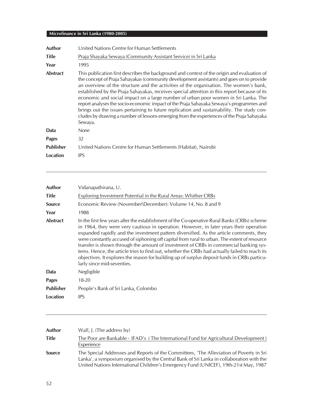| <b>Author</b>    | United Nations Centre for Human Settlements                                                                                                                                                                                                                                                                                                                                                                                                                                                                                                                                                                                                                                                                                                                             |
|------------------|-------------------------------------------------------------------------------------------------------------------------------------------------------------------------------------------------------------------------------------------------------------------------------------------------------------------------------------------------------------------------------------------------------------------------------------------------------------------------------------------------------------------------------------------------------------------------------------------------------------------------------------------------------------------------------------------------------------------------------------------------------------------------|
| <b>Title</b>     | Praja Shayaka Sewaya (Community Assistant Service) in Sri Lanka                                                                                                                                                                                                                                                                                                                                                                                                                                                                                                                                                                                                                                                                                                         |
| Year             | 1995                                                                                                                                                                                                                                                                                                                                                                                                                                                                                                                                                                                                                                                                                                                                                                    |
| <b>Abstract</b>  | This publication first describes the background and context of the origin and evaluation of<br>the concept of Praja Sahayakas (community development assistants) and goes on to provide<br>an overview of the structure and the activities of the organisation. The women's bank,<br>established by the Praja Sahayakas, receives special attention in this report because of its<br>economic and social impact on a large number of urban poor women in Sri Lanka. The<br>report analyses the socio-economic impact of the Praja Sahayaka Sewaya's programmes and<br>brings out the issues pertaining to future replication and sustainability. The study con-<br>cludes by drawing a number of lessons emerging from the experiences of the Praja Sahayaka<br>Sewaya. |
| Data             | <b>None</b>                                                                                                                                                                                                                                                                                                                                                                                                                                                                                                                                                                                                                                                                                                                                                             |
| <b>Pages</b>     | 32                                                                                                                                                                                                                                                                                                                                                                                                                                                                                                                                                                                                                                                                                                                                                                      |
| <b>Publisher</b> | United Nations Centre for Human Settlements (Habitat), Nairobi                                                                                                                                                                                                                                                                                                                                                                                                                                                                                                                                                                                                                                                                                                          |
| Location         | <b>IPS</b>                                                                                                                                                                                                                                                                                                                                                                                                                                                                                                                                                                                                                                                                                                                                                              |

| <b>Author</b>    | Vidanapathirana, U.                                                                                                                                                                                                                                                                                                                                                                                                                                                                                                                                                                                                                                                                                      |
|------------------|----------------------------------------------------------------------------------------------------------------------------------------------------------------------------------------------------------------------------------------------------------------------------------------------------------------------------------------------------------------------------------------------------------------------------------------------------------------------------------------------------------------------------------------------------------------------------------------------------------------------------------------------------------------------------------------------------------|
| <b>Title</b>     | Exploring Investment Potential in the Rural Areas: Whither CRBs                                                                                                                                                                                                                                                                                                                                                                                                                                                                                                                                                                                                                                          |
| <b>Source</b>    | Economic Review (November\December): Volume 14, No. 8 and 9                                                                                                                                                                                                                                                                                                                                                                                                                                                                                                                                                                                                                                              |
| Year             | 1988                                                                                                                                                                                                                                                                                                                                                                                                                                                                                                                                                                                                                                                                                                     |
| <b>Abstract</b>  | In the first few years after the establishment of the Co-operative Rural Banks (CRBs) scheme<br>in 1964, they were very cautious in operation. However, in later years their operation<br>expanded rapidly and the investment pattern diversified. As the article comments, they<br>were constantly accused of siphoning off capital from rural to urban. The extent of resource<br>transfer is shown through the amount of investment of CRBs in commercial banking sys-<br>tems. Hence, the article tries to find out, whether the CRBs had actually failed to reach its<br>objectives. It explores the reason for building up of surplus deposit funds in CRBs particu-<br>larly since mid-seventies. |
| Data             | Negligible                                                                                                                                                                                                                                                                                                                                                                                                                                                                                                                                                                                                                                                                                               |
| <b>Pages</b>     | $18 - 20$                                                                                                                                                                                                                                                                                                                                                                                                                                                                                                                                                                                                                                                                                                |
| <b>Publisher</b> | People's Bank of Sri Lanka, Colombo                                                                                                                                                                                                                                                                                                                                                                                                                                                                                                                                                                                                                                                                      |
| Location         | <b>IPS</b>                                                                                                                                                                                                                                                                                                                                                                                                                                                                                                                                                                                                                                                                                               |
|                  |                                                                                                                                                                                                                                                                                                                                                                                                                                                                                                                                                                                                                                                                                                          |

| Author        | Wall, J. (The address by)                                                                                                                                                                                                                                                   |
|---------------|-----------------------------------------------------------------------------------------------------------------------------------------------------------------------------------------------------------------------------------------------------------------------------|
| <b>Title</b>  | The Poor are Bankable - IFAD's (The International Fund for Agricultural Development)<br>Experience                                                                                                                                                                          |
| <b>Source</b> | The Special Addresses and Reports of the Committees, 'The Alleviation of Poverty in Sri<br>Lanka', a symposium organised by the Central Bank of Sri Lanka in collaboration with the<br>United Nations International Children's Emergency Fund (UNICEF), 19th-21st May, 1987 |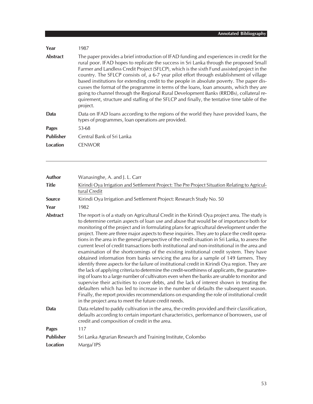| Year             | 1987                                                                                                                                                                                                                                                                                                                                                                                                                                                                                                                                                                                                                                                                                                                                                                       |
|------------------|----------------------------------------------------------------------------------------------------------------------------------------------------------------------------------------------------------------------------------------------------------------------------------------------------------------------------------------------------------------------------------------------------------------------------------------------------------------------------------------------------------------------------------------------------------------------------------------------------------------------------------------------------------------------------------------------------------------------------------------------------------------------------|
| <b>Abstract</b>  | The paper provides a brief introduction of IFAD funding and experiences in credit for the<br>rural poor. IFAD hopes to replicate the success in Sri Lanka through the proposed Small<br>Farmer and Landless Credit Project (SFLCP), which is the sixth Fund assisted project in the<br>country. The SFLCP consists of, a 6-7 year pilot effort through establishment of village<br>based institutions for extending credit to the people in absolute poverty. The paper dis-<br>cusses the format of the programme in terms of the loans, loan amounts, which they are<br>going to channel through the Regional Rural Development Banks (RRDBs), collateral re-<br>quirement, structure and staffing of the SFLCP and finally, the tentative time table of the<br>project. |
| Data             | Data on IFAD loans according to the regions of the world they have provided loans, the<br>types of programmes, loan operations are provided.                                                                                                                                                                                                                                                                                                                                                                                                                                                                                                                                                                                                                               |
| <b>Pages</b>     | 53-68                                                                                                                                                                                                                                                                                                                                                                                                                                                                                                                                                                                                                                                                                                                                                                      |
| <b>Publisher</b> | Central Bank of Sri Lanka                                                                                                                                                                                                                                                                                                                                                                                                                                                                                                                                                                                                                                                                                                                                                  |
| Location         | <b>CENWOR</b>                                                                                                                                                                                                                                                                                                                                                                                                                                                                                                                                                                                                                                                                                                                                                              |

| <b>Author</b>    | Wanasinghe, A. and J. L. Carr                                                                                                                                                                                                                                                                                                                                                                                                                                                                                                                                                                                                                                                                                                                                                                                                                                                                                                                                                                                                                                                                                                                                                                                                                                                                                                                                                                                                 |
|------------------|-------------------------------------------------------------------------------------------------------------------------------------------------------------------------------------------------------------------------------------------------------------------------------------------------------------------------------------------------------------------------------------------------------------------------------------------------------------------------------------------------------------------------------------------------------------------------------------------------------------------------------------------------------------------------------------------------------------------------------------------------------------------------------------------------------------------------------------------------------------------------------------------------------------------------------------------------------------------------------------------------------------------------------------------------------------------------------------------------------------------------------------------------------------------------------------------------------------------------------------------------------------------------------------------------------------------------------------------------------------------------------------------------------------------------------|
| <b>Title</b>     | Kirindi Oya Irrigation and Settlement Project: The Pre Project Situation Relating to Agricul-<br>tural Credit                                                                                                                                                                                                                                                                                                                                                                                                                                                                                                                                                                                                                                                                                                                                                                                                                                                                                                                                                                                                                                                                                                                                                                                                                                                                                                                 |
| Source           | Kirindi Oya Irrigation and Settlement Project: Research Study No. 50                                                                                                                                                                                                                                                                                                                                                                                                                                                                                                                                                                                                                                                                                                                                                                                                                                                                                                                                                                                                                                                                                                                                                                                                                                                                                                                                                          |
| Year             | 1982                                                                                                                                                                                                                                                                                                                                                                                                                                                                                                                                                                                                                                                                                                                                                                                                                                                                                                                                                                                                                                                                                                                                                                                                                                                                                                                                                                                                                          |
| <b>Abstract</b>  | The report is of a study on Agricultural Credit in the Kirindi Oya project area. The study is<br>to determine certain aspects of loan use and abuse that would be of importance both for<br>monitoring of the project and in formulating plans for agricultural development under the<br>project. There are three major aspects to these inquiries. They are to place the credit opera-<br>tions in the area in the general perspective of the credit situation in Sri Lanka, to assess the<br>current level of credit transactions both institutional and non-institutional in the area and<br>examination of the shortcomings of the existing institutional credit system. They have<br>obtained information from banks servicing the area for a sample of 149 farmers. They<br>identify three aspects for the failure of institutional credit in Kirindi Oya region. They are<br>the lack of applying criteria to determine the credit-worthiness of applicants, the guarantee-<br>ing of loans to a large number of cultivators even when the banks are unable to monitor and<br>supervise their activities to cover debts, and the lack of interest shown in treating the<br>defaulters which has led to increase in the number of defaults the subsequent season.<br>Finally, the report provides recommendations on expanding the role of institutional credit<br>in the project area to meet the future credit needs. |
| <b>Data</b>      | Data related to paddy cultivation in the area, the credits provided and their classification,<br>defaults according to certain important characteristics, performance of borrowers, use of<br>credit and composition of credit in the area.                                                                                                                                                                                                                                                                                                                                                                                                                                                                                                                                                                                                                                                                                                                                                                                                                                                                                                                                                                                                                                                                                                                                                                                   |
| <b>Pages</b>     | 117                                                                                                                                                                                                                                                                                                                                                                                                                                                                                                                                                                                                                                                                                                                                                                                                                                                                                                                                                                                                                                                                                                                                                                                                                                                                                                                                                                                                                           |
| <b>Publisher</b> | Sri Lanka Agrarian Research and Training Institute, Colombo                                                                                                                                                                                                                                                                                                                                                                                                                                                                                                                                                                                                                                                                                                                                                                                                                                                                                                                                                                                                                                                                                                                                                                                                                                                                                                                                                                   |
| <b>Location</b>  | Marga/IPS                                                                                                                                                                                                                                                                                                                                                                                                                                                                                                                                                                                                                                                                                                                                                                                                                                                                                                                                                                                                                                                                                                                                                                                                                                                                                                                                                                                                                     |
|                  |                                                                                                                                                                                                                                                                                                                                                                                                                                                                                                                                                                                                                                                                                                                                                                                                                                                                                                                                                                                                                                                                                                                                                                                                                                                                                                                                                                                                                               |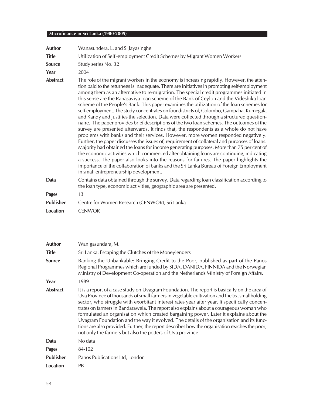| <b>Author</b>    | Wanasundera, L. and S. Jayasinghe                                                                                                                                                                                                                                                                                                                                                                                                                                                                                                                                                                                                                                                                                                                                                                                                                                                                                                                                                                                                                                                                                                                                                                                                                                                                                                                                                                                                                                         |
|------------------|---------------------------------------------------------------------------------------------------------------------------------------------------------------------------------------------------------------------------------------------------------------------------------------------------------------------------------------------------------------------------------------------------------------------------------------------------------------------------------------------------------------------------------------------------------------------------------------------------------------------------------------------------------------------------------------------------------------------------------------------------------------------------------------------------------------------------------------------------------------------------------------------------------------------------------------------------------------------------------------------------------------------------------------------------------------------------------------------------------------------------------------------------------------------------------------------------------------------------------------------------------------------------------------------------------------------------------------------------------------------------------------------------------------------------------------------------------------------------|
| <b>Title</b>     | Utilization of Self-employment Credit Schemes by Migrant Women Workers                                                                                                                                                                                                                                                                                                                                                                                                                                                                                                                                                                                                                                                                                                                                                                                                                                                                                                                                                                                                                                                                                                                                                                                                                                                                                                                                                                                                    |
| <b>Source</b>    | Study series No. 32                                                                                                                                                                                                                                                                                                                                                                                                                                                                                                                                                                                                                                                                                                                                                                                                                                                                                                                                                                                                                                                                                                                                                                                                                                                                                                                                                                                                                                                       |
| Year             | 2004                                                                                                                                                                                                                                                                                                                                                                                                                                                                                                                                                                                                                                                                                                                                                                                                                                                                                                                                                                                                                                                                                                                                                                                                                                                                                                                                                                                                                                                                      |
| <b>Abstract</b>  | The role of the migrant workers in the economy is increasing rapidly. However, the atten-<br>tion paid to the returnees is inadequate. There are initiatives in promoting self-employment<br>among them as an alternative to re-migration. The special credit programmes initiated in<br>this sense are the Ranasaviya loan scheme of the Bank of Ceylon and the Videshika loan<br>scheme of the People's Bank. This paper examines the utilization of the loan schemes for<br>self-employment. The study concentrates on four districts of, Colombo, Gampaha, Kurnegala<br>and Kandy and justifies the selection. Data were collected through a structured question-<br>naire. The paper provides brief descriptions of the two loan schemes. The outcomes of the<br>survey are presented afterwards. It finds that, the respondents as a whole do not have<br>problems with banks and their services. However, more women responded negatively.<br>Further, the paper discusses the issues of, requirement of collateral and purposes of loans.<br>Majority had obtained the loans for income generating purposes. More than 75 per cent of<br>the economic activities which commenced after obtaining loans are continuing, indicating<br>a success. The paper also looks into the reasons for failures. The paper highlights the<br>importance of the collaboration of banks and the Sri Lanka Bureau of Foreign Employment<br>in small entrepreneurship development. |
| Data             | Contains data obtained through the survey. Data regarding loan classification according to<br>the loan type, economic activities, geographic area are presented.                                                                                                                                                                                                                                                                                                                                                                                                                                                                                                                                                                                                                                                                                                                                                                                                                                                                                                                                                                                                                                                                                                                                                                                                                                                                                                          |
| <b>Pages</b>     | 13                                                                                                                                                                                                                                                                                                                                                                                                                                                                                                                                                                                                                                                                                                                                                                                                                                                                                                                                                                                                                                                                                                                                                                                                                                                                                                                                                                                                                                                                        |
| <b>Publisher</b> | Centre for Women Research (CENWOR), Sri Lanka                                                                                                                                                                                                                                                                                                                                                                                                                                                                                                                                                                                                                                                                                                                                                                                                                                                                                                                                                                                                                                                                                                                                                                                                                                                                                                                                                                                                                             |
| Location         | <b>CENWOR</b>                                                                                                                                                                                                                                                                                                                                                                                                                                                                                                                                                                                                                                                                                                                                                                                                                                                                                                                                                                                                                                                                                                                                                                                                                                                                                                                                                                                                                                                             |
|                  |                                                                                                                                                                                                                                                                                                                                                                                                                                                                                                                                                                                                                                                                                                                                                                                                                                                                                                                                                                                                                                                                                                                                                                                                                                                                                                                                                                                                                                                                           |

| Author           | Wanigasundara, M.                                                                                                                                                                                                                                                                                                                                                                                                                                                                                                                                                                                                                                                                                                                            |
|------------------|----------------------------------------------------------------------------------------------------------------------------------------------------------------------------------------------------------------------------------------------------------------------------------------------------------------------------------------------------------------------------------------------------------------------------------------------------------------------------------------------------------------------------------------------------------------------------------------------------------------------------------------------------------------------------------------------------------------------------------------------|
| <b>Title</b>     | Sri Lanka: Escaping the Clutches of the Moneylenders                                                                                                                                                                                                                                                                                                                                                                                                                                                                                                                                                                                                                                                                                         |
| <b>Source</b>    | Banking the Unbankable: Bringing Credit to the Poor, published as part of the Panos<br>Regional Programmes which are funded by SIDA, DANIDA, FINNIDA and the Norwegian<br>Ministry of Development Co-operation and the Netherlands Ministry of Foreign Affairs.                                                                                                                                                                                                                                                                                                                                                                                                                                                                              |
| Year             | 1989                                                                                                                                                                                                                                                                                                                                                                                                                                                                                                                                                                                                                                                                                                                                         |
| <b>Abstract</b>  | It is a report of a case study on Uvagram Foundation. The report is basically on the area of<br>Uva Province of thousands of small farmers in vegetable cultivation and the tea smallholding<br>sector, who struggle with exorbitant interest rates year after year. It specifically concen-<br>trates on farmers in Bandarawela. The report also explains about a courageous woman who<br>formulated an organisation which created bargaining power. Later it explains about the<br>Uvagram Foundation and the way it evolved. The details of the organisation and its func-<br>tions are also provided. Further, the report describes how the organisation reaches the poor,<br>not only the farmers but also the potters of Uva province. |
| Data             | No data                                                                                                                                                                                                                                                                                                                                                                                                                                                                                                                                                                                                                                                                                                                                      |
| <b>Pages</b>     | 84-102                                                                                                                                                                                                                                                                                                                                                                                                                                                                                                                                                                                                                                                                                                                                       |
| <b>Publisher</b> | Panos Publications Ltd, London                                                                                                                                                                                                                                                                                                                                                                                                                                                                                                                                                                                                                                                                                                               |
| Location         | <b>PB</b>                                                                                                                                                                                                                                                                                                                                                                                                                                                                                                                                                                                                                                                                                                                                    |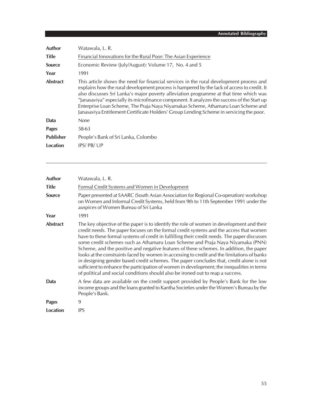| Author           | Watawala, L. R.                                                                                                                                                                                                                                                                                                                                                                                                                                                                                                                                               |
|------------------|---------------------------------------------------------------------------------------------------------------------------------------------------------------------------------------------------------------------------------------------------------------------------------------------------------------------------------------------------------------------------------------------------------------------------------------------------------------------------------------------------------------------------------------------------------------|
| <b>Title</b>     | Financial Innovations for the Rural Poor: The Asian Experience                                                                                                                                                                                                                                                                                                                                                                                                                                                                                                |
| <b>Source</b>    | Economic Review (July/August): Volume 17, No. 4 and 5                                                                                                                                                                                                                                                                                                                                                                                                                                                                                                         |
| Year             | 1991                                                                                                                                                                                                                                                                                                                                                                                                                                                                                                                                                          |
| Abstract         | This article shows the need for financial services in the rural development process and<br>explains how the rural development process is hampered by the lack of access to credit. It<br>also discusses Sri Lanka's major poverty alleviation programme at that time which was<br>"Janasaviya" especially its microfinance component. It analyzes the success of the Start up<br>Enterprise Loan Scheme, The Praja Naya Niyamakas Scheme, Athamaru Loan Scheme and<br>Janasaviya Entitlement Certificate Holders' Group Lending Scheme in servicing the poor. |
| Data             | <b>None</b>                                                                                                                                                                                                                                                                                                                                                                                                                                                                                                                                                   |
| <b>Pages</b>     | 58-63                                                                                                                                                                                                                                                                                                                                                                                                                                                                                                                                                         |
| <b>Publisher</b> | People's Bank of Sri Lanka, Colombo                                                                                                                                                                                                                                                                                                                                                                                                                                                                                                                           |
| Location         | IPS/PB/UP                                                                                                                                                                                                                                                                                                                                                                                                                                                                                                                                                     |

| Author          | Watawala, L. R.                                                                                                                                                                                                                                                                                                                                                                                                                                                                                                                                                                                                                                                                                                                                                                                                                            |
|-----------------|--------------------------------------------------------------------------------------------------------------------------------------------------------------------------------------------------------------------------------------------------------------------------------------------------------------------------------------------------------------------------------------------------------------------------------------------------------------------------------------------------------------------------------------------------------------------------------------------------------------------------------------------------------------------------------------------------------------------------------------------------------------------------------------------------------------------------------------------|
| <b>Title</b>    | Formal Credit Systems and Women in Development                                                                                                                                                                                                                                                                                                                                                                                                                                                                                                                                                                                                                                                                                                                                                                                             |
| <b>Source</b>   | Paper presented at SAARC (South Asian Association for Regional Co-operation) workshop<br>on Women and Informal Credit Systems, held from 9th to 11th September 1991 under the<br>auspices of Women Bureau of Sri Lanka                                                                                                                                                                                                                                                                                                                                                                                                                                                                                                                                                                                                                     |
| Year            | 1991                                                                                                                                                                                                                                                                                                                                                                                                                                                                                                                                                                                                                                                                                                                                                                                                                                       |
| <b>Abstract</b> | The key objective of the paper is to identify the role of women in development and their<br>credit needs. The paper focuses on the formal credit systems and the access that women<br>have to these formal systems of credit in fulfilling their credit needs. The paper discusses<br>some credit schemes such as Athamaru Loan Scheme and Praja Naya Niyamaka (PNN)<br>Scheme, and the positive and negative features of these schemes. In addition, the paper<br>looks at the constraints faced by women in accessing to credit and the limitations of banks<br>in designing gender based credit schemes. The paper concludes that, credit alone is not<br>sufficient to enhance the participation of women in development; the inequalities in terms<br>of political and social conditions should also be ironed out to reap a success. |
| Data            | A few data are available on the credit support provided by People's Bank for the low<br>income groups and the loans granted to Kantha Societies under the Women's Bureau by the<br>People's Bank.                                                                                                                                                                                                                                                                                                                                                                                                                                                                                                                                                                                                                                          |
| <b>Pages</b>    | 9                                                                                                                                                                                                                                                                                                                                                                                                                                                                                                                                                                                                                                                                                                                                                                                                                                          |
| <b>Location</b> | <b>IPS</b>                                                                                                                                                                                                                                                                                                                                                                                                                                                                                                                                                                                                                                                                                                                                                                                                                                 |
|                 |                                                                                                                                                                                                                                                                                                                                                                                                                                                                                                                                                                                                                                                                                                                                                                                                                                            |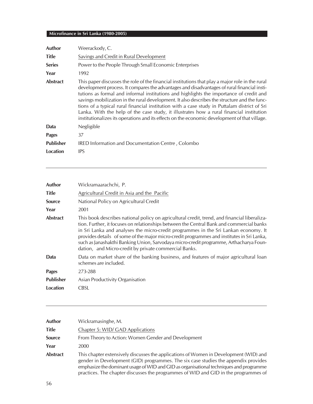| <b>Author</b>    | Weerackody, C.                                                                                                                                                                                                                                                                                                                                                                                                                                                                                                                                                                                                                                                                         |
|------------------|----------------------------------------------------------------------------------------------------------------------------------------------------------------------------------------------------------------------------------------------------------------------------------------------------------------------------------------------------------------------------------------------------------------------------------------------------------------------------------------------------------------------------------------------------------------------------------------------------------------------------------------------------------------------------------------|
| <b>Title</b>     | Savings and Credit in Rural Development                                                                                                                                                                                                                                                                                                                                                                                                                                                                                                                                                                                                                                                |
| <b>Series</b>    | Power to the People Through Small Economic Enterprises                                                                                                                                                                                                                                                                                                                                                                                                                                                                                                                                                                                                                                 |
| Year             | 1992                                                                                                                                                                                                                                                                                                                                                                                                                                                                                                                                                                                                                                                                                   |
| <b>Abstract</b>  | This paper discusses the role of the financial institutions that play a major role in the rural<br>development process. It compares the advantages and disadvantages of rural financial insti-<br>tutions as formal and informal institutions and highlights the importance of credit and<br>savings mobilization in the rural development. It also describes the structure and the func-<br>tions of a typical rural financial institution with a case study in Puttalam district of Sri<br>Lanka. With the help of the case study, it illustrates how a rural financial institution<br>institutionalizes its operations and its effects on the economic development of that village. |
| Data             | Negligible                                                                                                                                                                                                                                                                                                                                                                                                                                                                                                                                                                                                                                                                             |
| <b>Pages</b>     | 37                                                                                                                                                                                                                                                                                                                                                                                                                                                                                                                                                                                                                                                                                     |
| <b>Publisher</b> | IRED Information and Documentation Centre, Colombo                                                                                                                                                                                                                                                                                                                                                                                                                                                                                                                                                                                                                                     |
| Location         | <b>IPS</b>                                                                                                                                                                                                                                                                                                                                                                                                                                                                                                                                                                                                                                                                             |

| Wickramaarachchi, P.                                                                                                                                                                                                                                                                                                                                                                                                                                                                                                             |
|----------------------------------------------------------------------------------------------------------------------------------------------------------------------------------------------------------------------------------------------------------------------------------------------------------------------------------------------------------------------------------------------------------------------------------------------------------------------------------------------------------------------------------|
| Agricultural Credit in Asia and the Pacific                                                                                                                                                                                                                                                                                                                                                                                                                                                                                      |
| National Policy on Agricultural Credit                                                                                                                                                                                                                                                                                                                                                                                                                                                                                           |
| 2001                                                                                                                                                                                                                                                                                                                                                                                                                                                                                                                             |
| This book describes national policy on agricultural credit, trend, and financial liberaliza-<br>tion. Further, it focuses on relationships between the Central Bank and commercial banks<br>in Sri Lanka and analyses the micro-credit programmes in the Sri Lankan economy. It<br>provides details of some of the major micro-credit programmes and institutes in Sri Lanka,<br>such as Janashakthi Banking Union, Sarvodaya micro-credit programme, Arthacharya Foun-<br>dation, and Micro-credit by private commercial Banks. |
| Data on market share of the banking business, and features of major agricultural loan<br>schemes are included.                                                                                                                                                                                                                                                                                                                                                                                                                   |
| 273-288                                                                                                                                                                                                                                                                                                                                                                                                                                                                                                                          |
| Asian Productivity Organisation                                                                                                                                                                                                                                                                                                                                                                                                                                                                                                  |
| CBSL                                                                                                                                                                                                                                                                                                                                                                                                                                                                                                                             |
|                                                                                                                                                                                                                                                                                                                                                                                                                                                                                                                                  |

| Author          | Wickramasinghe, M.                                                                                                                                                                                                                                                                                                                                           |
|-----------------|--------------------------------------------------------------------------------------------------------------------------------------------------------------------------------------------------------------------------------------------------------------------------------------------------------------------------------------------------------------|
| <b>Title</b>    | Chapter 5: WID/ GAD Applications                                                                                                                                                                                                                                                                                                                             |
| <b>Source</b>   | From Theory to Action: Women Gender and Development                                                                                                                                                                                                                                                                                                          |
| Year            | 2000                                                                                                                                                                                                                                                                                                                                                         |
| <b>Abstract</b> | This chapter extensively discusses the applications of Women in Development (WID) and<br>gender in Development (GID) programmes. The six case studies the appendix provides<br>emphasize the dominant usage of WID and GID as organisational techniques and programme<br>practices. The chapter discusses the programmes of WID and GID in the programmes of |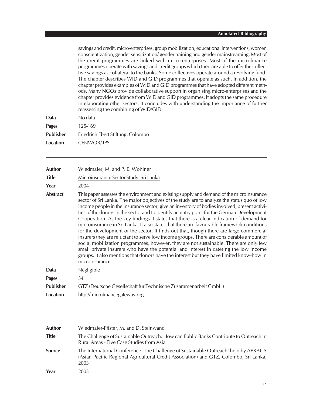savings and credit, micro-enterprises, group mobilization, educational interventions, women conscientization, gender sensitization/ gender training and gender mainstreaming. Most of the credit programmes are linked with micro-enterprises. Most of the microfinance programmes operate with savings and credit groups which then are able to offer the collective savings as collateral to the banks. Some collectives operate around a revolving fund. The chapter describes WID and GID programmes that operate as such. In addition, the chapter provides examples of WID and GID programmes that have adopted different methods. Many NGOs provide collaborative support in organising micro-enterprises and the chapter provides evidence from WID and GID programmes. It adopts the same procedure in elaborating other sectors. It concludes with understanding the importance of further reassessing the combining of WID/GID.

| Data             | No data                           |
|------------------|-----------------------------------|
| Pages            | 125-169                           |
| <b>Publisher</b> | Friedrich Ebert Stiftung, Colombo |
| Location         | CENWOR/IPS                        |

| Author           | Wiedmaier, M. and P. E. Wohlner                                                                                                                                                                                                                                                                                                                                                                                                                                                                                                                                                                                                                                                                                                                                                                                                                                                                                                                                                                                                                                          |
|------------------|--------------------------------------------------------------------------------------------------------------------------------------------------------------------------------------------------------------------------------------------------------------------------------------------------------------------------------------------------------------------------------------------------------------------------------------------------------------------------------------------------------------------------------------------------------------------------------------------------------------------------------------------------------------------------------------------------------------------------------------------------------------------------------------------------------------------------------------------------------------------------------------------------------------------------------------------------------------------------------------------------------------------------------------------------------------------------|
| <b>Title</b>     | Microinsurance Sector Study, Sri Lanka                                                                                                                                                                                                                                                                                                                                                                                                                                                                                                                                                                                                                                                                                                                                                                                                                                                                                                                                                                                                                                   |
| Year             | 2004                                                                                                                                                                                                                                                                                                                                                                                                                                                                                                                                                                                                                                                                                                                                                                                                                                                                                                                                                                                                                                                                     |
| <b>Abstract</b>  | This paper assesses the environment and existing supply and demand of the microinsurance<br>sector of Sri Lanka. The major objectives of the study are to analyze the status quo of low<br>income people in the insurance sector, give an inventory of bodies involved, present activi-<br>ties of the donors in the sector and to identify an entry point for the German Development<br>Cooperation. As the key findings it states that there is a clear indication of demand for<br>microinsurance in Sri Lanka. It also states that there are favourable framework conditions<br>for the development of the sector. It finds out that, though there are large commercial<br>insurers they are reluctant to serve low income groups. There are considerable amount of<br>social mobilization programmes, however, they are not sustainable. There are only few<br>small private insurers who have the potential and interest in catering the low income<br>groups. It also mentions that donors have the interest but they have limited know-how in<br>microinsurance. |
| Data             | Negligible                                                                                                                                                                                                                                                                                                                                                                                                                                                                                                                                                                                                                                                                                                                                                                                                                                                                                                                                                                                                                                                               |
| <b>Pages</b>     | 34                                                                                                                                                                                                                                                                                                                                                                                                                                                                                                                                                                                                                                                                                                                                                                                                                                                                                                                                                                                                                                                                       |
| <b>Publisher</b> | GTZ (Deutsche Gesellschaft für Technische Zusammenarbeit GmbH)                                                                                                                                                                                                                                                                                                                                                                                                                                                                                                                                                                                                                                                                                                                                                                                                                                                                                                                                                                                                           |
| <b>Location</b>  | http://microfinancegateway.org                                                                                                                                                                                                                                                                                                                                                                                                                                                                                                                                                                                                                                                                                                                                                                                                                                                                                                                                                                                                                                           |
|                  |                                                                                                                                                                                                                                                                                                                                                                                                                                                                                                                                                                                                                                                                                                                                                                                                                                                                                                                                                                                                                                                                          |

| <b>Author</b> | Wiedmaier-Pfister, M. and D. Steinwand                                                                                                                                               |
|---------------|--------------------------------------------------------------------------------------------------------------------------------------------------------------------------------------|
| <b>Title</b>  | The Challenge of Sustainable Outreach: How can Public Banks Contribute to Outreach in<br>Rural Areas - Five Case Studies from Asia                                                   |
| <b>Source</b> | The International Conference 'The Challenge of Sustainable Outreach' held by APRACA<br>(Asian Pacific Regional Agricultural Credit Association) and GTZ, Colombo, Sri Lanka,<br>2003 |
| Year          | 2003                                                                                                                                                                                 |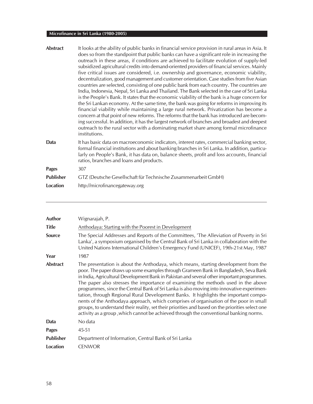| <b>Abstract</b>  | It looks at the ability of public banks in financial service provision in rural areas in Asia. It<br>does so from the standpoint that public banks can have a significant role in increasing the<br>outreach in these areas, if conditions are achieved to facilitate evolution of supply-led<br>subsidized agricultural credits into demand-oriented providers of financial services. Mainly<br>five critical issues are considered, i.e. ownership and governance, economic viability,<br>decentralization, good management and customer orientation. Case studies from five Asian<br>countries are selected, consisting of one public bank from each country. The countries are<br>India, Indonesia, Nepal, Sri Lanka and Thailand. The Bank selected in the case of Sri Lanka<br>is the People's Bank. It states that the economic viability of the bank is a huge concern for<br>the Sri Lankan economy. At the same time, the bank was going for reforms in improving its<br>financial viability while maintaining a large rural network. Privatization has become a<br>concern at that point of new reforms. The reforms that the bank has introduced are becom-<br>ing successful. In addition, it has the largest network of branches and broadest and deepest<br>outreach to the rural sector with a dominating market share among formal microfinance<br>institutions. |
|------------------|-----------------------------------------------------------------------------------------------------------------------------------------------------------------------------------------------------------------------------------------------------------------------------------------------------------------------------------------------------------------------------------------------------------------------------------------------------------------------------------------------------------------------------------------------------------------------------------------------------------------------------------------------------------------------------------------------------------------------------------------------------------------------------------------------------------------------------------------------------------------------------------------------------------------------------------------------------------------------------------------------------------------------------------------------------------------------------------------------------------------------------------------------------------------------------------------------------------------------------------------------------------------------------------------------------------------------------------------------------------------------------------|
| <b>Data</b>      | It has basic data on macroeconomic indicators, interest rates, commercial banking sector,<br>formal financial institutions and about banking branches in Sri Lanka. In addition, particu-<br>larly on People's Bank, it has data on, balance sheets, profit and loss accounts, financial<br>ratios, branches and loans and products.                                                                                                                                                                                                                                                                                                                                                                                                                                                                                                                                                                                                                                                                                                                                                                                                                                                                                                                                                                                                                                              |
| <b>Pages</b>     | 307                                                                                                                                                                                                                                                                                                                                                                                                                                                                                                                                                                                                                                                                                                                                                                                                                                                                                                                                                                                                                                                                                                                                                                                                                                                                                                                                                                               |
| <b>Publisher</b> | GTZ (Deutsche Gesellschaft für Technische Zusammenarbeit GmbH)                                                                                                                                                                                                                                                                                                                                                                                                                                                                                                                                                                                                                                                                                                                                                                                                                                                                                                                                                                                                                                                                                                                                                                                                                                                                                                                    |
| <b>Location</b>  | http://microfinancegateway.org                                                                                                                                                                                                                                                                                                                                                                                                                                                                                                                                                                                                                                                                                                                                                                                                                                                                                                                                                                                                                                                                                                                                                                                                                                                                                                                                                    |

| <b>Author</b>    | Wignarajah, P.                                                                                                                                                                                                                                                                                                                                                                                                                                                                                                                                                                                                                                                                                                                                                                                                                             |
|------------------|--------------------------------------------------------------------------------------------------------------------------------------------------------------------------------------------------------------------------------------------------------------------------------------------------------------------------------------------------------------------------------------------------------------------------------------------------------------------------------------------------------------------------------------------------------------------------------------------------------------------------------------------------------------------------------------------------------------------------------------------------------------------------------------------------------------------------------------------|
| <b>Title</b>     | Anthodaya: Starting with the Poorest in Development                                                                                                                                                                                                                                                                                                                                                                                                                                                                                                                                                                                                                                                                                                                                                                                        |
| <b>Source</b>    | The Special Addresses and Reports of the Committees, 'The Alleviation of Poverty in Sri<br>Lanka', a symposium organised by the Central Bank of Sri Lanka in collaboration with the<br>United Nations International Children's Emergency Fund (UNICEF), 19th-21st May, 1987                                                                                                                                                                                                                                                                                                                                                                                                                                                                                                                                                                |
| Year             | 1987                                                                                                                                                                                                                                                                                                                                                                                                                                                                                                                                                                                                                                                                                                                                                                                                                                       |
| <b>Abstract</b>  | The presentation is about the Anthodaya, which means, starting development from the<br>poor. The paper draws up some examples through Grameen Bank in Bangladesh, Seva Bank<br>in India, Agricultural Development Bank in Pakistan and several other important programmes.<br>The paper also stresses the importance of examining the methods used in the above<br>programmes, since the Central Bank of Sri Lanka is also moving into innovative experimen-<br>tation, through Regional Rural Development Banks. It highlights the important compo-<br>nents of the Anthodaya approach, which comprises of organisation of the poor in small<br>groups, to understand their reality, set their priorities and based on the priorities select one<br>activity as a group, which cannot be achieved through the conventional banking norms. |
| Data             | No data                                                                                                                                                                                                                                                                                                                                                                                                                                                                                                                                                                                                                                                                                                                                                                                                                                    |
| Pages            | 45-51                                                                                                                                                                                                                                                                                                                                                                                                                                                                                                                                                                                                                                                                                                                                                                                                                                      |
| <b>Publisher</b> | Department of Information, Central Bank of Sri Lanka                                                                                                                                                                                                                                                                                                                                                                                                                                                                                                                                                                                                                                                                                                                                                                                       |
| Location         | <b>CENWOR</b>                                                                                                                                                                                                                                                                                                                                                                                                                                                                                                                                                                                                                                                                                                                                                                                                                              |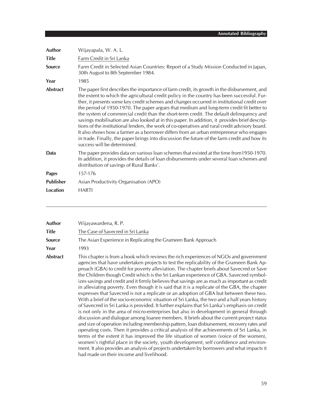| Author           | Wijayapala, W. A. L.                                                                                                                                                                                                                                                                                                                                                                                                                                                                                                                                                                                                                                                                                                                                                                                                                                                                                             |
|------------------|------------------------------------------------------------------------------------------------------------------------------------------------------------------------------------------------------------------------------------------------------------------------------------------------------------------------------------------------------------------------------------------------------------------------------------------------------------------------------------------------------------------------------------------------------------------------------------------------------------------------------------------------------------------------------------------------------------------------------------------------------------------------------------------------------------------------------------------------------------------------------------------------------------------|
| <b>Title</b>     | Farm Credit in Sri Lanka                                                                                                                                                                                                                                                                                                                                                                                                                                                                                                                                                                                                                                                                                                                                                                                                                                                                                         |
| <b>Source</b>    | Farm Credit in Selected Asian Countries: Report of a Study Mission Conducted in Japan,<br>30th August to 8th September 1984.                                                                                                                                                                                                                                                                                                                                                                                                                                                                                                                                                                                                                                                                                                                                                                                     |
| Year             | 1985                                                                                                                                                                                                                                                                                                                                                                                                                                                                                                                                                                                                                                                                                                                                                                                                                                                                                                             |
| <b>Abstract</b>  | The paper first describes the importance of farm credit, its growth in the disbursement, and<br>the extent to which the agricultural credit policy in the country has been successful. Fur-<br>ther, it presents some key credit schemes and changes occurred in institutional credit over<br>the period of 1950-1970. The paper argues that medium and long-term credit fit better to<br>the system of commercial credit than the short-term credit. The default delinguency and<br>savings mobilisation are also looked at in this paper. In addition, it provides brief descrip-<br>tions of the institutional lenders, the work of co-operatives and rural credit advisory board.<br>It also shows how a farmer as a borrower differs from an urban entrepreneur who engages<br>in trade. Finally, the paper brings into discussion the future of the farm credit and how its<br>success will be determined. |
| Data             | The paper provides data on various loan schemes that existed at the time from 1950-1970.<br>In addition, it provides the details of loan disbursements under several loan schemes and<br>distribution of savings of Rural Banks'.                                                                                                                                                                                                                                                                                                                                                                                                                                                                                                                                                                                                                                                                                |
| <b>Pages</b>     | 157-176                                                                                                                                                                                                                                                                                                                                                                                                                                                                                                                                                                                                                                                                                                                                                                                                                                                                                                          |
| <b>Publisher</b> | Asian Productivity Organisation (APO)                                                                                                                                                                                                                                                                                                                                                                                                                                                                                                                                                                                                                                                                                                                                                                                                                                                                            |
| <b>Location</b>  | <b>HARTI</b>                                                                                                                                                                                                                                                                                                                                                                                                                                                                                                                                                                                                                                                                                                                                                                                                                                                                                                     |

| Author          | Wijayawardena, R. P.                                                                                                                                                                                                                                                                                                                                                                                                                                                                                                                                                                                                                                                                                                                                                                                                                                                                                                                                                                                                                                                                                                                                                                                                                                                                                                                                                                                                                                                                                                                                                                  |
|-----------------|---------------------------------------------------------------------------------------------------------------------------------------------------------------------------------------------------------------------------------------------------------------------------------------------------------------------------------------------------------------------------------------------------------------------------------------------------------------------------------------------------------------------------------------------------------------------------------------------------------------------------------------------------------------------------------------------------------------------------------------------------------------------------------------------------------------------------------------------------------------------------------------------------------------------------------------------------------------------------------------------------------------------------------------------------------------------------------------------------------------------------------------------------------------------------------------------------------------------------------------------------------------------------------------------------------------------------------------------------------------------------------------------------------------------------------------------------------------------------------------------------------------------------------------------------------------------------------------|
| <b>Title</b>    | The Case of Savecred in Sri Lanka                                                                                                                                                                                                                                                                                                                                                                                                                                                                                                                                                                                                                                                                                                                                                                                                                                                                                                                                                                                                                                                                                                                                                                                                                                                                                                                                                                                                                                                                                                                                                     |
| <b>Source</b>   | The Asian Experience in Replicating the Grameen Bank Approach                                                                                                                                                                                                                                                                                                                                                                                                                                                                                                                                                                                                                                                                                                                                                                                                                                                                                                                                                                                                                                                                                                                                                                                                                                                                                                                                                                                                                                                                                                                         |
| Year            | 1993                                                                                                                                                                                                                                                                                                                                                                                                                                                                                                                                                                                                                                                                                                                                                                                                                                                                                                                                                                                                                                                                                                                                                                                                                                                                                                                                                                                                                                                                                                                                                                                  |
| <b>Abstract</b> | This chapter is from a book which reviews the rich experiences of NGOs and government<br>agencies that have undertaken projects to test the replicability of the Grameen Bank Ap-<br>proach (GBA) to credit for poverty alleviation. The chapter briefs about Savecred or Save<br>the Children though Credit which is the Sri Lankan experience of GBA. Savecred symbol-<br>izes savings and credit and it firmly believes that savings are as much as important as credit<br>in alleviating poverty. Even though it is said that it is a replicate of the GBA, the chapter<br>expresses that Savecred is not a replicate or an adoption of GBA but between these two.<br>With a brief of the socio-economic situation of Sri Lanka, the two and a half years history<br>of Savecred in Sri Lanka is provided. It further explains that Sri Lanka's emphasis on credit<br>is not only in the area of micro-enterprises but also in development in general through<br>discussion and dialogue among loanee members. It briefs about the current project status<br>and size of operation including membership pattern, loan disbursement, recovery rates and<br>operating costs. Then it provides a critical analysis of the achievements of Sri Lanka, in<br>terms of the extent it has improved the life situation of women (voice of the women),<br>women's rightful place in the society, youth development, self confidence and environ-<br>ment. It also provides an analysis of projects undertaken by borrowers and what impacts it<br>had made on their income and livelihood. |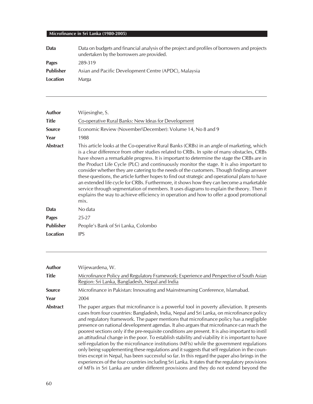| Data             | Data on budgets and financial analysis of the project and profiles of borrowers and projects<br>undertaken by the borrowers are provided. |
|------------------|-------------------------------------------------------------------------------------------------------------------------------------------|
| Pages            | 289-319                                                                                                                                   |
| <b>Publisher</b> | Asian and Pacific Development Centre (APDC), Malaysia                                                                                     |
| Location         | Marga                                                                                                                                     |
|                  |                                                                                                                                           |

| Wijesinghe, S.                                                                                                                                                                                                                                                                                                                                                                                                                                                                                                                                                                                                                                                                                                                                                                                                                                                          |
|-------------------------------------------------------------------------------------------------------------------------------------------------------------------------------------------------------------------------------------------------------------------------------------------------------------------------------------------------------------------------------------------------------------------------------------------------------------------------------------------------------------------------------------------------------------------------------------------------------------------------------------------------------------------------------------------------------------------------------------------------------------------------------------------------------------------------------------------------------------------------|
| Co-operative Rural Banks: New Ideas for Development                                                                                                                                                                                                                                                                                                                                                                                                                                                                                                                                                                                                                                                                                                                                                                                                                     |
| Economic Review (November\December): Volume 14, No 8 and 9                                                                                                                                                                                                                                                                                                                                                                                                                                                                                                                                                                                                                                                                                                                                                                                                              |
| 1988                                                                                                                                                                                                                                                                                                                                                                                                                                                                                                                                                                                                                                                                                                                                                                                                                                                                    |
| This article looks at the Co-operative Rural Banks (CRBs) in an angle of marketing, which<br>is a clear difference from other studies related to CRBs. In spite of many obstacles, CRBs<br>have shown a remarkable progress. It is important to determine the stage the CRBs are in<br>the Product Life Cycle (PLC) and continuously monitor the stage. It is also important to<br>consider whether they are catering to the needs of the customers. Though findings answer<br>these questions, the article further hopes to find out strategic and operational plans to have<br>an extended life cycle for CRBs. Furthermore, it shows how they can become a marketable<br>service through segmentation of members. It uses diagrams to explain the theory. Then it<br>explains the way to achieve efficiency in operation and how to offer a good promotional<br>mix. |
| No data                                                                                                                                                                                                                                                                                                                                                                                                                                                                                                                                                                                                                                                                                                                                                                                                                                                                 |
| $25 - 27$                                                                                                                                                                                                                                                                                                                                                                                                                                                                                                                                                                                                                                                                                                                                                                                                                                                               |
| People's Bank of Sri Lanka, Colombo                                                                                                                                                                                                                                                                                                                                                                                                                                                                                                                                                                                                                                                                                                                                                                                                                                     |
| <b>IPS</b>                                                                                                                                                                                                                                                                                                                                                                                                                                                                                                                                                                                                                                                                                                                                                                                                                                                              |
|                                                                                                                                                                                                                                                                                                                                                                                                                                                                                                                                                                                                                                                                                                                                                                                                                                                                         |

| Author          | Wijewardena, W.                                                                                                                                                                                                                                                                                                                                                                                                                                                                                                                                                                                                                                                                                                                                                                                                                                                                                                                                                                                                                                                                |
|-----------------|--------------------------------------------------------------------------------------------------------------------------------------------------------------------------------------------------------------------------------------------------------------------------------------------------------------------------------------------------------------------------------------------------------------------------------------------------------------------------------------------------------------------------------------------------------------------------------------------------------------------------------------------------------------------------------------------------------------------------------------------------------------------------------------------------------------------------------------------------------------------------------------------------------------------------------------------------------------------------------------------------------------------------------------------------------------------------------|
| Title           | Microfinance Policy and Regulatory Framework: Experience and Perspective of South Asian<br>Region: Sri Lanka, Bangladesh, Nepal and India                                                                                                                                                                                                                                                                                                                                                                                                                                                                                                                                                                                                                                                                                                                                                                                                                                                                                                                                      |
| <b>Source</b>   | Microfinance in Pakistan: Innovating and Mainstreaming Conference, Islamabad.                                                                                                                                                                                                                                                                                                                                                                                                                                                                                                                                                                                                                                                                                                                                                                                                                                                                                                                                                                                                  |
| Year            | 2004                                                                                                                                                                                                                                                                                                                                                                                                                                                                                                                                                                                                                                                                                                                                                                                                                                                                                                                                                                                                                                                                           |
| <b>Abstract</b> | The paper argues that microfinance is a powerful tool in poverty alleviation. It presents<br>cases from four countries: Bangladesh, India, Nepal and Sri Lanka, on microfinance policy<br>and regulatory framework. The paper mentions that microfinance policy has a negligible<br>presence on national development agendas. It also argues that microfinance can reach the<br>poorest sections only if the pre-requisite conditions are present. It is also important to instil<br>an attitudinal change in the poor. To establish stability and viability it is important to have<br>self-regulation by the microfinance institutions (MFIs) while the government regulations<br>only being supplementing these regulations and it suggests that self regulation in the coun-<br>tries except in Nepal, has been successful so far. In this regard the paper also brings in the<br>experiences of the four countries including Sri Lanka. It states that the regulatory provisions<br>of MFIs in Sri Lanka are under different provisions and they do not extend beyond the |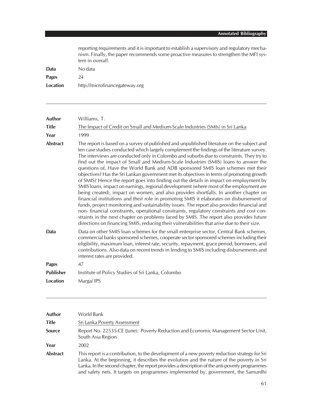| reporting requirements and it is important to establish a supervisory and regulatory mecha- |
|---------------------------------------------------------------------------------------------|
| nism. Finally, the paper recommends some proactive measures to strengthen the MFI sys-      |
| tem in overall.                                                                             |
| No data                                                                                     |

**Pages** 24

**Data** 

**Location** http://microfinancegateway.org

| <b>Author</b>    | Williams, T.                                                                                                                                                                                                                                                                                                                                                                                                                                                                                                                                                                                                                                                                                                                                                                                                                                                                                                                                                                                                                                                                                                                                                                                                                                                                                                            |
|------------------|-------------------------------------------------------------------------------------------------------------------------------------------------------------------------------------------------------------------------------------------------------------------------------------------------------------------------------------------------------------------------------------------------------------------------------------------------------------------------------------------------------------------------------------------------------------------------------------------------------------------------------------------------------------------------------------------------------------------------------------------------------------------------------------------------------------------------------------------------------------------------------------------------------------------------------------------------------------------------------------------------------------------------------------------------------------------------------------------------------------------------------------------------------------------------------------------------------------------------------------------------------------------------------------------------------------------------|
| <b>Title</b>     | The Impact of Credit on Small and Medium-Scale Industries (SMIs) in Sri Lanka                                                                                                                                                                                                                                                                                                                                                                                                                                                                                                                                                                                                                                                                                                                                                                                                                                                                                                                                                                                                                                                                                                                                                                                                                                           |
| Year             | 1999                                                                                                                                                                                                                                                                                                                                                                                                                                                                                                                                                                                                                                                                                                                                                                                                                                                                                                                                                                                                                                                                                                                                                                                                                                                                                                                    |
| <b>Abstract</b>  | The report is based on a survey of published and unpublished literature on the subject and<br>ten case studies conducted which largely complement the findings of the literature survey.<br>The interviews are conducted only in Colombo and suburbs due to constraints. They try to<br>find out the impact of Small and Medium-Scale Industries (SMIS) loans to answer the<br>questions of, Have the World Bank and ADB sponsored SMIS loan schemes met their<br>objectives? Has the Sri Lankan government met its objectives in terms of promoting growth<br>of SMIS? Hence the report goes into finding out the details in impact on employment by<br>SMIS loans, impact on earnings, regional development (where most of the employment are<br>being created), impact on women, and also provides shortfalls. In another chapter on<br>financial institutions and their role in promoting SMIS it elaborates on disbursement of<br>funds, project monitoring and sustainability issues. The report also provides financial and<br>non-financial constraints, operational constraints, regulatory constraints and cost con-<br>straints in the next chapter on problems faced by SMIS. The report also provides future<br>directions on financing SMIS, reducing their vulnerabilities that arise due to their size. |
| Data             | Data on other SMIS Ioan schemes for the small enterprise sector, Central Bank schemes,<br>commercial banks sponsored schemes, cooperate sector sponsored schemes including their<br>eligibility, maximum loan, interest rate, security, repayment, grace period, borrowers, and<br>contributions. Also data on recent trends in lending to SMIS including disbursements and<br>interest rates are provided.                                                                                                                                                                                                                                                                                                                                                                                                                                                                                                                                                                                                                                                                                                                                                                                                                                                                                                             |
| <b>Pages</b>     | 47                                                                                                                                                                                                                                                                                                                                                                                                                                                                                                                                                                                                                                                                                                                                                                                                                                                                                                                                                                                                                                                                                                                                                                                                                                                                                                                      |
| <b>Publisher</b> | Institute of Policy Studies of Sri Lanka, Colombo                                                                                                                                                                                                                                                                                                                                                                                                                                                                                                                                                                                                                                                                                                                                                                                                                                                                                                                                                                                                                                                                                                                                                                                                                                                                       |
| Location         | Marga/IPS                                                                                                                                                                                                                                                                                                                                                                                                                                                                                                                                                                                                                                                                                                                                                                                                                                                                                                                                                                                                                                                                                                                                                                                                                                                                                                               |

| Author          | World Bank                                                                                                                                                                                                                                                                                                                                                                        |
|-----------------|-----------------------------------------------------------------------------------------------------------------------------------------------------------------------------------------------------------------------------------------------------------------------------------------------------------------------------------------------------------------------------------|
| <b>Title</b>    | Sri Lanka Poverty Assessment                                                                                                                                                                                                                                                                                                                                                      |
| <b>Source</b>   | Report No. 22535-CE (June): Poverty Reduction and Economic Management Sector Unit,<br>South Asia Region                                                                                                                                                                                                                                                                           |
| Year            | 2002                                                                                                                                                                                                                                                                                                                                                                              |
| <b>Abstract</b> | This report is a contribution, to the development of a new poverty reduction strategy for Sri<br>Lanka. At the beginning, it describes the evolution and the nature of the poverty in Sri<br>Lanka. In the second chapter, the report provides a description of the anti-poverty programmes<br>and safety nets. It targets on programmes implemented by, government, the Samurdhi |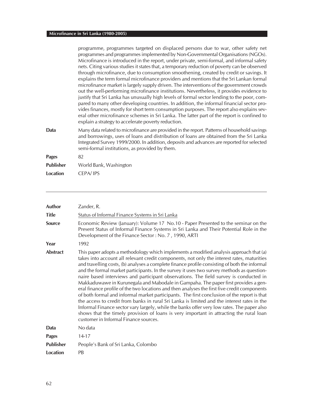|                  | programme, programmes targeted on displaced persons due to war, other safety net<br>programmes and programmes implemented by Non-Governmental Organisations (NGOs).<br>Microfinance is introduced in the report, under private, semi-formal, and informal safety<br>nets. Citing various studies it states that, a temporary reduction of poverty can be observed<br>through microfinance, due to consumption smoothening, created by credit or savings. It<br>explains the term formal microfinance providers and mentions that the Sri Lankan formal<br>microfinance market is largely supply driven. The interventions of the government crowds<br>out the well-performing microfinance institutions. Nevertheless, it provides evidence to<br>justify that Sri Lanka has unusually high levels of formal sector lending to the poor, com-<br>pared to many other developing countries. In addition, the informal financial sector pro-<br>vides finances, mostly for short term consumption purposes. The report also explains sev-<br>eral other microfinance schemes in Sri Lanka. The latter part of the report is confined to<br>explain a strategy to accelerate poverty reduction. |
|------------------|----------------------------------------------------------------------------------------------------------------------------------------------------------------------------------------------------------------------------------------------------------------------------------------------------------------------------------------------------------------------------------------------------------------------------------------------------------------------------------------------------------------------------------------------------------------------------------------------------------------------------------------------------------------------------------------------------------------------------------------------------------------------------------------------------------------------------------------------------------------------------------------------------------------------------------------------------------------------------------------------------------------------------------------------------------------------------------------------------------------------------------------------------------------------------------------------|
| Data             | Many data related to microfinance are provided in the report. Patterns of household savings<br>and borrowings, uses of loans and distribution of loans are obtained from the Sri Lanka<br>Integrated Survey 1999/2000. In addition, deposits and advances are reported for selected<br>semi-formal institutions, as provided by them.                                                                                                                                                                                                                                                                                                                                                                                                                                                                                                                                                                                                                                                                                                                                                                                                                                                        |
| <b>Pages</b>     | 82                                                                                                                                                                                                                                                                                                                                                                                                                                                                                                                                                                                                                                                                                                                                                                                                                                                                                                                                                                                                                                                                                                                                                                                           |
| <b>Publisher</b> | World Bank, Washington                                                                                                                                                                                                                                                                                                                                                                                                                                                                                                                                                                                                                                                                                                                                                                                                                                                                                                                                                                                                                                                                                                                                                                       |
| <b>Location</b>  | CEPA/IPS                                                                                                                                                                                                                                                                                                                                                                                                                                                                                                                                                                                                                                                                                                                                                                                                                                                                                                                                                                                                                                                                                                                                                                                     |
|                  |                                                                                                                                                                                                                                                                                                                                                                                                                                                                                                                                                                                                                                                                                                                                                                                                                                                                                                                                                                                                                                                                                                                                                                                              |

| Author           | Zander, R.                                                                                                                                                                                                                                                                                                                                                                                                                                                                                                                                                                                                                                                                                                                                                                                                                                                                                                                                                                                                                                                                                        |
|------------------|---------------------------------------------------------------------------------------------------------------------------------------------------------------------------------------------------------------------------------------------------------------------------------------------------------------------------------------------------------------------------------------------------------------------------------------------------------------------------------------------------------------------------------------------------------------------------------------------------------------------------------------------------------------------------------------------------------------------------------------------------------------------------------------------------------------------------------------------------------------------------------------------------------------------------------------------------------------------------------------------------------------------------------------------------------------------------------------------------|
| <b>Title</b>     | Status of Informal Finance Systems in Sri Lanka                                                                                                                                                                                                                                                                                                                                                                                                                                                                                                                                                                                                                                                                                                                                                                                                                                                                                                                                                                                                                                                   |
| <b>Source</b>    | Economic Review (January): Volume 17 No.10 - Paper Presented to the seminar on the<br>Present Status of Informal Finance Systems in Sri Lanka and Their Potential Role in the<br>Development of the Finance Sector: No. 7, 1990, ARTI                                                                                                                                                                                                                                                                                                                                                                                                                                                                                                                                                                                                                                                                                                                                                                                                                                                             |
| Year             | 1992                                                                                                                                                                                                                                                                                                                                                                                                                                                                                                                                                                                                                                                                                                                                                                                                                                                                                                                                                                                                                                                                                              |
| <b>Abstract</b>  | This paper adopts a methodology which implements a modified analysis approach that (a)<br>takes into account all relevant credit components, not only the interest rates, maturities<br>and travelling costs, (b) analyses a complete finance profile consisting of both the informal<br>and the formal market participants. In the survey it uses two survey methods as question-<br>naire based interviews and participant observations. The field survey is conducted in<br>Makkaduwawe in Kurunegala and Mabodale in Gampaha. The paper first provides a gen-<br>eral finance profile of the two locations and then analyses the first five credit components<br>of both formal and informal market participants. The first conclusion of the report is that<br>the access to credit from banks in rural Sri Lanka is limited and the interest rates in the<br>Informal Finance sector vary largely, while the banks offer very low rates. The paper also<br>shows that the timely provision of loans is very important in attracting the rural loan<br>customer in Informal Finance sources. |
| Data             | No data                                                                                                                                                                                                                                                                                                                                                                                                                                                                                                                                                                                                                                                                                                                                                                                                                                                                                                                                                                                                                                                                                           |
| <b>Pages</b>     | $14 - 17$                                                                                                                                                                                                                                                                                                                                                                                                                                                                                                                                                                                                                                                                                                                                                                                                                                                                                                                                                                                                                                                                                         |
| <b>Publisher</b> | People's Bank of Sri Lanka, Colombo                                                                                                                                                                                                                                                                                                                                                                                                                                                                                                                                                                                                                                                                                                                                                                                                                                                                                                                                                                                                                                                               |
| <b>Location</b>  | PB                                                                                                                                                                                                                                                                                                                                                                                                                                                                                                                                                                                                                                                                                                                                                                                                                                                                                                                                                                                                                                                                                                |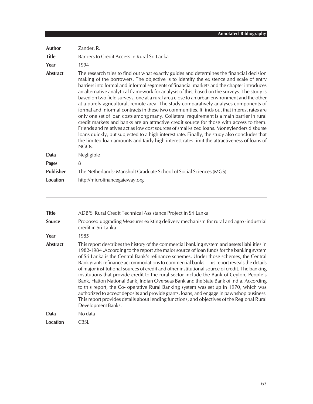| Author           | Zander, R.                                                                                                                                                                                                                                                                                                                                                                                                                                                                                                                                                                                                                                                                                                                                                                                                                                                                                                                                                                                                                                                                                                                                                                         |
|------------------|------------------------------------------------------------------------------------------------------------------------------------------------------------------------------------------------------------------------------------------------------------------------------------------------------------------------------------------------------------------------------------------------------------------------------------------------------------------------------------------------------------------------------------------------------------------------------------------------------------------------------------------------------------------------------------------------------------------------------------------------------------------------------------------------------------------------------------------------------------------------------------------------------------------------------------------------------------------------------------------------------------------------------------------------------------------------------------------------------------------------------------------------------------------------------------|
| <b>Title</b>     | Barriers to Credit Access in Rural Sri Lanka                                                                                                                                                                                                                                                                                                                                                                                                                                                                                                                                                                                                                                                                                                                                                                                                                                                                                                                                                                                                                                                                                                                                       |
| Year             | 1994                                                                                                                                                                                                                                                                                                                                                                                                                                                                                                                                                                                                                                                                                                                                                                                                                                                                                                                                                                                                                                                                                                                                                                               |
| <b>Abstract</b>  | The research tries to find out what exactly guides and determines the financial decision<br>making of the borrowers. The objective is to identify the existence and scale of entry<br>barriers into formal and informal segments of financial markets and the chapter introduces<br>an alternative analytical framework for analysis of this, based on the surveys. The study is<br>based on two field surveys, one at a rural area close to an urban environment and the other<br>at a purely agricultural, remote area. The study comparatively analyses components of<br>formal and informal contracts in these two communities. It finds out that interest rates are<br>only one set of loan costs among many. Collateral requirement is a main barrier in rural<br>credit markets and banks are an attractive credit source for those with access to them.<br>Friends and relatives act as low cost sources of small-sized loans. Moneylenders disburse<br>loans quickly, but subjected to a high interest rate. Finally, the study also concludes that<br>the limited loan amounts and fairly high interest rates limit the attractiveness of loans of<br>NGO <sub>S</sub> . |
| Data             | Negligible                                                                                                                                                                                                                                                                                                                                                                                                                                                                                                                                                                                                                                                                                                                                                                                                                                                                                                                                                                                                                                                                                                                                                                         |
| <b>Pages</b>     | 8                                                                                                                                                                                                                                                                                                                                                                                                                                                                                                                                                                                                                                                                                                                                                                                                                                                                                                                                                                                                                                                                                                                                                                                  |
| <b>Publisher</b> | The Netherlands: Mansholt Graduate School of Social Sciences (MGS)                                                                                                                                                                                                                                                                                                                                                                                                                                                                                                                                                                                                                                                                                                                                                                                                                                                                                                                                                                                                                                                                                                                 |
| Location         | http://microfinancegateway.org                                                                                                                                                                                                                                                                                                                                                                                                                                                                                                                                                                                                                                                                                                                                                                                                                                                                                                                                                                                                                                                                                                                                                     |

| <b>Title</b>    | ADB'S Rural Credit Technical Assistance Project in Sri Lanka                                                                                                                                                                                                                                                                                                                                                                                                                                                                                                                                                                                                                                                                                                                                                                                                                                                                                                                        |
|-----------------|-------------------------------------------------------------------------------------------------------------------------------------------------------------------------------------------------------------------------------------------------------------------------------------------------------------------------------------------------------------------------------------------------------------------------------------------------------------------------------------------------------------------------------------------------------------------------------------------------------------------------------------------------------------------------------------------------------------------------------------------------------------------------------------------------------------------------------------------------------------------------------------------------------------------------------------------------------------------------------------|
| <b>Source</b>   | Proposed upgrading Measures existing delivery mechanism for rural and agro-industrial<br>credit in Sri Lanka                                                                                                                                                                                                                                                                                                                                                                                                                                                                                                                                                                                                                                                                                                                                                                                                                                                                        |
| Year            | 1985                                                                                                                                                                                                                                                                                                                                                                                                                                                                                                                                                                                                                                                                                                                                                                                                                                                                                                                                                                                |
| <b>Abstract</b> | This report describes the history of the commercial banking system and assets liabilities in<br>1982-1984. According to the report, the major source of loan funds for the banking system<br>of Sri Lanka is the Central Bank's refinance schemes. Under those schemes, the Central<br>Bank grants refinance accommodations to commercial banks. This report reveals the details<br>of major institutional sources of credit and other institutional source of credit. The banking<br>institutions that provide credit to the rural sector include the Bank of Ceylon, People's<br>Bank, Hatton National Bank, Indian Overseas Bank and the State Bank of India. According<br>to this report, the Co- operative Rural Banking system was set up in 1970, which was<br>authorized to accept deposits and provide grants, loans, and engage in pawnshop business.<br>This report provides details about lending functions, and objectives of the Regional Rural<br>Development Banks. |
| Data            | No data                                                                                                                                                                                                                                                                                                                                                                                                                                                                                                                                                                                                                                                                                                                                                                                                                                                                                                                                                                             |
| Location        | <b>CBSL</b>                                                                                                                                                                                                                                                                                                                                                                                                                                                                                                                                                                                                                                                                                                                                                                                                                                                                                                                                                                         |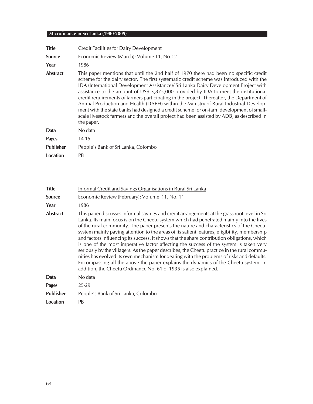| <b>Title</b>     | Credit Facilities for Dairy Development                                                                                                                                                                                                                                                                                                                                                                                                                                                                                                                                                                                                                                                                                                                       |
|------------------|---------------------------------------------------------------------------------------------------------------------------------------------------------------------------------------------------------------------------------------------------------------------------------------------------------------------------------------------------------------------------------------------------------------------------------------------------------------------------------------------------------------------------------------------------------------------------------------------------------------------------------------------------------------------------------------------------------------------------------------------------------------|
| <b>Source</b>    | Economic Review (March): Volume 11, No.12                                                                                                                                                                                                                                                                                                                                                                                                                                                                                                                                                                                                                                                                                                                     |
| Year             | 1986                                                                                                                                                                                                                                                                                                                                                                                                                                                                                                                                                                                                                                                                                                                                                          |
| <b>Abstract</b>  | This paper mentions that until the 2nd half of 1970 there had been no specific credit<br>scheme for the dairy sector. The first systematic credit scheme was introduced with the<br>IDA (International Development Assistance)/ Sri Lanka Dairy Development Project with<br>assistance to the amount of US\$ 3,875,000 provided by IDA to meet the institutional<br>credit requirements of farmers participating in the project. Thereafter, the Department of<br>Animal Production and Health (DAPH) within the Ministry of Rural Industrial Develop-<br>ment with the state banks had designed a credit scheme for on-farm development of small-<br>scale livestock farmers and the overall project had been assisted by ADB, as described in<br>the paper. |
| Data             | No data                                                                                                                                                                                                                                                                                                                                                                                                                                                                                                                                                                                                                                                                                                                                                       |
| <b>Pages</b>     | $14 - 15$                                                                                                                                                                                                                                                                                                                                                                                                                                                                                                                                                                                                                                                                                                                                                     |
| <b>Publisher</b> | People's Bank of Sri Lanka, Colombo                                                                                                                                                                                                                                                                                                                                                                                                                                                                                                                                                                                                                                                                                                                           |
| Location         | PB                                                                                                                                                                                                                                                                                                                                                                                                                                                                                                                                                                                                                                                                                                                                                            |

| <b>Title</b>     | Informal Credit and Savings Organisations in Rural Sri Lanka                                                                                                                                                                                                                                                                                                                                                                                                                                                                                                                                                                                                                                                                                                                                                                                                                                                                         |
|------------------|--------------------------------------------------------------------------------------------------------------------------------------------------------------------------------------------------------------------------------------------------------------------------------------------------------------------------------------------------------------------------------------------------------------------------------------------------------------------------------------------------------------------------------------------------------------------------------------------------------------------------------------------------------------------------------------------------------------------------------------------------------------------------------------------------------------------------------------------------------------------------------------------------------------------------------------|
| <b>Source</b>    | Economic Review (February): Volume 11, No. 11                                                                                                                                                                                                                                                                                                                                                                                                                                                                                                                                                                                                                                                                                                                                                                                                                                                                                        |
| Year             | 1986                                                                                                                                                                                                                                                                                                                                                                                                                                                                                                                                                                                                                                                                                                                                                                                                                                                                                                                                 |
| <b>Abstract</b>  | This paper discusses informal savings and credit arrangements at the grass root level in Sri<br>Lanka. Its main focus is on the Cheetu system which had penetrated mainly into the lives<br>of the rural community. The paper presents the nature and characteristics of the Cheetu<br>system mainly paying attention to the areas of its salient features, eligibility, membership<br>and factors influencing its success. It shows that the share contribution obligations, which<br>is one of the most imperative factor affecting the success of the system is taken very<br>seriously by the villagers. As the paper describes, the Cheetu practice in the rural commu-<br>nities has evolved its own mechanism for dealing with the problems of risks and defaults.<br>Encompassing all the above the paper explains the dynamics of the Cheetu system. In<br>addition, the Cheetu Ordinance No. 61 of 1935 is also explained. |
| Data             | No data                                                                                                                                                                                                                                                                                                                                                                                                                                                                                                                                                                                                                                                                                                                                                                                                                                                                                                                              |
| Pages            | $25-29$                                                                                                                                                                                                                                                                                                                                                                                                                                                                                                                                                                                                                                                                                                                                                                                                                                                                                                                              |
| <b>Publisher</b> | People's Bank of Sri Lanka, Colombo                                                                                                                                                                                                                                                                                                                                                                                                                                                                                                                                                                                                                                                                                                                                                                                                                                                                                                  |
| Location         | PB                                                                                                                                                                                                                                                                                                                                                                                                                                                                                                                                                                                                                                                                                                                                                                                                                                                                                                                                   |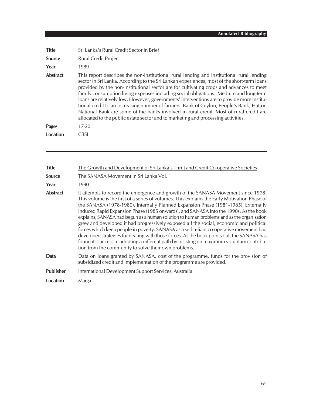| <b>Title</b>    | Sri Lanka's Rural Credit Sector in Brief                                                                                                                                                                                                                                                                                                                                                                                                                                                                                                                                                                                                                                                                                                            |
|-----------------|-----------------------------------------------------------------------------------------------------------------------------------------------------------------------------------------------------------------------------------------------------------------------------------------------------------------------------------------------------------------------------------------------------------------------------------------------------------------------------------------------------------------------------------------------------------------------------------------------------------------------------------------------------------------------------------------------------------------------------------------------------|
| <b>Source</b>   | <b>Rural Credit Project</b>                                                                                                                                                                                                                                                                                                                                                                                                                                                                                                                                                                                                                                                                                                                         |
| Year            | 1989                                                                                                                                                                                                                                                                                                                                                                                                                                                                                                                                                                                                                                                                                                                                                |
| <b>Abstract</b> | This report describes the non-institutional rural lending and institutional rural lending<br>sector in Sri Lanka. According to the Sri Lankan experiences, most of the short-term loans<br>provided by the non-institutional sector are for cultivating crops and advances to meet<br>family consumption living expenses including social obligations. Medium and long-term<br>loans are relatively low. However, governments' interventions are to provide more institu-<br>tional credit to an increasing number of farmers. Bank of Ceylon, People's Bank, Hatton<br>National Bank are some of the banks involved in rural credit. Most of rural credit are<br>allocated to the public estate sector and to marketing and processing activities. |
| <b>Pages</b>    | 17-20                                                                                                                                                                                                                                                                                                                                                                                                                                                                                                                                                                                                                                                                                                                                               |
| Location        | <b>CBSL</b>                                                                                                                                                                                                                                                                                                                                                                                                                                                                                                                                                                                                                                                                                                                                         |

| <b>Title</b>     | The Growth and Development of Sri Lanka's Thrift and Credit Co-operative Societies                                                                                                                                                                                                                                                                                                                                                                                                                                                                                                                                                                                                                                                                                                                                                                                                                   |
|------------------|------------------------------------------------------------------------------------------------------------------------------------------------------------------------------------------------------------------------------------------------------------------------------------------------------------------------------------------------------------------------------------------------------------------------------------------------------------------------------------------------------------------------------------------------------------------------------------------------------------------------------------------------------------------------------------------------------------------------------------------------------------------------------------------------------------------------------------------------------------------------------------------------------|
| <b>Source</b>    | The SANASA Movement in Sri Lanka Vol. 1                                                                                                                                                                                                                                                                                                                                                                                                                                                                                                                                                                                                                                                                                                                                                                                                                                                              |
| Year             | 1990                                                                                                                                                                                                                                                                                                                                                                                                                                                                                                                                                                                                                                                                                                                                                                                                                                                                                                 |
| <b>Abstract</b>  | It attempts to record the emergence and growth of the SANASA Movement since 1978.<br>This volume is the first of a series of volumes. This explains the Early Motivation Phase of<br>the SANASA (1978-1980), Internally Planned Expansion Phase (1981-1985), Externally<br>Induced Rapid Expansion Phase (1985 onwards), and SANASA into the 1990s. As the book<br>explains, SANASA had begun as a human solution to human problems and as the organisation<br>grew and developed it had progressively exposed all the social, economic and political<br>forces which keep people in poverty. SANASA as a self-reliant co-operative movement had<br>developed strategies for dealing with those forces. As the book points out, the SANASA has<br>found its success in adopting a different path by insisting on maximum voluntary contribu-<br>tion from the community to solve their own problems. |
| Data             | Data on loans granted by SANASA, cost of the programme, funds for the provision of<br>subsidized credit and implementation of the programme are provided.                                                                                                                                                                                                                                                                                                                                                                                                                                                                                                                                                                                                                                                                                                                                            |
| <b>Publisher</b> | International Development Support Services, Australia                                                                                                                                                                                                                                                                                                                                                                                                                                                                                                                                                                                                                                                                                                                                                                                                                                                |
| Location         | Marga                                                                                                                                                                                                                                                                                                                                                                                                                                                                                                                                                                                                                                                                                                                                                                                                                                                                                                |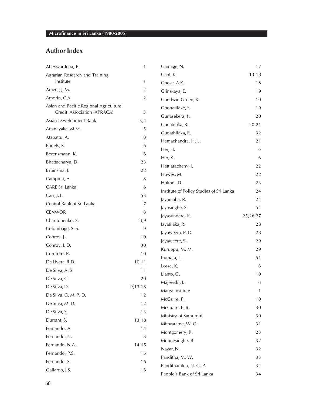## **Author Index**

| Abeywardena, P.                                                        | $\mathbf{1}$   | Gamage, N.                               | 17           |
|------------------------------------------------------------------------|----------------|------------------------------------------|--------------|
| Agrarian Research and Training                                         |                | Gant, R.                                 | 13,18        |
| Institute                                                              | $\mathbf{1}$   | Ghose, A.K.                              | 18           |
| Ameer, J. M.                                                           | $\overline{2}$ | Glinskaya, E.                            | 19           |
| Amorin, C.A.                                                           | $\overline{2}$ | Goodwin-Groen, R.                        | 10           |
| Asian and Pacific Regional Agricultural<br>Credit Association (APRACA) | $\sqrt{3}$     | Goonatilake, S.                          | 19           |
| Asian Development Bank                                                 | 3,4            | Gunasekera, N.                           | 20           |
| Attanayake, M.M.                                                       | 5              | Gunatilaka, R.                           | 20,21        |
| Atapattu, A.                                                           | 18             | Gunathilaka, R.                          | 32           |
| Bartels, K                                                             | 6              | Hemachandra, H. L.                       | 21           |
| Berensmann, K.                                                         | 6              | Her, H.                                  | 6            |
|                                                                        |                | Her, K.                                  | 6            |
| Bhattacharya, D.                                                       | 23<br>22       | Hettiarachchy, I.                        | 22           |
| Bruinsma, J.                                                           |                | Howes, M.                                | 22           |
| Campion, A.                                                            | 8              | Hulme., D.                               | 23           |
| CARE Sri Lanka                                                         | 6              | Institute of Policy Studies of Sri Lanka | 24           |
| Carr, J. L.                                                            | 53             | Jayamaha, R.                             | 24           |
| Central Bank of Sri Lanka                                              | 7              | Jayasinghe, S.                           | 54           |
| <b>CENWOR</b>                                                          | 8              | Jayasundere, R.                          | 25, 26, 27   |
| Charitonenko, S.                                                       | 8,9            | Jayatilaka, R.                           | 28           |
| Colombage, S. S.                                                       | 9              | Jayaweera, P.D.                          | 28           |
| Conroy, J.                                                             | 10             | Jayaweere, S.                            | 29           |
| Conroy, J. D.                                                          | 30             | Kuruppu, M. M.                           | 29           |
| Cornford, R.                                                           | 10             | Kumara, T.                               | 51           |
| De Livera, R.D.                                                        | 10, 11         | Losse, K.                                | 6            |
| De Silva, A. S                                                         | 11             | Llanto, G.                               | 10           |
| De Silva, C.                                                           | 20             | Majewski, J.                             | 6            |
| De Silva, D.                                                           | 9,13,18        | Marga Institute                          | $\mathbf{1}$ |
| De Silva, G. M. P. D.                                                  | 12             | McGuire, P.                              | $10$         |
| De Silva, M.D.                                                         | 12             | McGuire, P. B.                           | $30\,$       |
| De Silva, S.                                                           | 13             | Ministry of Samurdhi                     | 30           |
| Durrant, S.                                                            | 13,18          | Mithraratne, W. G.                       | 31           |
| Fernando, A.                                                           | 14             | Montgomery, R.                           | 23           |
| Fernando, N.                                                           | 8              |                                          |              |
| Fernando, N.A.                                                         | 14,15          | Moonesinghe, B.                          | 32           |
| Fernando, P.S.                                                         | 15             | Nayar, N.                                | 32           |
| Fernando, S.                                                           | 16             | Panditha, M. W.                          | 33           |
| Gallardo, J.S.                                                         | 16             | Panditharatna, N. G. P.                  | 34           |
|                                                                        |                | People's Bank of Sri Lanka               | 34           |